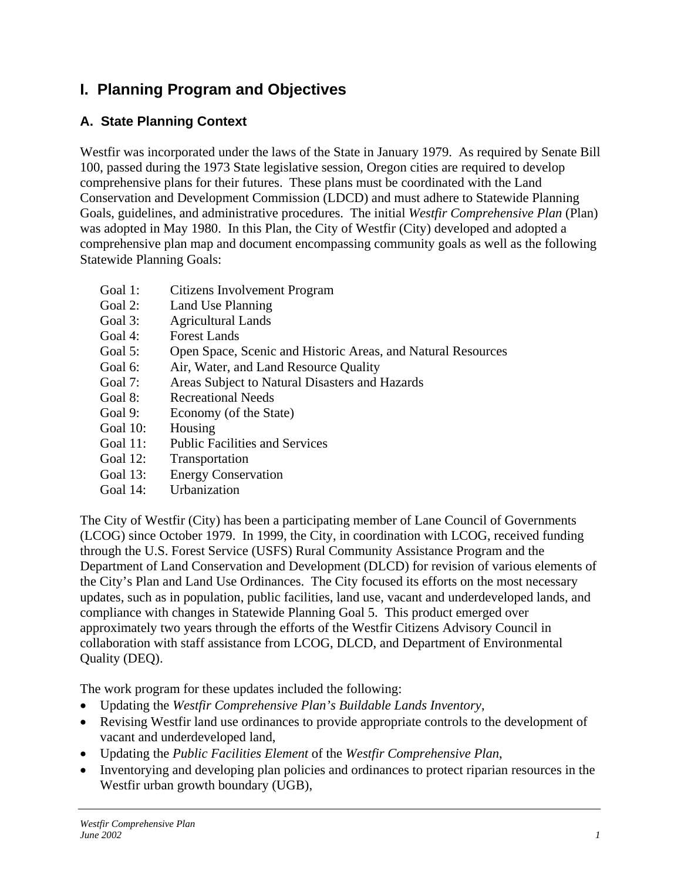# **I. Planning Program and Objectives**

# **A. State Planning Context**

Westfir was incorporated under the laws of the State in January 1979. As required by Senate Bill 100, passed during the 1973 State legislative session, Oregon cities are required to develop comprehensive plans for their futures. These plans must be coordinated with the Land Conservation and Development Commission (LDCD) and must adhere to Statewide Planning Goals, guidelines, and administrative procedures. The initial *Westfir Comprehensive Plan* (Plan) was adopted in May 1980. In this Plan, the City of Westfir (City) developed and adopted a comprehensive plan map and document encompassing community goals as well as the following Statewide Planning Goals:

- Goal 1: Citizens Involvement Program
- Goal 2: Land Use Planning
- Goal 3: Agricultural Lands
- Goal 4: Forest Lands
- Goal 5: Open Space, Scenic and Historic Areas, and Natural Resources
- Goal 6: Air, Water, and Land Resource Quality
- Goal 7: Areas Subject to Natural Disasters and Hazards
- Goal 8: Recreational Needs
- Goal 9: Economy (of the State)
- Goal 10: Housing
- Goal 11: Public Facilities and Services
- Goal 12: Transportation
- Goal 13: Energy Conservation
- Goal 14: Urbanization

The City of Westfir (City) has been a participating member of Lane Council of Governments (LCOG) since October 1979. In 1999, the City, in coordination with LCOG, received funding through the U.S. Forest Service (USFS) Rural Community Assistance Program and the Department of Land Conservation and Development (DLCD) for revision of various elements of the City's Plan and Land Use Ordinances. The City focused its efforts on the most necessary updates, such as in population, public facilities, land use, vacant and underdeveloped lands, and compliance with changes in Statewide Planning Goal 5. This product emerged over approximately two years through the efforts of the Westfir Citizens Advisory Council in collaboration with staff assistance from LCOG, DLCD, and Department of Environmental Quality (DEQ).

The work program for these updates included the following:

- Updating the *Westfir Comprehensive Plan's Buildable Lands Inventory*,
- Revising Westfir land use ordinances to provide appropriate controls to the development of vacant and underdeveloped land,
- Updating the *Public Facilities Element* of the *Westfir Comprehensive Plan*,
- Inventorying and developing plan policies and ordinances to protect riparian resources in the Westfir urban growth boundary (UGB),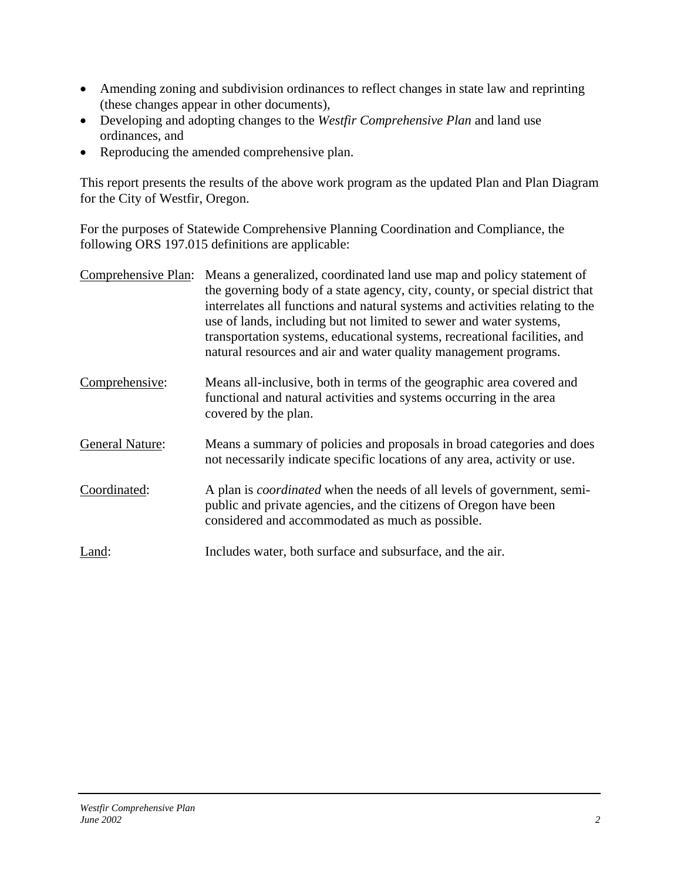- Amending zoning and subdivision ordinances to reflect changes in state law and reprinting (these changes appear in other documents),
- Developing and adopting changes to the *Westfir Comprehensive Plan* and land use ordinances, and
- Reproducing the amended comprehensive plan.

This report presents the results of the above work program as the updated Plan and Plan Diagram for the City of Westfir, Oregon.

For the purposes of Statewide Comprehensive Planning Coordination and Compliance, the following ORS 197.015 definitions are applicable:

| Comprehensive Plan:    | Means a generalized, coordinated land use map and policy statement of<br>the governing body of a state agency, city, county, or special district that<br>interrelates all functions and natural systems and activities relating to the<br>use of lands, including but not limited to sewer and water systems,<br>transportation systems, educational systems, recreational facilities, and<br>natural resources and air and water quality management programs. |
|------------------------|----------------------------------------------------------------------------------------------------------------------------------------------------------------------------------------------------------------------------------------------------------------------------------------------------------------------------------------------------------------------------------------------------------------------------------------------------------------|
| Comprehensive:         | Means all-inclusive, both in terms of the geographic area covered and<br>functional and natural activities and systems occurring in the area<br>covered by the plan.                                                                                                                                                                                                                                                                                           |
| <b>General Nature:</b> | Means a summary of policies and proposals in broad categories and does<br>not necessarily indicate specific locations of any area, activity or use.                                                                                                                                                                                                                                                                                                            |
| Coordinated:           | A plan is <i>coordinated</i> when the needs of all levels of government, semi-<br>public and private agencies, and the citizens of Oregon have been<br>considered and accommodated as much as possible.                                                                                                                                                                                                                                                        |
| Land:                  | Includes water, both surface and subsurface, and the air.                                                                                                                                                                                                                                                                                                                                                                                                      |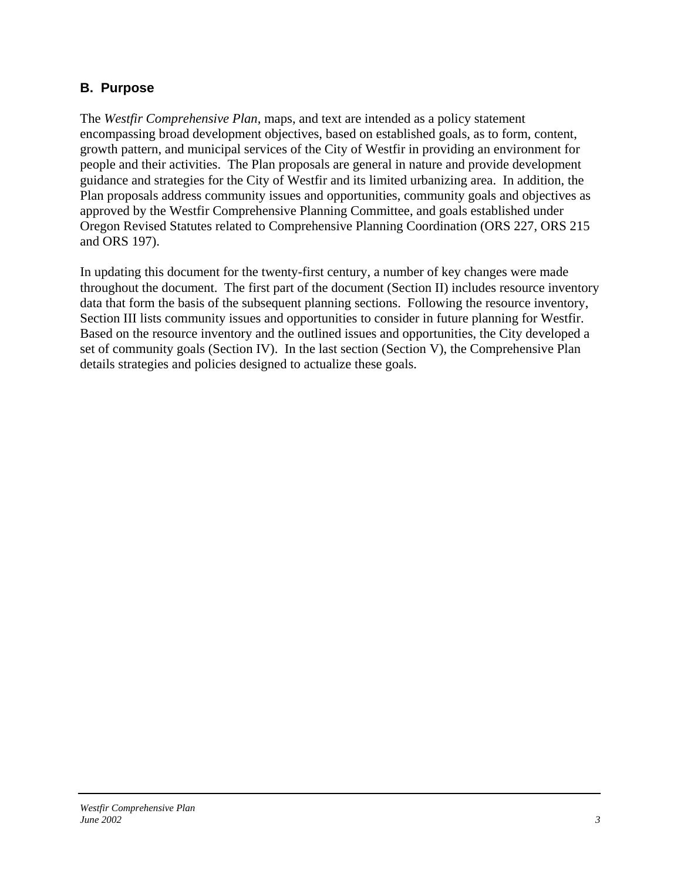# **B. Purpose**

The *Westfir Comprehensive Plan*, maps, and text are intended as a policy statement encompassing broad development objectives, based on established goals, as to form, content, growth pattern, and municipal services of the City of Westfir in providing an environment for people and their activities. The Plan proposals are general in nature and provide development guidance and strategies for the City of Westfir and its limited urbanizing area. In addition, the Plan proposals address community issues and opportunities, community goals and objectives as approved by the Westfir Comprehensive Planning Committee, and goals established under Oregon Revised Statutes related to Comprehensive Planning Coordination (ORS 227, ORS 215 and ORS 197).

In updating this document for the twenty-first century, a number of key changes were made throughout the document. The first part of the document (Section II) includes resource inventory data that form the basis of the subsequent planning sections. Following the resource inventory, Section III lists community issues and opportunities to consider in future planning for Westfir. Based on the resource inventory and the outlined issues and opportunities, the City developed a set of community goals (Section IV). In the last section (Section V), the Comprehensive Plan details strategies and policies designed to actualize these goals.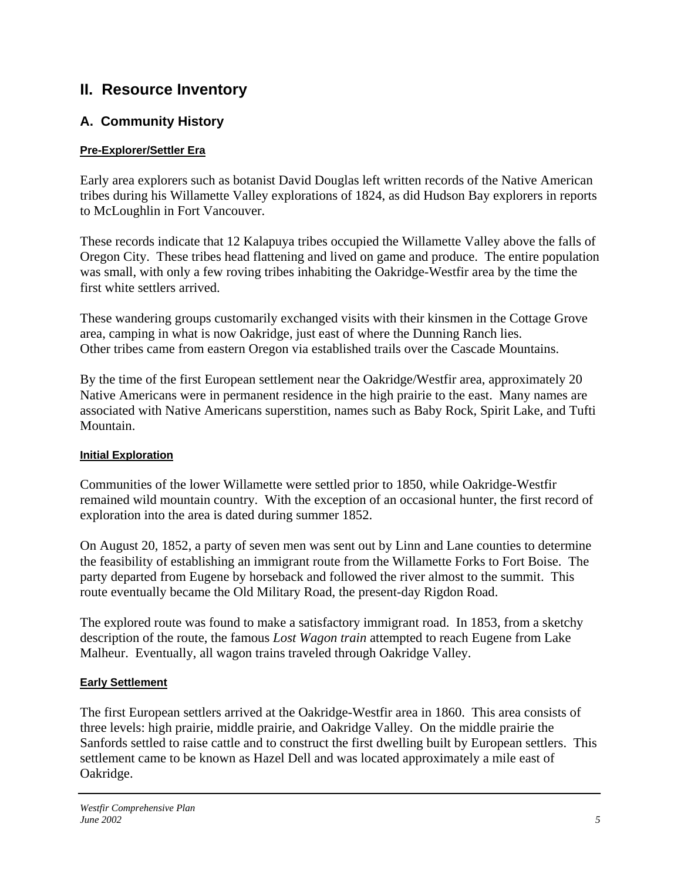# **II. Resource Inventory**

# **A. Community History**

# **Pre-Explorer/Settler Era**

Early area explorers such as botanist David Douglas left written records of the Native American tribes during his Willamette Valley explorations of 1824, as did Hudson Bay explorers in reports to McLoughlin in Fort Vancouver.

These records indicate that 12 Kalapuya tribes occupied the Willamette Valley above the falls of Oregon City. These tribes head flattening and lived on game and produce. The entire population was small, with only a few roving tribes inhabiting the Oakridge-Westfir area by the time the first white settlers arrived.

These wandering groups customarily exchanged visits with their kinsmen in the Cottage Grove area, camping in what is now Oakridge, just east of where the Dunning Ranch lies. Other tribes came from eastern Oregon via established trails over the Cascade Mountains.

By the time of the first European settlement near the Oakridge/Westfir area, approximately 20 Native Americans were in permanent residence in the high prairie to the east. Many names are associated with Native Americans superstition, names such as Baby Rock, Spirit Lake, and Tufti Mountain.

# **Initial Exploration**

Communities of the lower Willamette were settled prior to 1850, while Oakridge-Westfir remained wild mountain country. With the exception of an occasional hunter, the first record of exploration into the area is dated during summer 1852.

On August 20, 1852, a party of seven men was sent out by Linn and Lane counties to determine the feasibility of establishing an immigrant route from the Willamette Forks to Fort Boise. The party departed from Eugene by horseback and followed the river almost to the summit. This route eventually became the Old Military Road, the present-day Rigdon Road.

The explored route was found to make a satisfactory immigrant road. In 1853, from a sketchy description of the route, the famous *Lost Wagon train* attempted to reach Eugene from Lake Malheur. Eventually, all wagon trains traveled through Oakridge Valley.

# **Early Settlement**

The first European settlers arrived at the Oakridge-Westfir area in 1860. This area consists of three levels: high prairie, middle prairie, and Oakridge Valley. On the middle prairie the Sanfords settled to raise cattle and to construct the first dwelling built by European settlers. This settlement came to be known as Hazel Dell and was located approximately a mile east of Oakridge.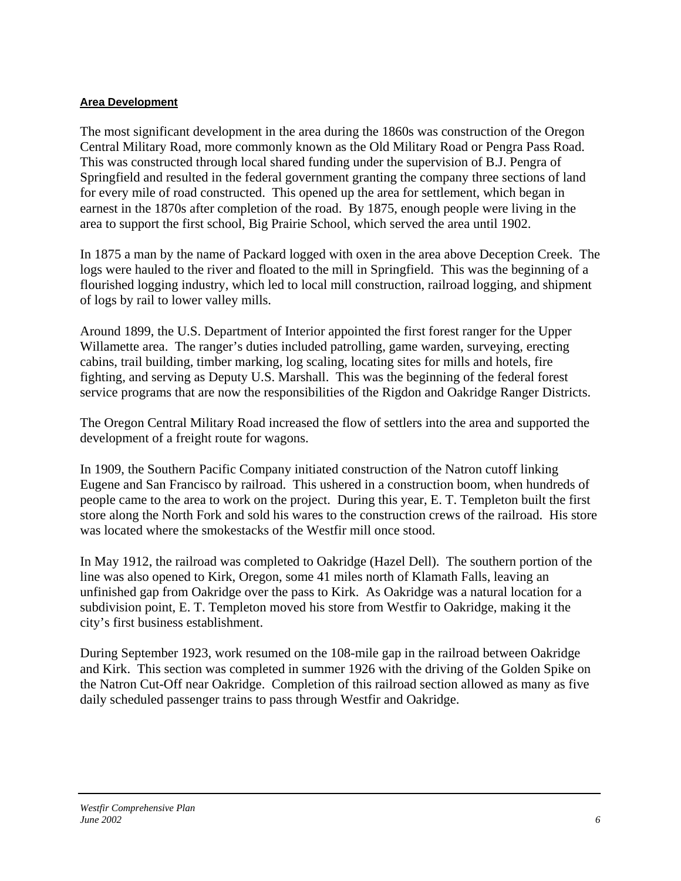#### **Area Development**

The most significant development in the area during the 1860s was construction of the Oregon Central Military Road, more commonly known as the Old Military Road or Pengra Pass Road. This was constructed through local shared funding under the supervision of B.J. Pengra of Springfield and resulted in the federal government granting the company three sections of land for every mile of road constructed. This opened up the area for settlement, which began in earnest in the 1870s after completion of the road. By 1875, enough people were living in the area to support the first school, Big Prairie School, which served the area until 1902.

In 1875 a man by the name of Packard logged with oxen in the area above Deception Creek. The logs were hauled to the river and floated to the mill in Springfield. This was the beginning of a flourished logging industry, which led to local mill construction, railroad logging, and shipment of logs by rail to lower valley mills.

Around 1899, the U.S. Department of Interior appointed the first forest ranger for the Upper Willamette area. The ranger's duties included patrolling, game warden, surveying, erecting cabins, trail building, timber marking, log scaling, locating sites for mills and hotels, fire fighting, and serving as Deputy U.S. Marshall. This was the beginning of the federal forest service programs that are now the responsibilities of the Rigdon and Oakridge Ranger Districts.

The Oregon Central Military Road increased the flow of settlers into the area and supported the development of a freight route for wagons.

In 1909, the Southern Pacific Company initiated construction of the Natron cutoff linking Eugene and San Francisco by railroad. This ushered in a construction boom, when hundreds of people came to the area to work on the project. During this year, E. T. Templeton built the first store along the North Fork and sold his wares to the construction crews of the railroad. His store was located where the smokestacks of the Westfir mill once stood.

In May 1912, the railroad was completed to Oakridge (Hazel Dell). The southern portion of the line was also opened to Kirk, Oregon, some 41 miles north of Klamath Falls, leaving an unfinished gap from Oakridge over the pass to Kirk. As Oakridge was a natural location for a subdivision point, E. T. Templeton moved his store from Westfir to Oakridge, making it the city's first business establishment.

During September 1923, work resumed on the 108-mile gap in the railroad between Oakridge and Kirk. This section was completed in summer 1926 with the driving of the Golden Spike on the Natron Cut-Off near Oakridge. Completion of this railroad section allowed as many as five daily scheduled passenger trains to pass through Westfir and Oakridge.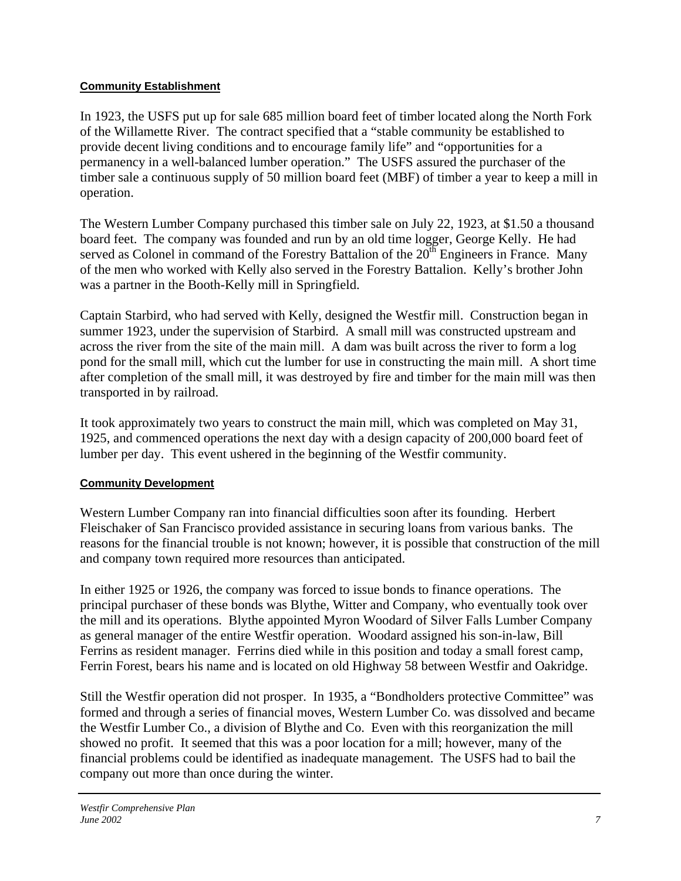## **Community Establishment**

In 1923, the USFS put up for sale 685 million board feet of timber located along the North Fork of the Willamette River. The contract specified that a "stable community be established to provide decent living conditions and to encourage family life" and "opportunities for a permanency in a well-balanced lumber operation." The USFS assured the purchaser of the timber sale a continuous supply of 50 million board feet (MBF) of timber a year to keep a mill in operation.

The Western Lumber Company purchased this timber sale on July 22, 1923, at \$1.50 a thousand board feet. The company was founded and run by an old time logger, George Kelly. He had served as Colonel in command of the Forestry Battalion of the  $20<sup>th</sup>$  Engineers in France. Many of the men who worked with Kelly also served in the Forestry Battalion. Kelly's brother John was a partner in the Booth-Kelly mill in Springfield.

Captain Starbird, who had served with Kelly, designed the Westfir mill. Construction began in summer 1923, under the supervision of Starbird. A small mill was constructed upstream and across the river from the site of the main mill. A dam was built across the river to form a log pond for the small mill, which cut the lumber for use in constructing the main mill. A short time after completion of the small mill, it was destroyed by fire and timber for the main mill was then transported in by railroad.

It took approximately two years to construct the main mill, which was completed on May 31, 1925, and commenced operations the next day with a design capacity of 200,000 board feet of lumber per day. This event ushered in the beginning of the Westfir community.

# **Community Development**

Western Lumber Company ran into financial difficulties soon after its founding. Herbert Fleischaker of San Francisco provided assistance in securing loans from various banks. The reasons for the financial trouble is not known; however, it is possible that construction of the mill and company town required more resources than anticipated.

In either 1925 or 1926, the company was forced to issue bonds to finance operations. The principal purchaser of these bonds was Blythe, Witter and Company, who eventually took over the mill and its operations. Blythe appointed Myron Woodard of Silver Falls Lumber Company as general manager of the entire Westfir operation. Woodard assigned his son-in-law, Bill Ferrins as resident manager. Ferrins died while in this position and today a small forest camp, Ferrin Forest, bears his name and is located on old Highway 58 between Westfir and Oakridge.

Still the Westfir operation did not prosper. In 1935, a "Bondholders protective Committee" was formed and through a series of financial moves, Western Lumber Co. was dissolved and became the Westfir Lumber Co., a division of Blythe and Co. Even with this reorganization the mill showed no profit. It seemed that this was a poor location for a mill; however, many of the financial problems could be identified as inadequate management. The USFS had to bail the company out more than once during the winter.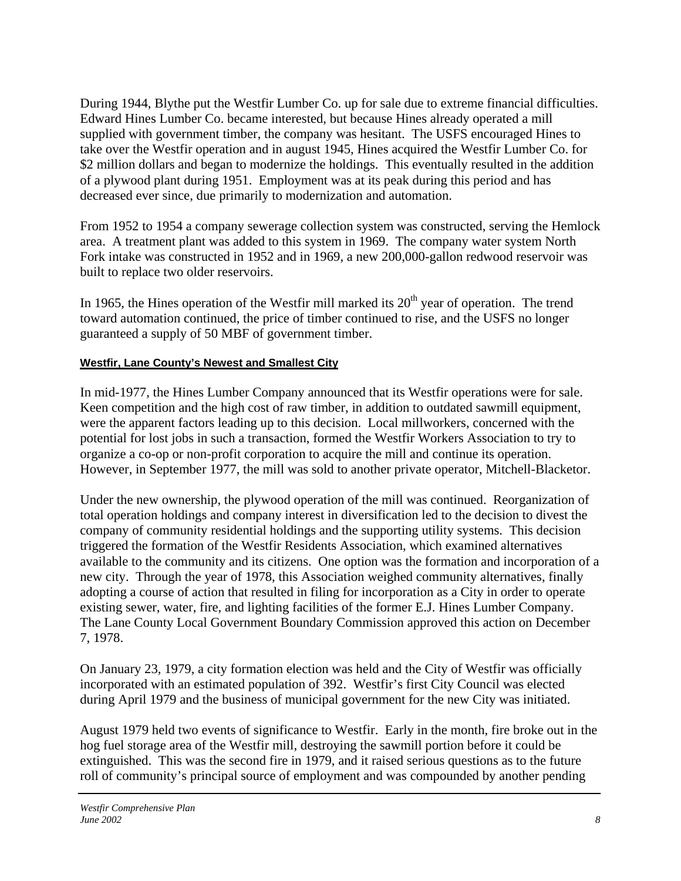During 1944, Blythe put the Westfir Lumber Co. up for sale due to extreme financial difficulties. Edward Hines Lumber Co. became interested, but because Hines already operated a mill supplied with government timber, the company was hesitant. The USFS encouraged Hines to take over the Westfir operation and in august 1945, Hines acquired the Westfir Lumber Co. for \$2 million dollars and began to modernize the holdings. This eventually resulted in the addition of a plywood plant during 1951. Employment was at its peak during this period and has decreased ever since, due primarily to modernization and automation.

From 1952 to 1954 a company sewerage collection system was constructed, serving the Hemlock area. A treatment plant was added to this system in 1969. The company water system North Fork intake was constructed in 1952 and in 1969, a new 200,000-gallon redwood reservoir was built to replace two older reservoirs.

In 1965, the Hines operation of the Westfir mill marked its  $20<sup>th</sup>$  year of operation. The trend toward automation continued, the price of timber continued to rise, and the USFS no longer guaranteed a supply of 50 MBF of government timber.

## **Westfir, Lane County's Newest and Smallest City**

In mid-1977, the Hines Lumber Company announced that its Westfir operations were for sale. Keen competition and the high cost of raw timber, in addition to outdated sawmill equipment, were the apparent factors leading up to this decision. Local millworkers, concerned with the potential for lost jobs in such a transaction, formed the Westfir Workers Association to try to organize a co-op or non-profit corporation to acquire the mill and continue its operation. However, in September 1977, the mill was sold to another private operator, Mitchell-Blacketor.

Under the new ownership, the plywood operation of the mill was continued. Reorganization of total operation holdings and company interest in diversification led to the decision to divest the company of community residential holdings and the supporting utility systems. This decision triggered the formation of the Westfir Residents Association, which examined alternatives available to the community and its citizens. One option was the formation and incorporation of a new city. Through the year of 1978, this Association weighed community alternatives, finally adopting a course of action that resulted in filing for incorporation as a City in order to operate existing sewer, water, fire, and lighting facilities of the former E.J. Hines Lumber Company. The Lane County Local Government Boundary Commission approved this action on December 7, 1978.

On January 23, 1979, a city formation election was held and the City of Westfir was officially incorporated with an estimated population of 392. Westfir's first City Council was elected during April 1979 and the business of municipal government for the new City was initiated.

August 1979 held two events of significance to Westfir. Early in the month, fire broke out in the hog fuel storage area of the Westfir mill, destroying the sawmill portion before it could be extinguished. This was the second fire in 1979, and it raised serious questions as to the future roll of community's principal source of employment and was compounded by another pending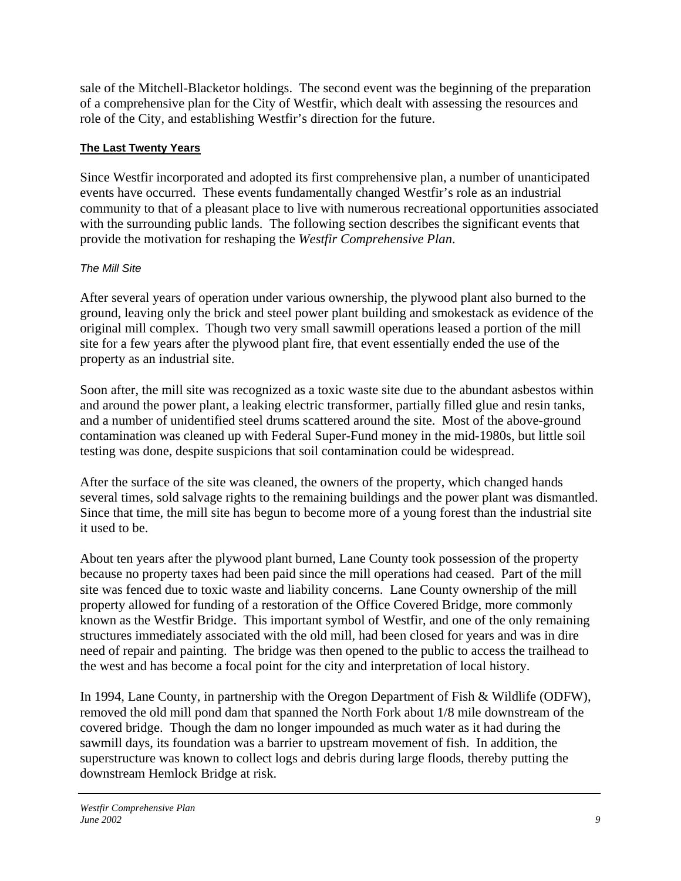sale of the Mitchell-Blacketor holdings. The second event was the beginning of the preparation of a comprehensive plan for the City of Westfir, which dealt with assessing the resources and role of the City, and establishing Westfir's direction for the future.

## **The Last Twenty Years**

Since Westfir incorporated and adopted its first comprehensive plan, a number of unanticipated events have occurred. These events fundamentally changed Westfir's role as an industrial community to that of a pleasant place to live with numerous recreational opportunities associated with the surrounding public lands. The following section describes the significant events that provide the motivation for reshaping the *Westfir Comprehensive Plan*.

# *The Mill Site*

After several years of operation under various ownership, the plywood plant also burned to the ground, leaving only the brick and steel power plant building and smokestack as evidence of the original mill complex. Though two very small sawmill operations leased a portion of the mill site for a few years after the plywood plant fire, that event essentially ended the use of the property as an industrial site.

Soon after, the mill site was recognized as a toxic waste site due to the abundant asbestos within and around the power plant, a leaking electric transformer, partially filled glue and resin tanks, and a number of unidentified steel drums scattered around the site. Most of the above-ground contamination was cleaned up with Federal Super-Fund money in the mid-1980s, but little soil testing was done, despite suspicions that soil contamination could be widespread.

After the surface of the site was cleaned, the owners of the property, which changed hands several times, sold salvage rights to the remaining buildings and the power plant was dismantled. Since that time, the mill site has begun to become more of a young forest than the industrial site it used to be.

About ten years after the plywood plant burned, Lane County took possession of the property because no property taxes had been paid since the mill operations had ceased. Part of the mill site was fenced due to toxic waste and liability concerns. Lane County ownership of the mill property allowed for funding of a restoration of the Office Covered Bridge, more commonly known as the Westfir Bridge. This important symbol of Westfir, and one of the only remaining structures immediately associated with the old mill, had been closed for years and was in dire need of repair and painting. The bridge was then opened to the public to access the trailhead to the west and has become a focal point for the city and interpretation of local history.

In 1994, Lane County, in partnership with the Oregon Department of Fish & Wildlife (ODFW), removed the old mill pond dam that spanned the North Fork about 1/8 mile downstream of the covered bridge. Though the dam no longer impounded as much water as it had during the sawmill days, its foundation was a barrier to upstream movement of fish. In addition, the superstructure was known to collect logs and debris during large floods, thereby putting the downstream Hemlock Bridge at risk.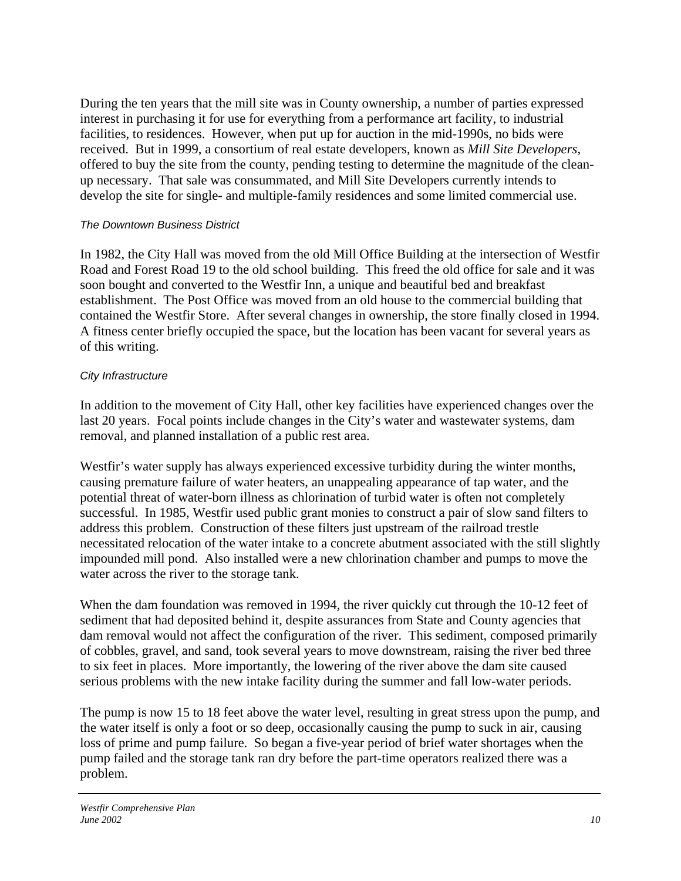During the ten years that the mill site was in County ownership, a number of parties expressed interest in purchasing it for use for everything from a performance art facility, to industrial facilities, to residences. However, when put up for auction in the mid-1990s, no bids were received. But in 1999, a consortium of real estate developers, known as *Mill Site Developers*, offered to buy the site from the county, pending testing to determine the magnitude of the cleanup necessary. That sale was consummated, and Mill Site Developers currently intends to develop the site for single- and multiple-family residences and some limited commercial use.

#### *The Downtown Business District*

In 1982, the City Hall was moved from the old Mill Office Building at the intersection of Westfir Road and Forest Road 19 to the old school building. This freed the old office for sale and it was soon bought and converted to the Westfir Inn, a unique and beautiful bed and breakfast establishment. The Post Office was moved from an old house to the commercial building that contained the Westfir Store. After several changes in ownership, the store finally closed in 1994. A fitness center briefly occupied the space, but the location has been vacant for several years as of this writing.

#### *City Infrastructure*

In addition to the movement of City Hall, other key facilities have experienced changes over the last 20 years. Focal points include changes in the City's water and wastewater systems, dam removal, and planned installation of a public rest area.

Westfir's water supply has always experienced excessive turbidity during the winter months, causing premature failure of water heaters, an unappealing appearance of tap water, and the potential threat of water-born illness as chlorination of turbid water is often not completely successful. In 1985, Westfir used public grant monies to construct a pair of slow sand filters to address this problem. Construction of these filters just upstream of the railroad trestle necessitated relocation of the water intake to a concrete abutment associated with the still slightly impounded mill pond. Also installed were a new chlorination chamber and pumps to move the water across the river to the storage tank.

When the dam foundation was removed in 1994, the river quickly cut through the 10-12 feet of sediment that had deposited behind it, despite assurances from State and County agencies that dam removal would not affect the configuration of the river. This sediment, composed primarily of cobbles, gravel, and sand, took several years to move downstream, raising the river bed three to six feet in places. More importantly, the lowering of the river above the dam site caused serious problems with the new intake facility during the summer and fall low-water periods.

The pump is now 15 to 18 feet above the water level, resulting in great stress upon the pump, and the water itself is only a foot or so deep, occasionally causing the pump to suck in air, causing loss of prime and pump failure. So began a five-year period of brief water shortages when the pump failed and the storage tank ran dry before the part-time operators realized there was a problem.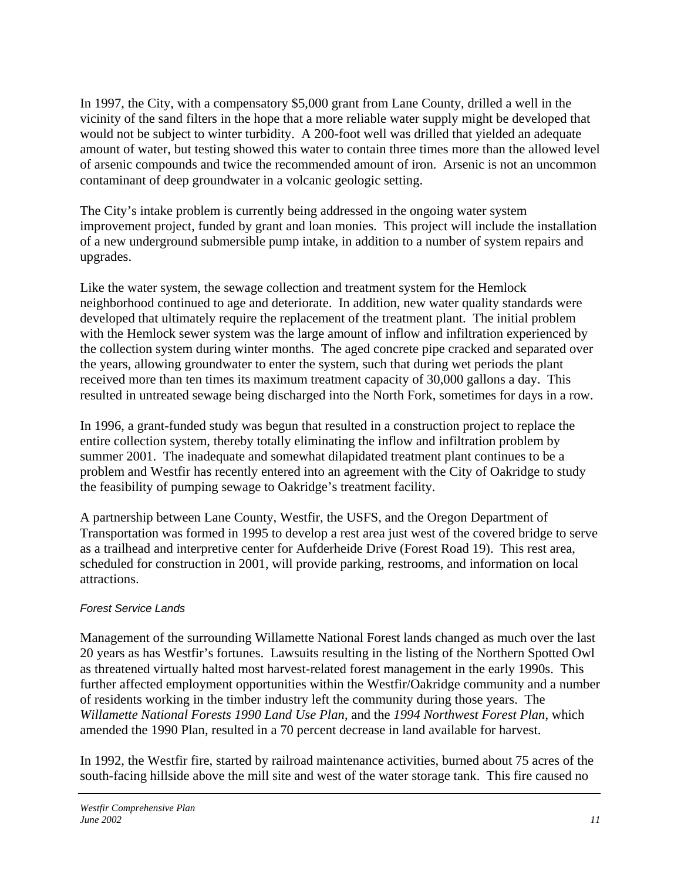In 1997, the City, with a compensatory \$5,000 grant from Lane County, drilled a well in the vicinity of the sand filters in the hope that a more reliable water supply might be developed that would not be subject to winter turbidity. A 200-foot well was drilled that yielded an adequate amount of water, but testing showed this water to contain three times more than the allowed level of arsenic compounds and twice the recommended amount of iron. Arsenic is not an uncommon contaminant of deep groundwater in a volcanic geologic setting.

The City's intake problem is currently being addressed in the ongoing water system improvement project, funded by grant and loan monies. This project will include the installation of a new underground submersible pump intake, in addition to a number of system repairs and upgrades.

Like the water system, the sewage collection and treatment system for the Hemlock neighborhood continued to age and deteriorate. In addition, new water quality standards were developed that ultimately require the replacement of the treatment plant. The initial problem with the Hemlock sewer system was the large amount of inflow and infiltration experienced by the collection system during winter months. The aged concrete pipe cracked and separated over the years, allowing groundwater to enter the system, such that during wet periods the plant received more than ten times its maximum treatment capacity of 30,000 gallons a day. This resulted in untreated sewage being discharged into the North Fork, sometimes for days in a row.

In 1996, a grant-funded study was begun that resulted in a construction project to replace the entire collection system, thereby totally eliminating the inflow and infiltration problem by summer 2001. The inadequate and somewhat dilapidated treatment plant continues to be a problem and Westfir has recently entered into an agreement with the City of Oakridge to study the feasibility of pumping sewage to Oakridge's treatment facility.

A partnership between Lane County, Westfir, the USFS, and the Oregon Department of Transportation was formed in 1995 to develop a rest area just west of the covered bridge to serve as a trailhead and interpretive center for Aufderheide Drive (Forest Road 19). This rest area, scheduled for construction in 2001, will provide parking, restrooms, and information on local attractions.

## *Forest Service Lands*

Management of the surrounding Willamette National Forest lands changed as much over the last 20 years as has Westfir's fortunes. Lawsuits resulting in the listing of the Northern Spotted Owl as threatened virtually halted most harvest-related forest management in the early 1990s. This further affected employment opportunities within the Westfir/Oakridge community and a number of residents working in the timber industry left the community during those years. The *Willamette National Forests 1990 Land Use Plan*, and the *1994 Northwest Forest Plan*, which amended the 1990 Plan, resulted in a 70 percent decrease in land available for harvest.

In 1992, the Westfir fire, started by railroad maintenance activities, burned about 75 acres of the south-facing hillside above the mill site and west of the water storage tank. This fire caused no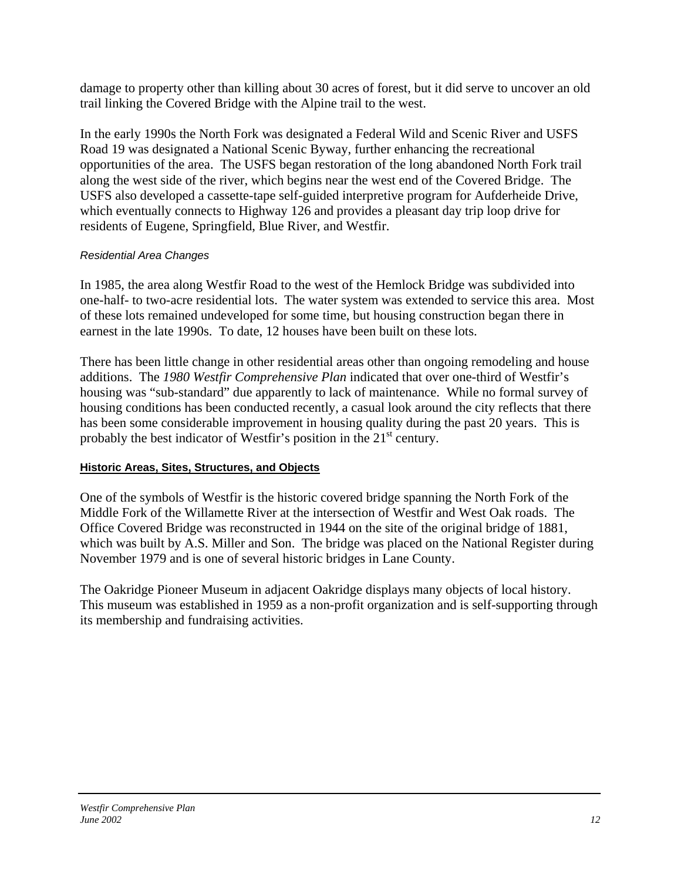damage to property other than killing about 30 acres of forest, but it did serve to uncover an old trail linking the Covered Bridge with the Alpine trail to the west.

In the early 1990s the North Fork was designated a Federal Wild and Scenic River and USFS Road 19 was designated a National Scenic Byway, further enhancing the recreational opportunities of the area. The USFS began restoration of the long abandoned North Fork trail along the west side of the river, which begins near the west end of the Covered Bridge. The USFS also developed a cassette-tape self-guided interpretive program for Aufderheide Drive, which eventually connects to Highway 126 and provides a pleasant day trip loop drive for residents of Eugene, Springfield, Blue River, and Westfir.

## *Residential Area Changes*

In 1985, the area along Westfir Road to the west of the Hemlock Bridge was subdivided into one-half- to two-acre residential lots. The water system was extended to service this area. Most of these lots remained undeveloped for some time, but housing construction began there in earnest in the late 1990s. To date, 12 houses have been built on these lots.

There has been little change in other residential areas other than ongoing remodeling and house additions. The *1980 Westfir Comprehensive Plan* indicated that over one-third of Westfir's housing was "sub-standard" due apparently to lack of maintenance. While no formal survey of housing conditions has been conducted recently, a casual look around the city reflects that there has been some considerable improvement in housing quality during the past 20 years. This is probably the best indicator of Westfir's position in the  $21<sup>st</sup>$  century.

## **Historic Areas, Sites, Structures, and Objects**

One of the symbols of Westfir is the historic covered bridge spanning the North Fork of the Middle Fork of the Willamette River at the intersection of Westfir and West Oak roads. The Office Covered Bridge was reconstructed in 1944 on the site of the original bridge of 1881, which was built by A.S. Miller and Son. The bridge was placed on the National Register during November 1979 and is one of several historic bridges in Lane County.

The Oakridge Pioneer Museum in adjacent Oakridge displays many objects of local history. This museum was established in 1959 as a non-profit organization and is self-supporting through its membership and fundraising activities.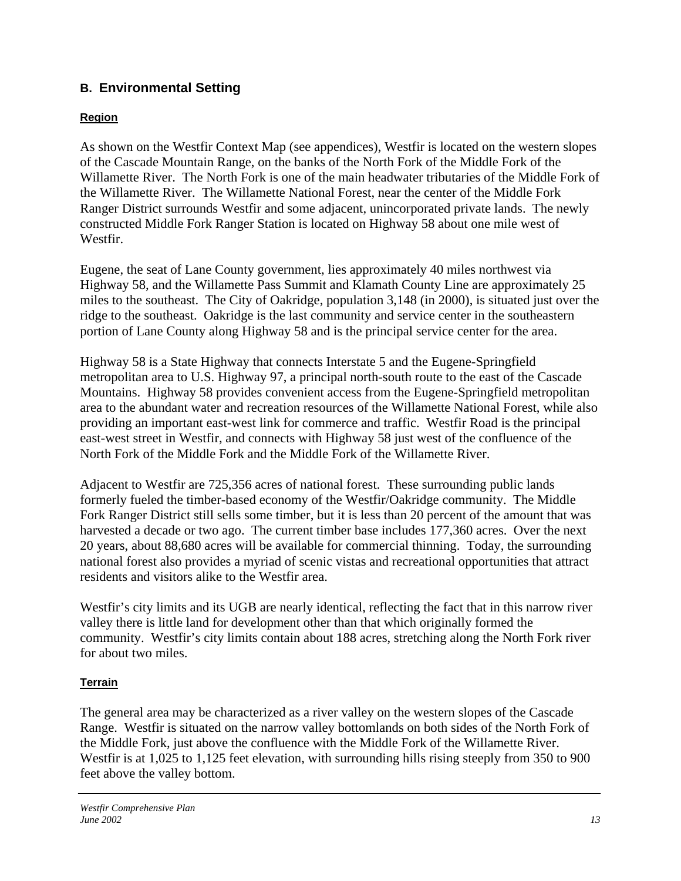# **B. Environmental Setting**

# **Region**

As shown on the Westfir Context Map (see appendices), Westfir is located on the western slopes of the Cascade Mountain Range, on the banks of the North Fork of the Middle Fork of the Willamette River. The North Fork is one of the main headwater tributaries of the Middle Fork of the Willamette River. The Willamette National Forest, near the center of the Middle Fork Ranger District surrounds Westfir and some adjacent, unincorporated private lands. The newly constructed Middle Fork Ranger Station is located on Highway 58 about one mile west of Westfir.

Eugene, the seat of Lane County government, lies approximately 40 miles northwest via Highway 58, and the Willamette Pass Summit and Klamath County Line are approximately 25 miles to the southeast. The City of Oakridge, population 3,148 (in 2000), is situated just over the ridge to the southeast. Oakridge is the last community and service center in the southeastern portion of Lane County along Highway 58 and is the principal service center for the area.

Highway 58 is a State Highway that connects Interstate 5 and the Eugene-Springfield metropolitan area to U.S. Highway 97, a principal north-south route to the east of the Cascade Mountains. Highway 58 provides convenient access from the Eugene-Springfield metropolitan area to the abundant water and recreation resources of the Willamette National Forest, while also providing an important east-west link for commerce and traffic. Westfir Road is the principal east-west street in Westfir, and connects with Highway 58 just west of the confluence of the North Fork of the Middle Fork and the Middle Fork of the Willamette River.

Adjacent to Westfir are 725,356 acres of national forest. These surrounding public lands formerly fueled the timber-based economy of the Westfir/Oakridge community. The Middle Fork Ranger District still sells some timber, but it is less than 20 percent of the amount that was harvested a decade or two ago. The current timber base includes 177,360 acres. Over the next 20 years, about 88,680 acres will be available for commercial thinning. Today, the surrounding national forest also provides a myriad of scenic vistas and recreational opportunities that attract residents and visitors alike to the Westfir area.

Westfir's city limits and its UGB are nearly identical, reflecting the fact that in this narrow river valley there is little land for development other than that which originally formed the community. Westfir's city limits contain about 188 acres, stretching along the North Fork river for about two miles.

# **Terrain**

The general area may be characterized as a river valley on the western slopes of the Cascade Range. Westfir is situated on the narrow valley bottomlands on both sides of the North Fork of the Middle Fork, just above the confluence with the Middle Fork of the Willamette River. Westfir is at 1,025 to 1,125 feet elevation, with surrounding hills rising steeply from 350 to 900 feet above the valley bottom.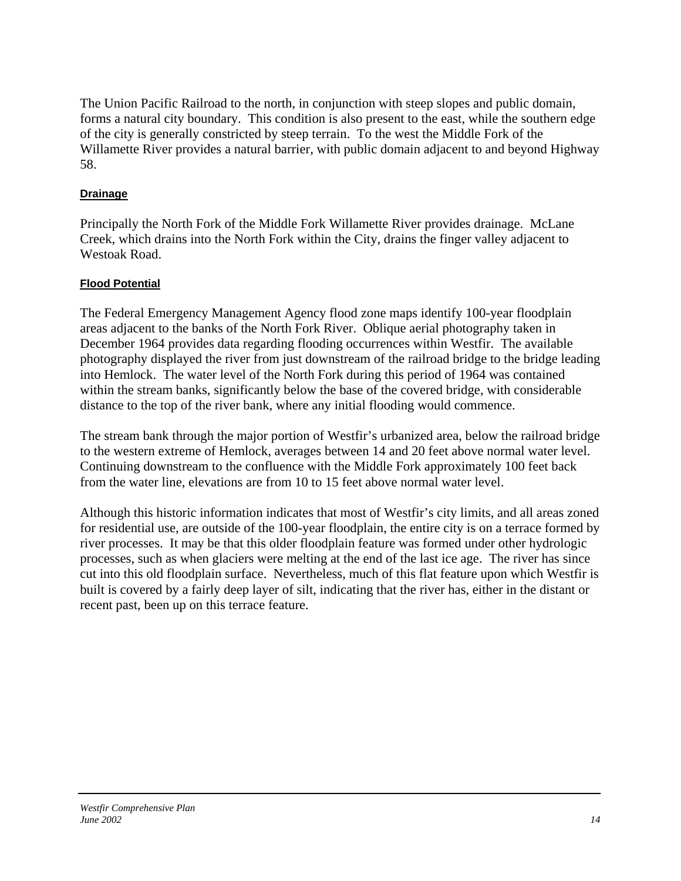The Union Pacific Railroad to the north, in conjunction with steep slopes and public domain, forms a natural city boundary. This condition is also present to the east, while the southern edge of the city is generally constricted by steep terrain. To the west the Middle Fork of the Willamette River provides a natural barrier, with public domain adjacent to and beyond Highway 58.

## **Drainage**

Principally the North Fork of the Middle Fork Willamette River provides drainage. McLane Creek, which drains into the North Fork within the City, drains the finger valley adjacent to Westoak Road.

## **Flood Potential**

The Federal Emergency Management Agency flood zone maps identify 100-year floodplain areas adjacent to the banks of the North Fork River. Oblique aerial photography taken in December 1964 provides data regarding flooding occurrences within Westfir. The available photography displayed the river from just downstream of the railroad bridge to the bridge leading into Hemlock. The water level of the North Fork during this period of 1964 was contained within the stream banks, significantly below the base of the covered bridge, with considerable distance to the top of the river bank, where any initial flooding would commence.

The stream bank through the major portion of Westfir's urbanized area, below the railroad bridge to the western extreme of Hemlock, averages between 14 and 20 feet above normal water level. Continuing downstream to the confluence with the Middle Fork approximately 100 feet back from the water line, elevations are from 10 to 15 feet above normal water level.

Although this historic information indicates that most of Westfir's city limits, and all areas zoned for residential use, are outside of the 100-year floodplain, the entire city is on a terrace formed by river processes. It may be that this older floodplain feature was formed under other hydrologic processes, such as when glaciers were melting at the end of the last ice age. The river has since cut into this old floodplain surface. Nevertheless, much of this flat feature upon which Westfir is built is covered by a fairly deep layer of silt, indicating that the river has, either in the distant or recent past, been up on this terrace feature.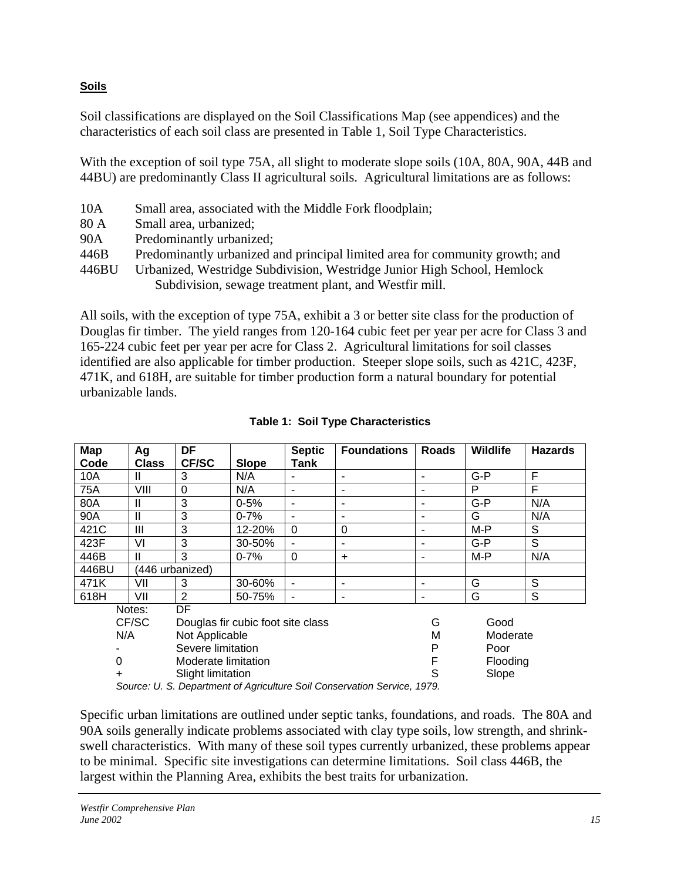# **Soils**

Soil classifications are displayed on the Soil Classifications Map (see appendices) and the characteristics of each soil class are presented in Table 1, Soil Type Characteristics.

With the exception of soil type 75A, all slight to moderate slope soils (10A, 80A, 90A, 44B and 44BU) are predominantly Class II agricultural soils. Agricultural limitations are as follows:

- 10A Small area, associated with the Middle Fork floodplain;
- 80 A Small area, urbanized;
- 90A Predominantly urbanized;
- 446B Predominantly urbanized and principal limited area for community growth; and
- 446BU Urbanized, Westridge Subdivision, Westridge Junior High School, Hemlock Subdivision, sewage treatment plant, and Westfir mill.

All soils, with the exception of type 75A, exhibit a 3 or better site class for the production of Douglas fir timber. The yield ranges from 120-164 cubic feet per year per acre for Class 3 and 165-224 cubic feet per year per acre for Class 2. Agricultural limitations for soil classes identified are also applicable for timber production. Steeper slope soils, such as 421C, 423F, 471K, and 618H, are suitable for timber production form a natural boundary for potential urbanizable lands.

| Map                                                                    | Ag                  | DF                                |              | <b>Septic</b> | <b>Foundations</b> | <b>Roads</b> | Wildlife | <b>Hazards</b> |
|------------------------------------------------------------------------|---------------------|-----------------------------------|--------------|---------------|--------------------|--------------|----------|----------------|
| Code                                                                   | <b>Class</b>        | <b>CF/SC</b>                      | <b>Slope</b> | Tank          |                    |              |          |                |
| 10A                                                                    | Ш                   | 3                                 | N/A          |               |                    |              | $G-P$    | F              |
| 75A                                                                    | VIII                | 0                                 | N/A          |               |                    |              | P        | F              |
| 80A                                                                    | $\mathsf{II}$       | 3                                 | $0 - 5%$     |               |                    |              | $G-P$    | N/A            |
| 90A                                                                    | Ш                   | 3                                 | $0 - 7%$     | ۰             |                    | -            | G        | N/A            |
| 421C                                                                   | Ш                   | 3                                 | 12-20%       | 0             | 0                  |              | $M-P$    | S              |
| 423F                                                                   | VI                  | 3                                 | 30-50%       | ۰             | ۰                  |              | $G-P$    | S              |
| 446B                                                                   | Ш                   | 3                                 | $0 - 7%$     | $\Omega$      | $\ddot{}$          |              | M-P      | N/A            |
| 446BU                                                                  |                     | (446 urbanized)                   |              |               |                    |              |          |                |
| 471K                                                                   | VII                 | 3                                 | 30-60%       |               |                    |              | G        | S              |
| 618H                                                                   | VII                 | $\overline{2}$                    | 50-75%       |               | -                  | ۰            | G        | S              |
|                                                                        | Notes:              | DF                                |              |               |                    |              |          |                |
|                                                                        | CF/SC               | Douglas fir cubic foot site class |              |               |                    | G            | Good     |                |
| N/A<br>Not Applicable<br>м                                             |                     | Moderate                          |              |               |                    |              |          |                |
|                                                                        | Severe limitation   |                                   | P            | Poor          |                    |              |          |                |
| 0                                                                      | Moderate limitation |                                   |              |               | Flooding           |              |          |                |
|                                                                        |                     | Slope<br>Slight limitation        |              |               |                    |              |          |                |
| Source: II S. Department of Agriculture Soil Conservation Service 1979 |                     |                                   |              |               |                    |              |          |                |

**Table 1: Soil Type Characteristics** 

*Source: U. S. Department of Agriculture Soil Conservation Service, 1979.* 

Specific urban limitations are outlined under septic tanks, foundations, and roads. The 80A and 90A soils generally indicate problems associated with clay type soils, low strength, and shrinkswell characteristics. With many of these soil types currently urbanized, these problems appear to be minimal. Specific site investigations can determine limitations. Soil class 446B, the largest within the Planning Area, exhibits the best traits for urbanization.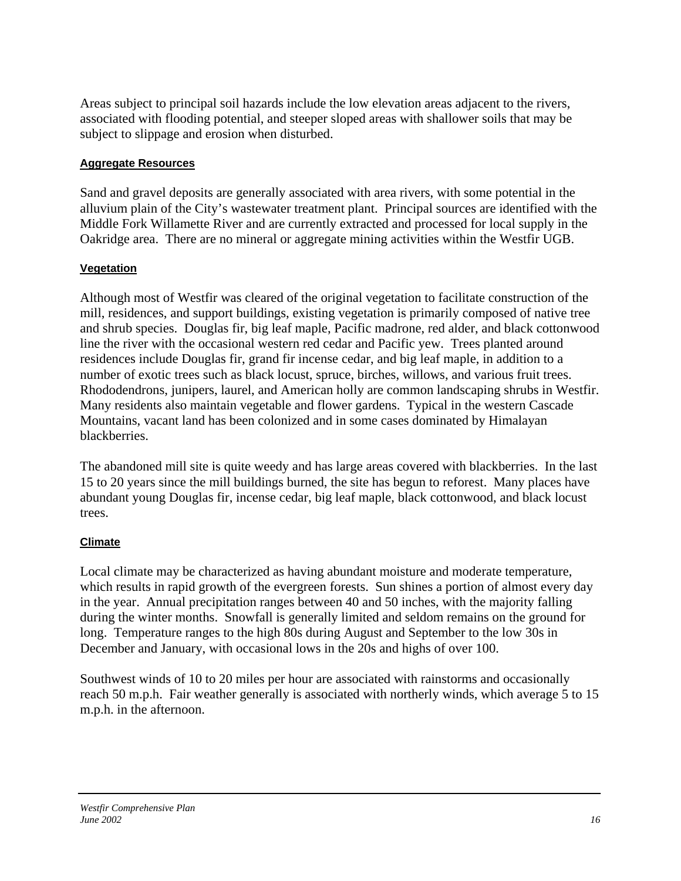Areas subject to principal soil hazards include the low elevation areas adjacent to the rivers, associated with flooding potential, and steeper sloped areas with shallower soils that may be subject to slippage and erosion when disturbed.

## **Aggregate Resources**

Sand and gravel deposits are generally associated with area rivers, with some potential in the alluvium plain of the City's wastewater treatment plant. Principal sources are identified with the Middle Fork Willamette River and are currently extracted and processed for local supply in the Oakridge area. There are no mineral or aggregate mining activities within the Westfir UGB.

# **Vegetation**

Although most of Westfir was cleared of the original vegetation to facilitate construction of the mill, residences, and support buildings, existing vegetation is primarily composed of native tree and shrub species. Douglas fir, big leaf maple, Pacific madrone, red alder, and black cottonwood line the river with the occasional western red cedar and Pacific yew. Trees planted around residences include Douglas fir, grand fir incense cedar, and big leaf maple, in addition to a number of exotic trees such as black locust, spruce, birches, willows, and various fruit trees. Rhododendrons, junipers, laurel, and American holly are common landscaping shrubs in Westfir. Many residents also maintain vegetable and flower gardens. Typical in the western Cascade Mountains, vacant land has been colonized and in some cases dominated by Himalayan blackberries.

The abandoned mill site is quite weedy and has large areas covered with blackberries. In the last 15 to 20 years since the mill buildings burned, the site has begun to reforest. Many places have abundant young Douglas fir, incense cedar, big leaf maple, black cottonwood, and black locust trees.

# **Climate**

Local climate may be characterized as having abundant moisture and moderate temperature, which results in rapid growth of the evergreen forests. Sun shines a portion of almost every day in the year. Annual precipitation ranges between 40 and 50 inches, with the majority falling during the winter months. Snowfall is generally limited and seldom remains on the ground for long. Temperature ranges to the high 80s during August and September to the low 30s in December and January, with occasional lows in the 20s and highs of over 100.

Southwest winds of 10 to 20 miles per hour are associated with rainstorms and occasionally reach 50 m.p.h. Fair weather generally is associated with northerly winds, which average 5 to 15 m.p.h. in the afternoon.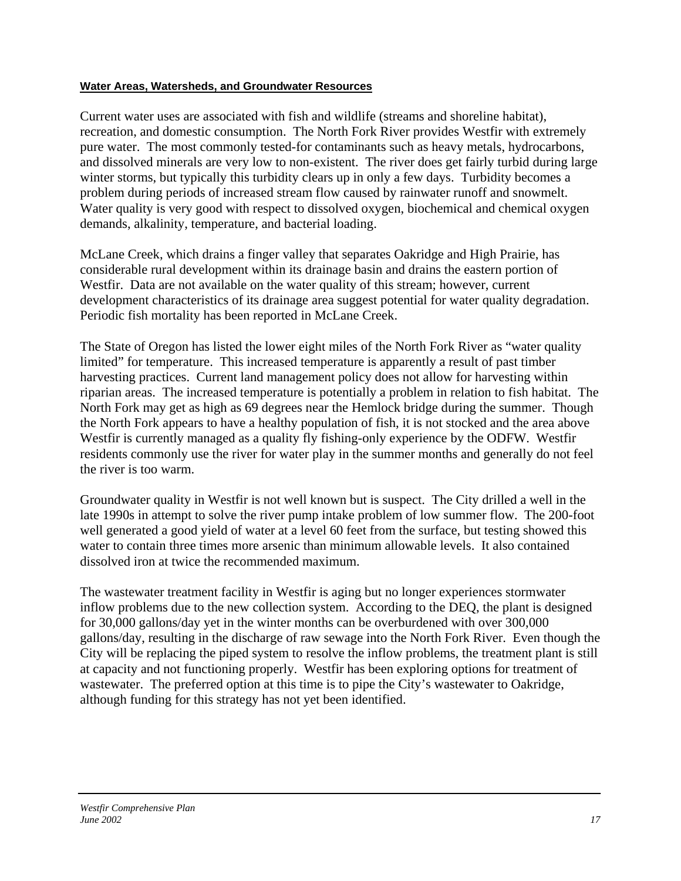#### **Water Areas, Watersheds, and Groundwater Resources**

Current water uses are associated with fish and wildlife (streams and shoreline habitat), recreation, and domestic consumption. The North Fork River provides Westfir with extremely pure water. The most commonly tested-for contaminants such as heavy metals, hydrocarbons, and dissolved minerals are very low to non-existent. The river does get fairly turbid during large winter storms, but typically this turbidity clears up in only a few days. Turbidity becomes a problem during periods of increased stream flow caused by rainwater runoff and snowmelt. Water quality is very good with respect to dissolved oxygen, biochemical and chemical oxygen demands, alkalinity, temperature, and bacterial loading.

McLane Creek, which drains a finger valley that separates Oakridge and High Prairie, has considerable rural development within its drainage basin and drains the eastern portion of Westfir. Data are not available on the water quality of this stream; however, current development characteristics of its drainage area suggest potential for water quality degradation. Periodic fish mortality has been reported in McLane Creek.

The State of Oregon has listed the lower eight miles of the North Fork River as "water quality limited" for temperature. This increased temperature is apparently a result of past timber harvesting practices. Current land management policy does not allow for harvesting within riparian areas. The increased temperature is potentially a problem in relation to fish habitat. The North Fork may get as high as 69 degrees near the Hemlock bridge during the summer. Though the North Fork appears to have a healthy population of fish, it is not stocked and the area above Westfir is currently managed as a quality fly fishing-only experience by the ODFW. Westfir residents commonly use the river for water play in the summer months and generally do not feel the river is too warm.

Groundwater quality in Westfir is not well known but is suspect. The City drilled a well in the late 1990s in attempt to solve the river pump intake problem of low summer flow. The 200-foot well generated a good yield of water at a level 60 feet from the surface, but testing showed this water to contain three times more arsenic than minimum allowable levels. It also contained dissolved iron at twice the recommended maximum.

The wastewater treatment facility in Westfir is aging but no longer experiences stormwater inflow problems due to the new collection system. According to the DEQ, the plant is designed for 30,000 gallons/day yet in the winter months can be overburdened with over 300,000 gallons/day, resulting in the discharge of raw sewage into the North Fork River. Even though the City will be replacing the piped system to resolve the inflow problems, the treatment plant is still at capacity and not functioning properly. Westfir has been exploring options for treatment of wastewater. The preferred option at this time is to pipe the City's wastewater to Oakridge, although funding for this strategy has not yet been identified.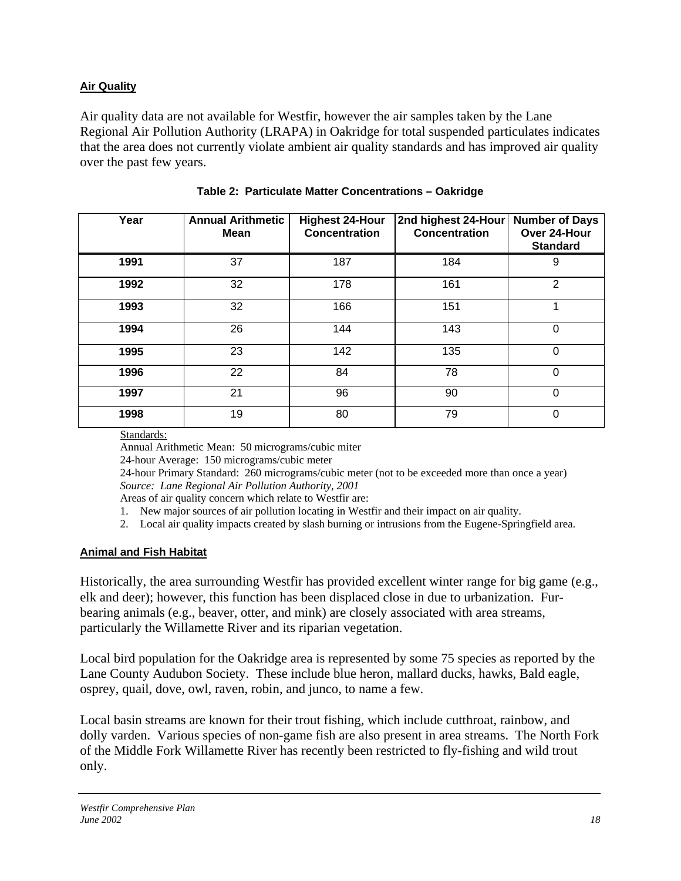## **Air Quality**

Air quality data are not available for Westfir, however the air samples taken by the Lane Regional Air Pollution Authority (LRAPA) in Oakridge for total suspended particulates indicates that the area does not currently violate ambient air quality standards and has improved air quality over the past few years.

| Year | <b>Annual Arithmetic</b><br><b>Mean</b> | <b>Highest 24-Hour</b><br><b>Concentration</b> | 2nd highest 24-Hour<br><b>Concentration</b> | <b>Number of Days</b><br>Over 24-Hour<br><b>Standard</b> |
|------|-----------------------------------------|------------------------------------------------|---------------------------------------------|----------------------------------------------------------|
| 1991 | 37                                      | 187                                            | 184                                         | 9                                                        |
| 1992 | 32                                      | 178                                            | 161                                         | 2                                                        |
| 1993 | 32                                      | 166                                            | 151                                         | 1                                                        |
| 1994 | 26                                      | 144                                            | 143                                         | 0                                                        |
| 1995 | 23                                      | 142                                            | 135                                         | 0                                                        |
| 1996 | 22                                      | 84                                             | 78                                          | $\Omega$                                                 |
| 1997 | 21                                      | 96                                             | 90                                          | $\Omega$                                                 |
| 1998 | 19                                      | 80                                             | 79                                          | $\Omega$                                                 |

|  | Table 2: Particulate Matter Concentrations - Oakridge |
|--|-------------------------------------------------------|

Standards:

Annual Arithmetic Mean: 50 micrograms/cubic miter

24-hour Average: 150 micrograms/cubic meter

24-hour Primary Standard: 260 micrograms/cubic meter (not to be exceeded more than once a year) *Source: Lane Regional Air Pollution Authority, 2001* 

Areas of air quality concern which relate to Westfir are:

1. New major sources of air pollution locating in Westfir and their impact on air quality.

2. Local air quality impacts created by slash burning or intrusions from the Eugene-Springfield area.

#### **Animal and Fish Habitat**

Historically, the area surrounding Westfir has provided excellent winter range for big game (e.g., elk and deer); however, this function has been displaced close in due to urbanization. Furbearing animals (e.g., beaver, otter, and mink) are closely associated with area streams, particularly the Willamette River and its riparian vegetation.

Local bird population for the Oakridge area is represented by some 75 species as reported by the Lane County Audubon Society. These include blue heron, mallard ducks, hawks, Bald eagle, osprey, quail, dove, owl, raven, robin, and junco, to name a few.

Local basin streams are known for their trout fishing, which include cutthroat, rainbow, and dolly varden. Various species of non-game fish are also present in area streams. The North Fork of the Middle Fork Willamette River has recently been restricted to fly-fishing and wild trout only.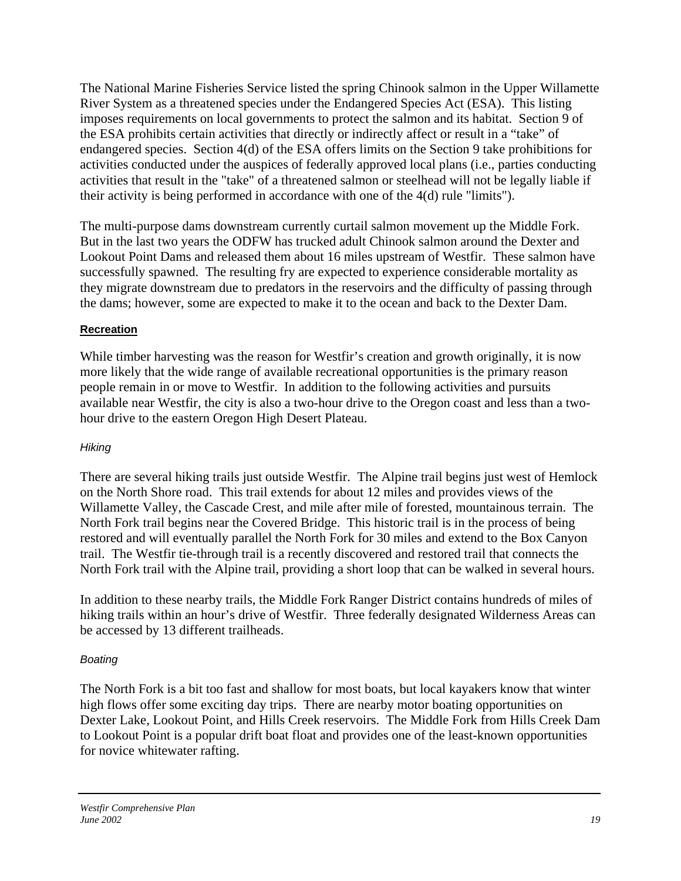The National Marine Fisheries Service listed the spring Chinook salmon in the Upper Willamette River System as a threatened species under the Endangered Species Act (ESA). This listing imposes requirements on local governments to protect the salmon and its habitat. Section 9 of the ESA prohibits certain activities that directly or indirectly affect or result in a "take" of endangered species. Section 4(d) of the ESA offers limits on the Section 9 take prohibitions for activities conducted under the auspices of federally approved local plans (i.e., parties conducting activities that result in the "take" of a threatened salmon or steelhead will not be legally liable if their activity is being performed in accordance with one of the 4(d) rule "limits").

The multi-purpose dams downstream currently curtail salmon movement up the Middle Fork. But in the last two years the ODFW has trucked adult Chinook salmon around the Dexter and Lookout Point Dams and released them about 16 miles upstream of Westfir. These salmon have successfully spawned. The resulting fry are expected to experience considerable mortality as they migrate downstream due to predators in the reservoirs and the difficulty of passing through the dams; however, some are expected to make it to the ocean and back to the Dexter Dam.

## **Recreation**

While timber harvesting was the reason for Westfir's creation and growth originally, it is now more likely that the wide range of available recreational opportunities is the primary reason people remain in or move to Westfir. In addition to the following activities and pursuits available near Westfir, the city is also a two-hour drive to the Oregon coast and less than a twohour drive to the eastern Oregon High Desert Plateau.

## *Hiking*

There are several hiking trails just outside Westfir. The Alpine trail begins just west of Hemlock on the North Shore road. This trail extends for about 12 miles and provides views of the Willamette Valley, the Cascade Crest, and mile after mile of forested, mountainous terrain. The North Fork trail begins near the Covered Bridge. This historic trail is in the process of being restored and will eventually parallel the North Fork for 30 miles and extend to the Box Canyon trail. The Westfir tie-through trail is a recently discovered and restored trail that connects the North Fork trail with the Alpine trail, providing a short loop that can be walked in several hours.

In addition to these nearby trails, the Middle Fork Ranger District contains hundreds of miles of hiking trails within an hour's drive of Westfir. Three federally designated Wilderness Areas can be accessed by 13 different trailheads.

# *Boating*

The North Fork is a bit too fast and shallow for most boats, but local kayakers know that winter high flows offer some exciting day trips. There are nearby motor boating opportunities on Dexter Lake, Lookout Point, and Hills Creek reservoirs. The Middle Fork from Hills Creek Dam to Lookout Point is a popular drift boat float and provides one of the least-known opportunities for novice whitewater rafting.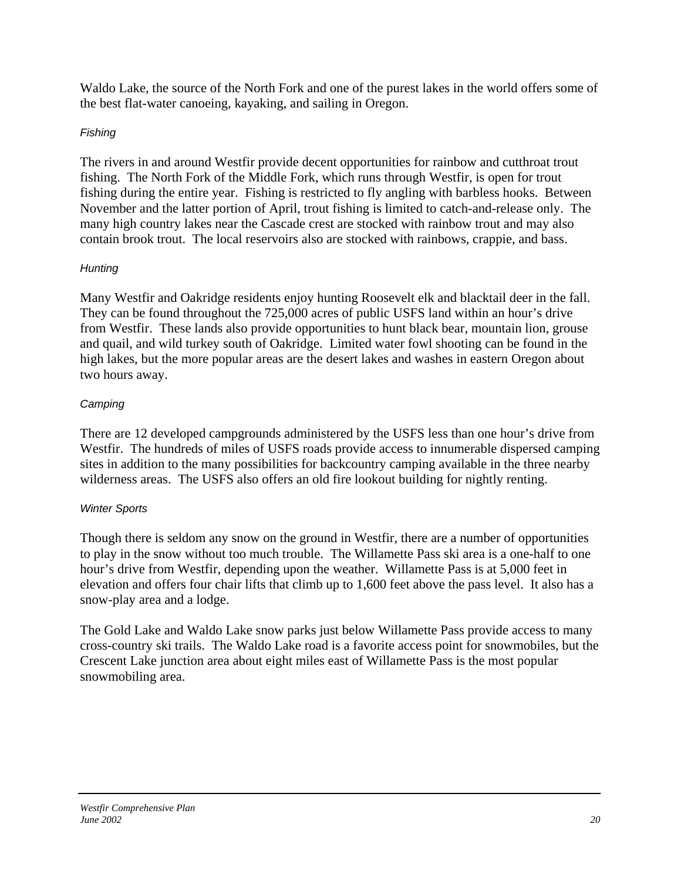Waldo Lake, the source of the North Fork and one of the purest lakes in the world offers some of the best flat-water canoeing, kayaking, and sailing in Oregon.

## *Fishing*

The rivers in and around Westfir provide decent opportunities for rainbow and cutthroat trout fishing. The North Fork of the Middle Fork, which runs through Westfir, is open for trout fishing during the entire year. Fishing is restricted to fly angling with barbless hooks. Between November and the latter portion of April, trout fishing is limited to catch-and-release only. The many high country lakes near the Cascade crest are stocked with rainbow trout and may also contain brook trout. The local reservoirs also are stocked with rainbows, crappie, and bass.

# *Hunting*

Many Westfir and Oakridge residents enjoy hunting Roosevelt elk and blacktail deer in the fall. They can be found throughout the 725,000 acres of public USFS land within an hour's drive from Westfir. These lands also provide opportunities to hunt black bear, mountain lion, grouse and quail, and wild turkey south of Oakridge. Limited water fowl shooting can be found in the high lakes, but the more popular areas are the desert lakes and washes in eastern Oregon about two hours away.

# *Camping*

There are 12 developed campgrounds administered by the USFS less than one hour's drive from Westfir. The hundreds of miles of USFS roads provide access to innumerable dispersed camping sites in addition to the many possibilities for backcountry camping available in the three nearby wilderness areas. The USFS also offers an old fire lookout building for nightly renting.

# *Winter Sports*

Though there is seldom any snow on the ground in Westfir, there are a number of opportunities to play in the snow without too much trouble. The Willamette Pass ski area is a one-half to one hour's drive from Westfir, depending upon the weather. Willamette Pass is at 5,000 feet in elevation and offers four chair lifts that climb up to 1,600 feet above the pass level. It also has a snow-play area and a lodge.

The Gold Lake and Waldo Lake snow parks just below Willamette Pass provide access to many cross-country ski trails. The Waldo Lake road is a favorite access point for snowmobiles, but the Crescent Lake junction area about eight miles east of Willamette Pass is the most popular snowmobiling area.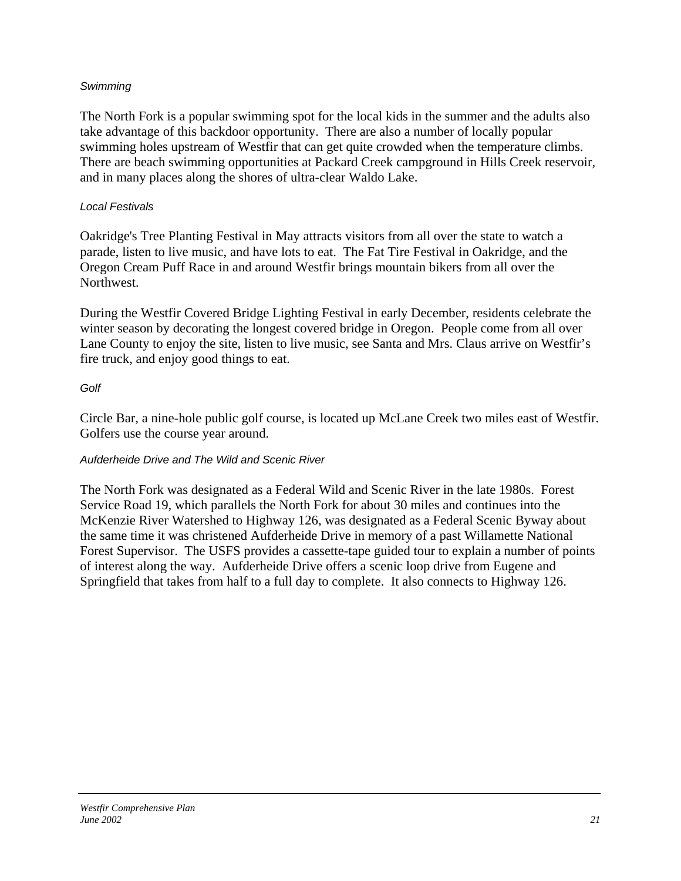## *Swimming*

The North Fork is a popular swimming spot for the local kids in the summer and the adults also take advantage of this backdoor opportunity. There are also a number of locally popular swimming holes upstream of Westfir that can get quite crowded when the temperature climbs. There are beach swimming opportunities at Packard Creek campground in Hills Creek reservoir, and in many places along the shores of ultra-clear Waldo Lake.

#### *Local Festivals*

Oakridge's Tree Planting Festival in May attracts visitors from all over the state to watch a parade, listen to live music, and have lots to eat. The Fat Tire Festival in Oakridge, and the Oregon Cream Puff Race in and around Westfir brings mountain bikers from all over the Northwest.

During the Westfir Covered Bridge Lighting Festival in early December, residents celebrate the winter season by decorating the longest covered bridge in Oregon. People come from all over Lane County to enjoy the site, listen to live music, see Santa and Mrs. Claus arrive on Westfir's fire truck, and enjoy good things to eat.

## *Golf*

Circle Bar, a nine-hole public golf course, is located up McLane Creek two miles east of Westfir. Golfers use the course year around.

## *Aufderheide Drive and The Wild and Scenic River*

The North Fork was designated as a Federal Wild and Scenic River in the late 1980s. Forest Service Road 19, which parallels the North Fork for about 30 miles and continues into the McKenzie River Watershed to Highway 126, was designated as a Federal Scenic Byway about the same time it was christened Aufderheide Drive in memory of a past Willamette National Forest Supervisor. The USFS provides a cassette-tape guided tour to explain a number of points of interest along the way. Aufderheide Drive offers a scenic loop drive from Eugene and Springfield that takes from half to a full day to complete. It also connects to Highway 126.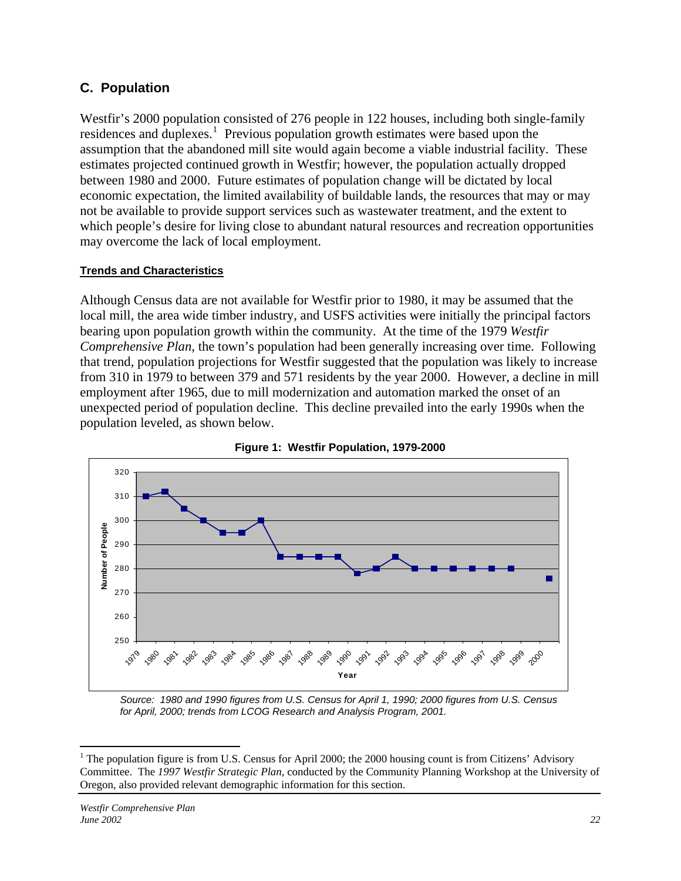# **C. Population**

Westfir's 2000 population consisted of 276 people in 122 houses, including both single-family residences and duplexes.<sup>[1](#page-21-0)</sup> Previous population growth estimates were based upon the assumption that the abandoned mill site would again become a viable industrial facility. These estimates projected continued growth in Westfir; however, the population actually dropped between 1980 and 2000. Future estimates of population change will be dictated by local economic expectation, the limited availability of buildable lands, the resources that may or may not be available to provide support services such as wastewater treatment, and the extent to which people's desire for living close to abundant natural resources and recreation opportunities may overcome the lack of local employment.

## **Trends and Characteristics**

Although Census data are not available for Westfir prior to 1980, it may be assumed that the local mill, the area wide timber industry, and USFS activities were initially the principal factors bearing upon population growth within the community. At the time of the 1979 *Westfir Comprehensive Plan*, the town's population had been generally increasing over time. Following that trend, population projections for Westfir suggested that the population was likely to increase from 310 in 1979 to between 379 and 571 residents by the year 2000. However, a decline in mill employment after 1965, due to mill modernization and automation marked the onset of an unexpected period of population decline. This decline prevailed into the early 1990s when the population leveled, as shown below.





*Source: 1980 and 1990 figures from U.S. Census for April 1, 1990; 2000 figures from U.S. Census for April, 2000; trends from LCOG Research and Analysis Program, 2001.* 

<span id="page-21-0"></span><sup>&</sup>lt;sup>1</sup> The population figure is from U.S. Census for April 2000; the 2000 housing count is from Citizens' Advisory Committee. The *1997 Westfir Strategic Plan*, conducted by the Community Planning Workshop at the University of Oregon, also provided relevant demographic information for this section.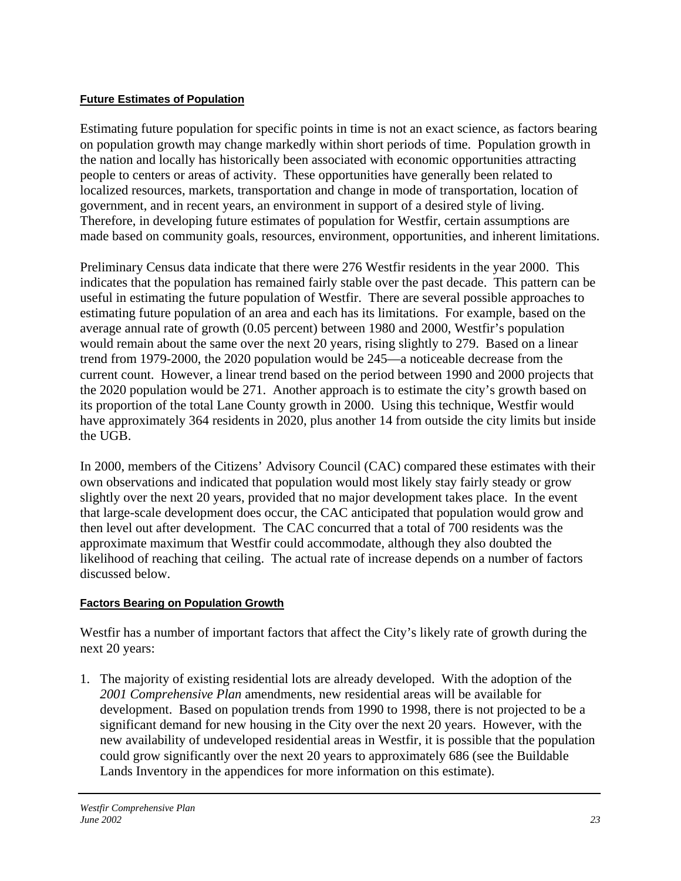#### **Future Estimates of Population**

Estimating future population for specific points in time is not an exact science, as factors bearing on population growth may change markedly within short periods of time. Population growth in the nation and locally has historically been associated with economic opportunities attracting people to centers or areas of activity. These opportunities have generally been related to localized resources, markets, transportation and change in mode of transportation, location of government, and in recent years, an environment in support of a desired style of living. Therefore, in developing future estimates of population for Westfir, certain assumptions are made based on community goals, resources, environment, opportunities, and inherent limitations.

Preliminary Census data indicate that there were 276 Westfir residents in the year 2000. This indicates that the population has remained fairly stable over the past decade. This pattern can be useful in estimating the future population of Westfir. There are several possible approaches to estimating future population of an area and each has its limitations. For example, based on the average annual rate of growth (0.05 percent) between 1980 and 2000, Westfir's population would remain about the same over the next 20 years, rising slightly to 279. Based on a linear trend from 1979-2000, the 2020 population would be 245—a noticeable decrease from the current count. However, a linear trend based on the period between 1990 and 2000 projects that the 2020 population would be 271. Another approach is to estimate the city's growth based on its proportion of the total Lane County growth in 2000. Using this technique, Westfir would have approximately 364 residents in 2020, plus another 14 from outside the city limits but inside the UGB.

In 2000, members of the Citizens' Advisory Council (CAC) compared these estimates with their own observations and indicated that population would most likely stay fairly steady or grow slightly over the next 20 years, provided that no major development takes place. In the event that large-scale development does occur, the CAC anticipated that population would grow and then level out after development. The CAC concurred that a total of 700 residents was the approximate maximum that Westfir could accommodate, although they also doubted the likelihood of reaching that ceiling. The actual rate of increase depends on a number of factors discussed below.

## **Factors Bearing on Population Growth**

Westfir has a number of important factors that affect the City's likely rate of growth during the next 20 years:

1. The majority of existing residential lots are already developed. With the adoption of the *2001 Comprehensive Plan* amendments, new residential areas will be available for development. Based on population trends from 1990 to 1998, there is not projected to be a significant demand for new housing in the City over the next 20 years. However, with the new availability of undeveloped residential areas in Westfir, it is possible that the population could grow significantly over the next 20 years to approximately 686 (see the Buildable Lands Inventory in the appendices for more information on this estimate).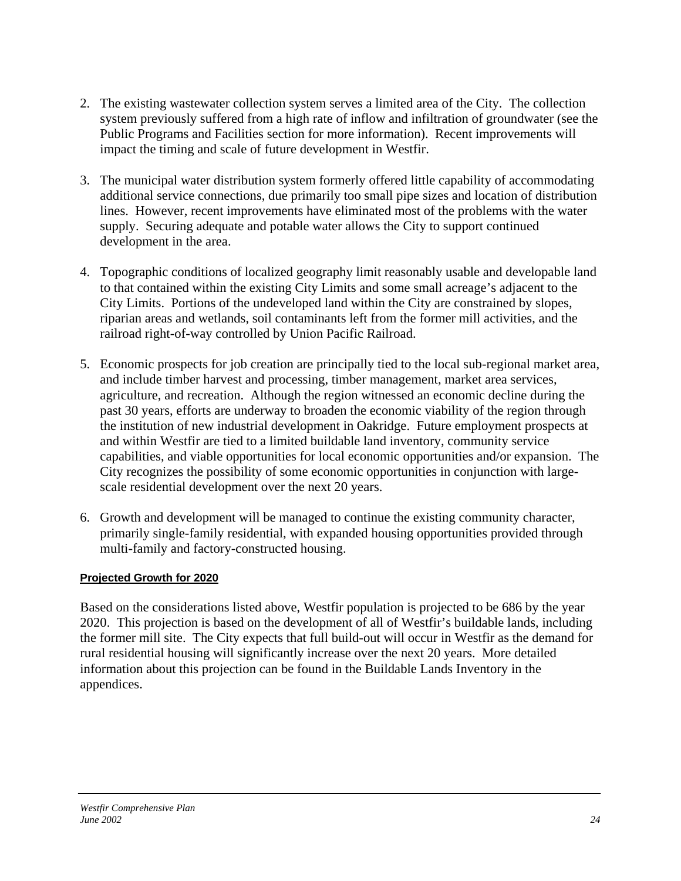- 2. The existing wastewater collection system serves a limited area of the City. The collection system previously suffered from a high rate of inflow and infiltration of groundwater (see the Public Programs and Facilities section for more information). Recent improvements will impact the timing and scale of future development in Westfir.
- 3. The municipal water distribution system formerly offered little capability of accommodating additional service connections, due primarily too small pipe sizes and location of distribution lines. However, recent improvements have eliminated most of the problems with the water supply. Securing adequate and potable water allows the City to support continued development in the area.
- 4. Topographic conditions of localized geography limit reasonably usable and developable land to that contained within the existing City Limits and some small acreage's adjacent to the City Limits. Portions of the undeveloped land within the City are constrained by slopes, riparian areas and wetlands, soil contaminants left from the former mill activities, and the railroad right-of-way controlled by Union Pacific Railroad.
- 5. Economic prospects for job creation are principally tied to the local sub-regional market area, and include timber harvest and processing, timber management, market area services, agriculture, and recreation. Although the region witnessed an economic decline during the past 30 years, efforts are underway to broaden the economic viability of the region through the institution of new industrial development in Oakridge. Future employment prospects at and within Westfir are tied to a limited buildable land inventory, community service capabilities, and viable opportunities for local economic opportunities and/or expansion. The City recognizes the possibility of some economic opportunities in conjunction with largescale residential development over the next 20 years.
- 6. Growth and development will be managed to continue the existing community character, primarily single-family residential, with expanded housing opportunities provided through multi-family and factory-constructed housing.

## **Projected Growth for 2020**

Based on the considerations listed above, Westfir population is projected to be 686 by the year 2020. This projection is based on the development of all of Westfir's buildable lands, including the former mill site. The City expects that full build-out will occur in Westfir as the demand for rural residential housing will significantly increase over the next 20 years. More detailed information about this projection can be found in the Buildable Lands Inventory in the appendices.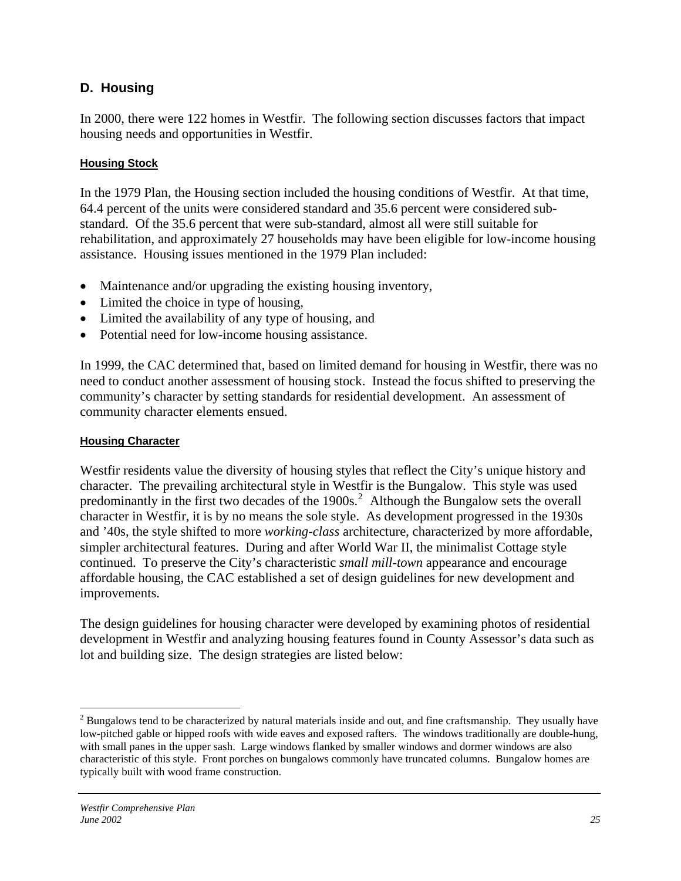# **D. Housing**

In 2000, there were 122 homes in Westfir. The following section discusses factors that impact housing needs and opportunities in Westfir.

## **Housing Stock**

In the 1979 Plan, the Housing section included the housing conditions of Westfir. At that time, 64.4 percent of the units were considered standard and 35.6 percent were considered substandard. Of the 35.6 percent that were sub-standard, almost all were still suitable for rehabilitation, and approximately 27 households may have been eligible for low-income housing assistance. Housing issues mentioned in the 1979 Plan included:

- Maintenance and/or upgrading the existing housing inventory,
- Limited the choice in type of housing,
- Limited the availability of any type of housing, and
- Potential need for low-income housing assistance.

In 1999, the CAC determined that, based on limited demand for housing in Westfir, there was no need to conduct another assessment of housing stock. Instead the focus shifted to preserving the community's character by setting standards for residential development. An assessment of community character elements ensued.

#### **Housing Character**

Westfir residents value the diversity of housing styles that reflect the City's unique history and character. The prevailing architectural style in Westfir is the Bungalow. This style was used predominantly in the first two decades of the 1900s.<sup>[2](#page-24-0)</sup> Although the Bungalow sets the overall character in Westfir, it is by no means the sole style. As development progressed in the 1930s and '40s, the style shifted to more *working-class* architecture, characterized by more affordable, simpler architectural features. During and after World War II, the minimalist Cottage style continued. To preserve the City's characteristic *small mill-town* appearance and encourage affordable housing, the CAC established a set of design guidelines for new development and improvements.

The design guidelines for housing character were developed by examining photos of residential development in Westfir and analyzing housing features found in County Assessor's data such as lot and building size. The design strategies are listed below:

 $\overline{a}$ 

<span id="page-24-0"></span> $2^{2}$  Bungalows tend to be characterized by natural materials inside and out, and fine craftsmanship. They usually have low-pitched gable or hipped roofs with wide eaves and exposed rafters. The windows traditionally are double-hung, with small panes in the upper sash. Large windows flanked by smaller windows and dormer windows are also characteristic of this style. Front porches on bungalows commonly have truncated columns. Bungalow homes are typically built with wood frame construction.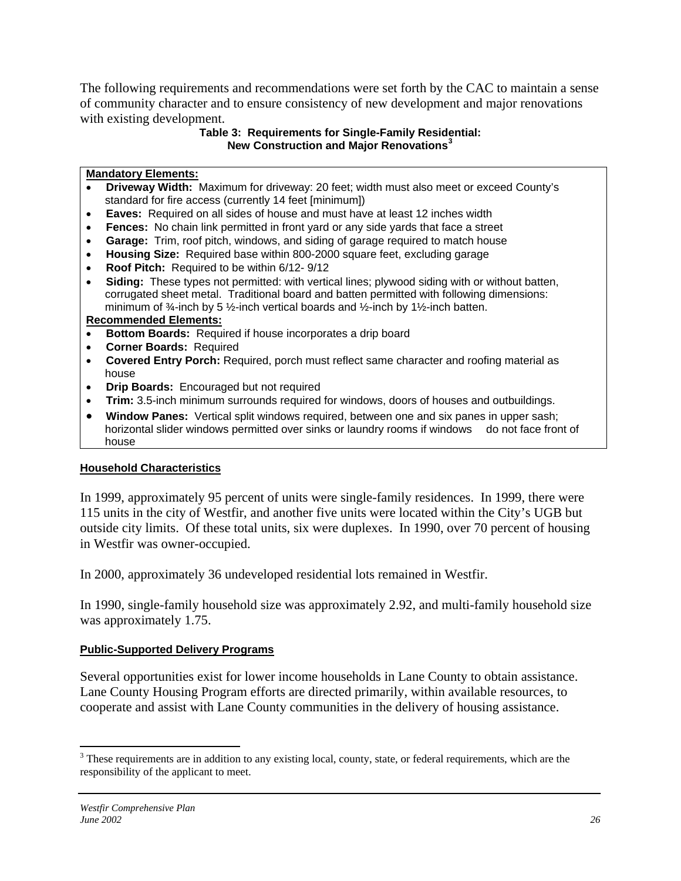The following requirements and recommendations were set forth by the CAC to maintain a sense of community character and to ensure consistency of new development and major renovations with existing development.

#### **Table 3: Requirements for Single-Family Residential: New Construction and Major Renovations[3](#page-25-0)**

#### **Mandatory Elements:**

- **Driveway Width:** Maximum for driveway: 20 feet; width must also meet or exceed County's standard for fire access (currently 14 feet [minimum])
- **Eaves:** Required on all sides of house and must have at least 12 inches width
- **Fences:** No chain link permitted in front yard or any side yards that face a street
- **Garage:** Trim, roof pitch, windows, and siding of garage required to match house
- **Housing Size:** Required base within 800-2000 square feet, excluding garage
- **Roof Pitch:** Required to be within 6/12- 9/12
- **Siding:** These types not permitted: with vertical lines; plywood siding with or without batten, corrugated sheet metal. Traditional board and batten permitted with following dimensions: minimum of  $\frac{3}{4}$ -inch by 5  $\frac{1}{2}$ -inch vertical boards and  $\frac{1}{2}$ -inch by 1 $\frac{1}{2}$ -inch batten.

#### **Recommended Elements:**

- **Bottom Boards:** Required if house incorporates a drip board
- **Corner Boards:** Required
- **Covered Entry Porch:** Required, porch must reflect same character and roofing material as house
- **Drip Boards:** Encouraged but not required
- **Trim:** 3.5-inch minimum surrounds required for windows, doors of houses and outbuildings.
- **Window Panes:** Vertical split windows required, between one and six panes in upper sash; horizontal slider windows permitted over sinks or laundry rooms if windows do not face front of house

## **Household Characteristics**

In 1999, approximately 95 percent of units were single-family residences. In 1999, there were 115 units in the city of Westfir, and another five units were located within the City's UGB but outside city limits. Of these total units, six were duplexes. In 1990, over 70 percent of housing in Westfir was owner-occupied.

In 2000, approximately 36 undeveloped residential lots remained in Westfir.

In 1990, single-family household size was approximately 2.92, and multi-family household size was approximately 1.75.

## **Public-Supported Delivery Programs**

Several opportunities exist for lower income households in Lane County to obtain assistance. Lane County Housing Program efforts are directed primarily, within available resources, to cooperate and assist with Lane County communities in the delivery of housing assistance.

<span id="page-25-0"></span><sup>&</sup>lt;sup>3</sup>These requirements are in addition to any existing local, county, state, or federal requirements, which are the responsibility of the applicant to meet.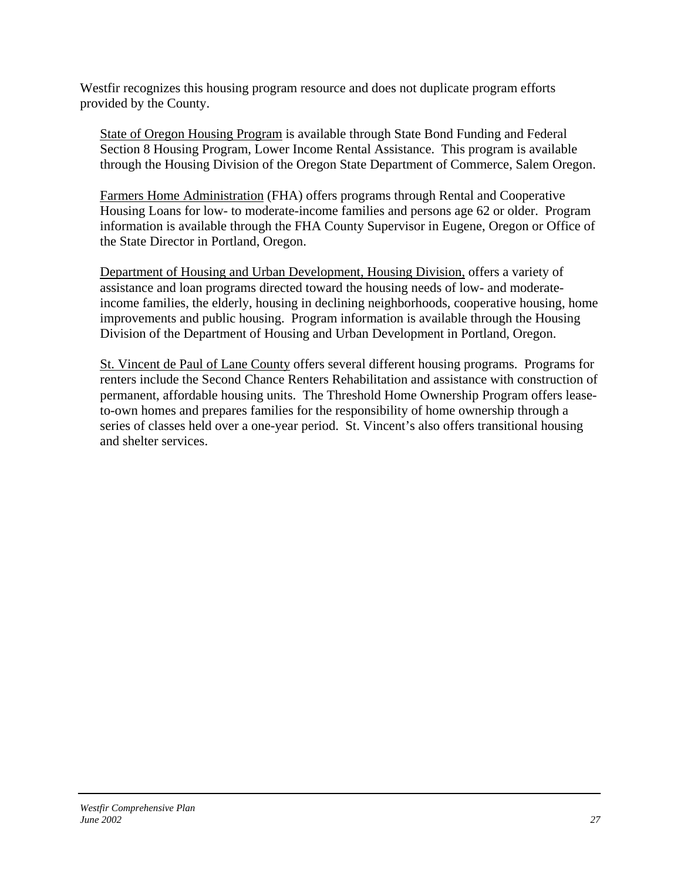Westfir recognizes this housing program resource and does not duplicate program efforts provided by the County.

State of Oregon Housing Program is available through State Bond Funding and Federal Section 8 Housing Program, Lower Income Rental Assistance. This program is available through the Housing Division of the Oregon State Department of Commerce, Salem Oregon.

Farmers Home Administration (FHA) offers programs through Rental and Cooperative Housing Loans for low- to moderate-income families and persons age 62 or older. Program information is available through the FHA County Supervisor in Eugene, Oregon or Office of the State Director in Portland, Oregon.

Department of Housing and Urban Development, Housing Division, offers a variety of assistance and loan programs directed toward the housing needs of low- and moderateincome families, the elderly, housing in declining neighborhoods, cooperative housing, home improvements and public housing. Program information is available through the Housing Division of the Department of Housing and Urban Development in Portland, Oregon.

St. Vincent de Paul of Lane County offers several different housing programs. Programs for renters include the Second Chance Renters Rehabilitation and assistance with construction of permanent, affordable housing units. The Threshold Home Ownership Program offers leaseto-own homes and prepares families for the responsibility of home ownership through a series of classes held over a one-year period. St. Vincent's also offers transitional housing and shelter services.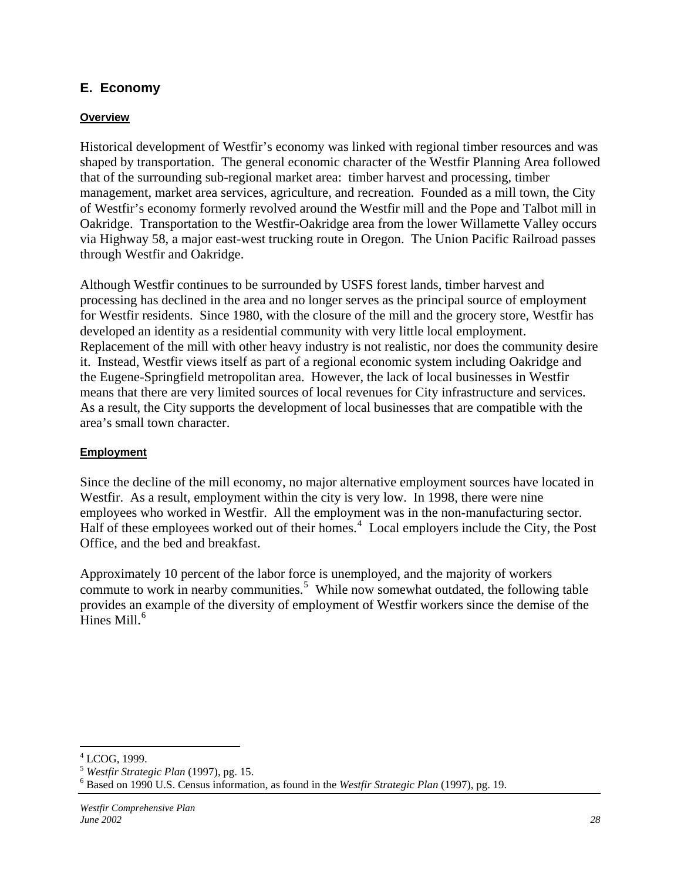# **E. Economy**

#### **Overview**

Historical development of Westfir's economy was linked with regional timber resources and was shaped by transportation. The general economic character of the Westfir Planning Area followed that of the surrounding sub-regional market area: timber harvest and processing, timber management, market area services, agriculture, and recreation. Founded as a mill town, the City of Westfir's economy formerly revolved around the Westfir mill and the Pope and Talbot mill in Oakridge. Transportation to the Westfir-Oakridge area from the lower Willamette Valley occurs via Highway 58, a major east-west trucking route in Oregon. The Union Pacific Railroad passes through Westfir and Oakridge.

Although Westfir continues to be surrounded by USFS forest lands, timber harvest and processing has declined in the area and no longer serves as the principal source of employment for Westfir residents. Since 1980, with the closure of the mill and the grocery store, Westfir has developed an identity as a residential community with very little local employment. Replacement of the mill with other heavy industry is not realistic, nor does the community desire it. Instead, Westfir views itself as part of a regional economic system including Oakridge and the Eugene-Springfield metropolitan area. However, the lack of local businesses in Westfir means that there are very limited sources of local revenues for City infrastructure and services. As a result, the City supports the development of local businesses that are compatible with the area's small town character.

#### **Employment**

Since the decline of the mill economy, no major alternative employment sources have located in Westfir. As a result, employment within the city is very low. In 1998, there were nine employees who worked in Westfir. All the employment was in the non-manufacturing sector. Half of these employees worked out of their homes.<sup>[4](#page-27-0)</sup> Local employers include the City, the Post Office, and the bed and breakfast.

Approximately 10 percent of the labor force is unemployed, and the majority of workers commute to work in nearby communities.<sup>[5](#page-27-1)</sup> While now somewhat outdated, the following table provides an example of the diversity of employment of Westfir workers since the demise of the Hines Mill. $<sup>6</sup>$  $<sup>6</sup>$  $<sup>6</sup>$ </sup>

 $\overline{a}$ 4 LCOG, 1999.

<span id="page-27-1"></span><span id="page-27-0"></span><sup>5</sup> *Westfir Strategic Plan* (1997), pg. 15. 6

<span id="page-27-2"></span>Based on 1990 U.S. Census information, as found in the *Westfir Strategic Plan* (1997), pg. 19.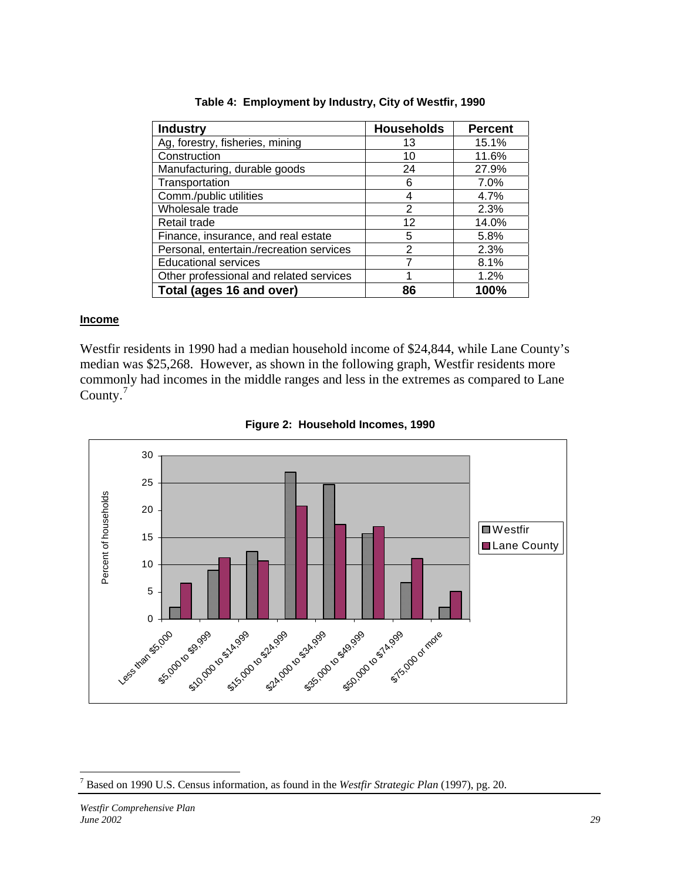| <b>Industry</b>                          | <b>Households</b> | <b>Percent</b> |
|------------------------------------------|-------------------|----------------|
| Ag, forestry, fisheries, mining          | 13                | 15.1%          |
| Construction                             | 10                | 11.6%          |
| Manufacturing, durable goods             | 24                | 27.9%          |
| Transportation                           | 6                 | $7.0\%$        |
| Comm./public utilities                   | 4                 | 4.7%           |
| Wholesale trade                          | 2                 | 2.3%           |
| Retail trade                             | 12                | 14.0%          |
| Finance, insurance, and real estate      | 5                 | 5.8%           |
| Personal, entertain./recreation services | $\overline{2}$    | 2.3%           |
| <b>Educational services</b>              |                   | 8.1%           |
| Other professional and related services  |                   | 1.2%           |
| Total (ages 16 and over)                 | 86                | 100%           |

**Table 4: Employment by Industry, City of Westfir, 1990** 

#### **Income**

Westfir residents in 1990 had a median household income of \$24,844, while Lane County's median was \$25,268. However, as shown in the following graph, Westfir residents more commonly had incomes in the middle ranges and less in the extremes as compared to Lane County.[7](#page-28-0)





 $\overline{a}$ 

<span id="page-28-0"></span><sup>7</sup> Based on 1990 U.S. Census information, as found in the *Westfir Strategic Plan* (1997), pg. 20.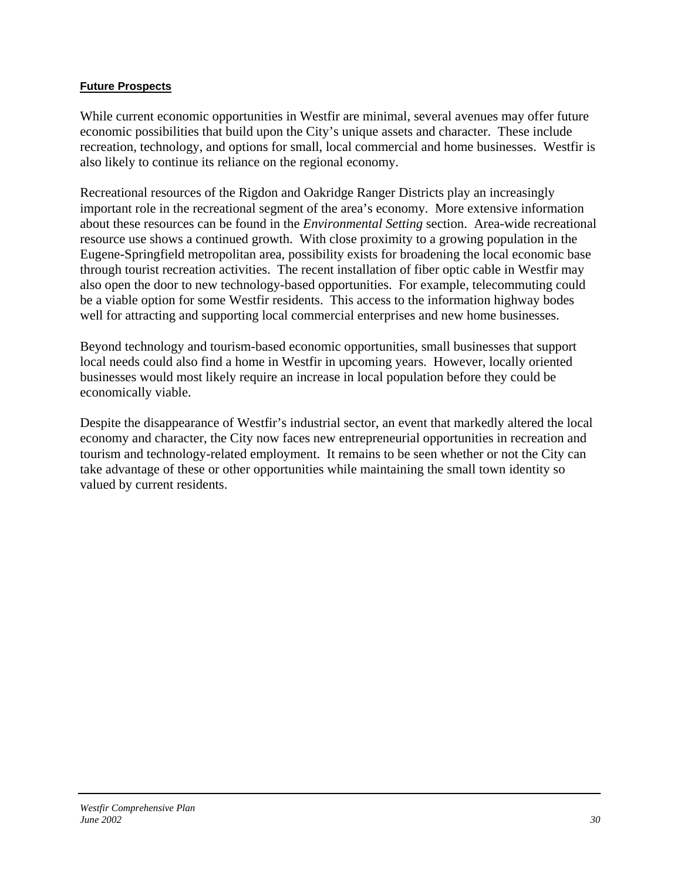#### **Future Prospects**

While current economic opportunities in Westfir are minimal, several avenues may offer future economic possibilities that build upon the City's unique assets and character. These include recreation, technology, and options for small, local commercial and home businesses. Westfir is also likely to continue its reliance on the regional economy.

Recreational resources of the Rigdon and Oakridge Ranger Districts play an increasingly important role in the recreational segment of the area's economy. More extensive information about these resources can be found in the *Environmental Setting* section. Area-wide recreational resource use shows a continued growth. With close proximity to a growing population in the Eugene-Springfield metropolitan area, possibility exists for broadening the local economic base through tourist recreation activities. The recent installation of fiber optic cable in Westfir may also open the door to new technology-based opportunities. For example, telecommuting could be a viable option for some Westfir residents. This access to the information highway bodes well for attracting and supporting local commercial enterprises and new home businesses.

Beyond technology and tourism-based economic opportunities, small businesses that support local needs could also find a home in Westfir in upcoming years. However, locally oriented businesses would most likely require an increase in local population before they could be economically viable.

Despite the disappearance of Westfir's industrial sector, an event that markedly altered the local economy and character, the City now faces new entrepreneurial opportunities in recreation and tourism and technology-related employment. It remains to be seen whether or not the City can take advantage of these or other opportunities while maintaining the small town identity so valued by current residents.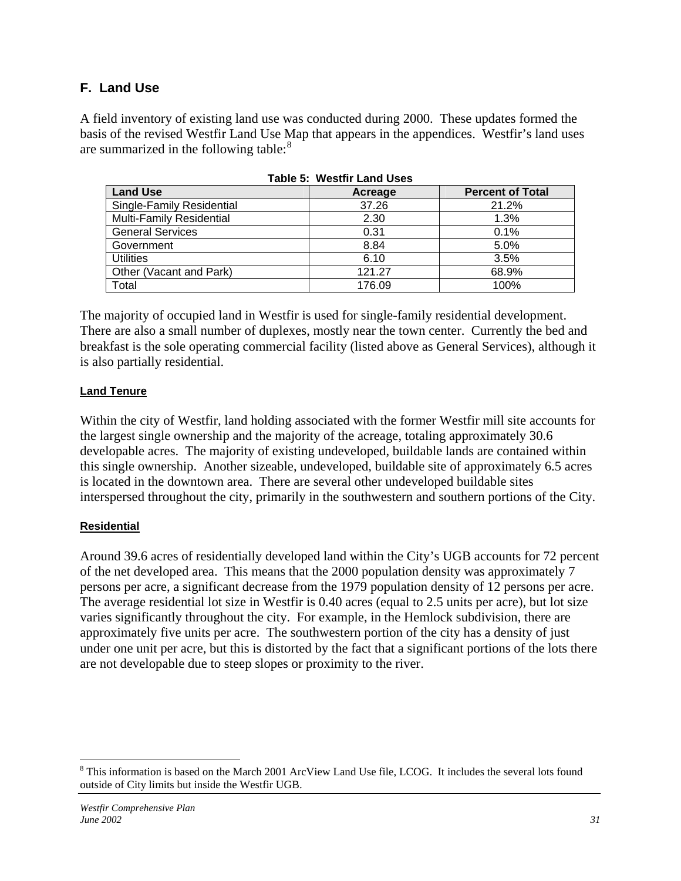# **F. Land Use**

A field inventory of existing land use was conducted during 2000. These updates formed the basis of the revised Westfir Land Use Map that appears in the appendices. Westfir's land uses are summarized in the following table: $8<sup>8</sup>$  $8<sup>8</sup>$ 

| <b>Land Use</b>           | Acreage | <b>Percent of Total</b> |  |  |  |  |
|---------------------------|---------|-------------------------|--|--|--|--|
| Single-Family Residential | 37.26   | 21.2%                   |  |  |  |  |
| Multi-Family Residential  | 2.30    | 1.3%                    |  |  |  |  |
| <b>General Services</b>   | 0.31    | 0.1%                    |  |  |  |  |
| Government                | 8.84    | 5.0%                    |  |  |  |  |
| <b>Utilities</b>          | 6.10    | 3.5%                    |  |  |  |  |
| Other (Vacant and Park)   | 121.27  | 68.9%                   |  |  |  |  |
| Total                     | 176.09  | 100%                    |  |  |  |  |

|  |  | Table 5:  Westfir Land Uses |  |
|--|--|-----------------------------|--|
|--|--|-----------------------------|--|

The majority of occupied land in Westfir is used for single-family residential development. There are also a small number of duplexes, mostly near the town center. Currently the bed and breakfast is the sole operating commercial facility (listed above as General Services), although it is also partially residential.

## **Land Tenure**

Within the city of Westfir, land holding associated with the former Westfir mill site accounts for the largest single ownership and the majority of the acreage, totaling approximately 30.6 developable acres. The majority of existing undeveloped, buildable lands are contained within this single ownership. Another sizeable, undeveloped, buildable site of approximately 6.5 acres is located in the downtown area. There are several other undeveloped buildable sites interspersed throughout the city, primarily in the southwestern and southern portions of the City.

## **Residential**

Around 39.6 acres of residentially developed land within the City's UGB accounts for 72 percent of the net developed area. This means that the 2000 population density was approximately 7 persons per acre, a significant decrease from the 1979 population density of 12 persons per acre. The average residential lot size in Westfir is 0.40 acres (equal to 2.5 units per acre), but lot size varies significantly throughout the city. For example, in the Hemlock subdivision, there are approximately five units per acre. The southwestern portion of the city has a density of just under one unit per acre, but this is distorted by the fact that a significant portions of the lots there are not developable due to steep slopes or proximity to the river.

 $\overline{a}$ 

<span id="page-30-0"></span><sup>&</sup>lt;sup>8</sup> This information is based on the March 2001 ArcView Land Use file, LCOG. It includes the several lots found outside of City limits but inside the Westfir UGB.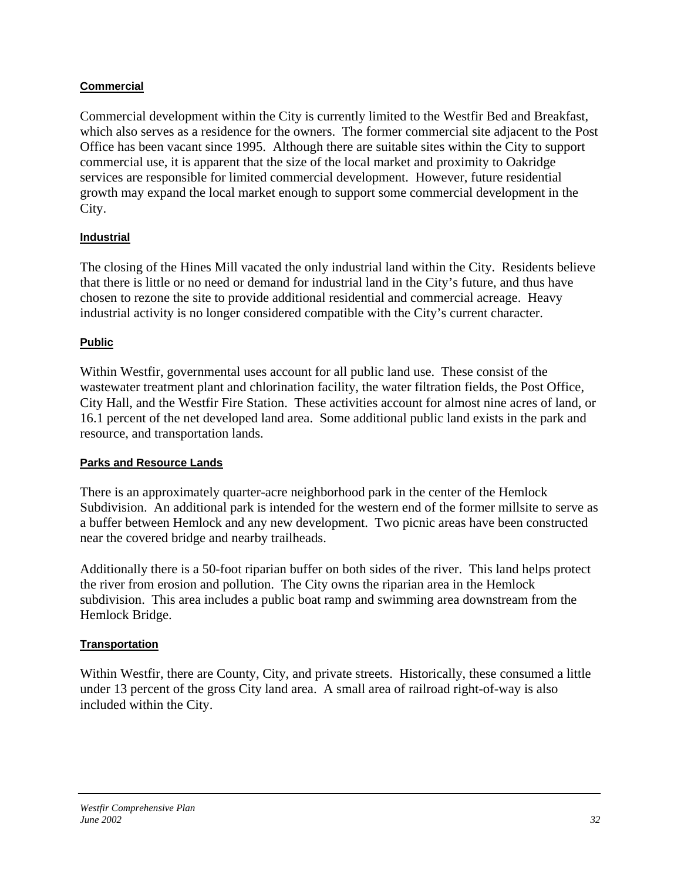## **Commercial**

Commercial development within the City is currently limited to the Westfir Bed and Breakfast, which also serves as a residence for the owners. The former commercial site adjacent to the Post Office has been vacant since 1995. Although there are suitable sites within the City to support commercial use, it is apparent that the size of the local market and proximity to Oakridge services are responsible for limited commercial development. However, future residential growth may expand the local market enough to support some commercial development in the City.

## **Industrial**

The closing of the Hines Mill vacated the only industrial land within the City. Residents believe that there is little or no need or demand for industrial land in the City's future, and thus have chosen to rezone the site to provide additional residential and commercial acreage. Heavy industrial activity is no longer considered compatible with the City's current character.

## **Public**

Within Westfir, governmental uses account for all public land use. These consist of the wastewater treatment plant and chlorination facility, the water filtration fields, the Post Office, City Hall, and the Westfir Fire Station. These activities account for almost nine acres of land, or 16.1 percent of the net developed land area. Some additional public land exists in the park and resource, and transportation lands.

## **Parks and Resource Lands**

There is an approximately quarter-acre neighborhood park in the center of the Hemlock Subdivision. An additional park is intended for the western end of the former millsite to serve as a buffer between Hemlock and any new development. Two picnic areas have been constructed near the covered bridge and nearby trailheads.

Additionally there is a 50-foot riparian buffer on both sides of the river. This land helps protect the river from erosion and pollution. The City owns the riparian area in the Hemlock subdivision. This area includes a public boat ramp and swimming area downstream from the Hemlock Bridge.

## **Transportation**

Within Westfir, there are County, City, and private streets. Historically, these consumed a little under 13 percent of the gross City land area. A small area of railroad right-of-way is also included within the City.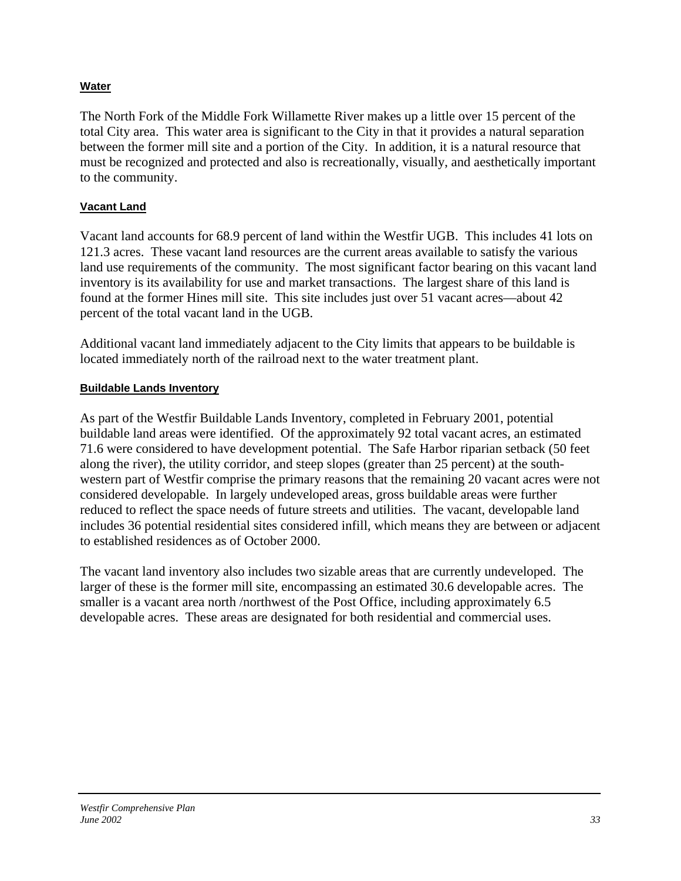# **Water**

The North Fork of the Middle Fork Willamette River makes up a little over 15 percent of the total City area. This water area is significant to the City in that it provides a natural separation between the former mill site and a portion of the City. In addition, it is a natural resource that must be recognized and protected and also is recreationally, visually, and aesthetically important to the community.

## **Vacant Land**

Vacant land accounts for 68.9 percent of land within the Westfir UGB. This includes 41 lots on 121.3 acres. These vacant land resources are the current areas available to satisfy the various land use requirements of the community. The most significant factor bearing on this vacant land inventory is its availability for use and market transactions. The largest share of this land is found at the former Hines mill site. This site includes just over 51 vacant acres—about 42 percent of the total vacant land in the UGB.

Additional vacant land immediately adjacent to the City limits that appears to be buildable is located immediately north of the railroad next to the water treatment plant.

## **Buildable Lands Inventory**

As part of the Westfir Buildable Lands Inventory, completed in February 2001, potential buildable land areas were identified. Of the approximately 92 total vacant acres, an estimated 71.6 were considered to have development potential. The Safe Harbor riparian setback (50 feet along the river), the utility corridor, and steep slopes (greater than 25 percent) at the southwestern part of Westfir comprise the primary reasons that the remaining 20 vacant acres were not considered developable. In largely undeveloped areas, gross buildable areas were further reduced to reflect the space needs of future streets and utilities. The vacant, developable land includes 36 potential residential sites considered infill, which means they are between or adjacent to established residences as of October 2000.

The vacant land inventory also includes two sizable areas that are currently undeveloped. The larger of these is the former mill site, encompassing an estimated 30.6 developable acres. The smaller is a vacant area north /northwest of the Post Office, including approximately 6.5 developable acres. These areas are designated for both residential and commercial uses.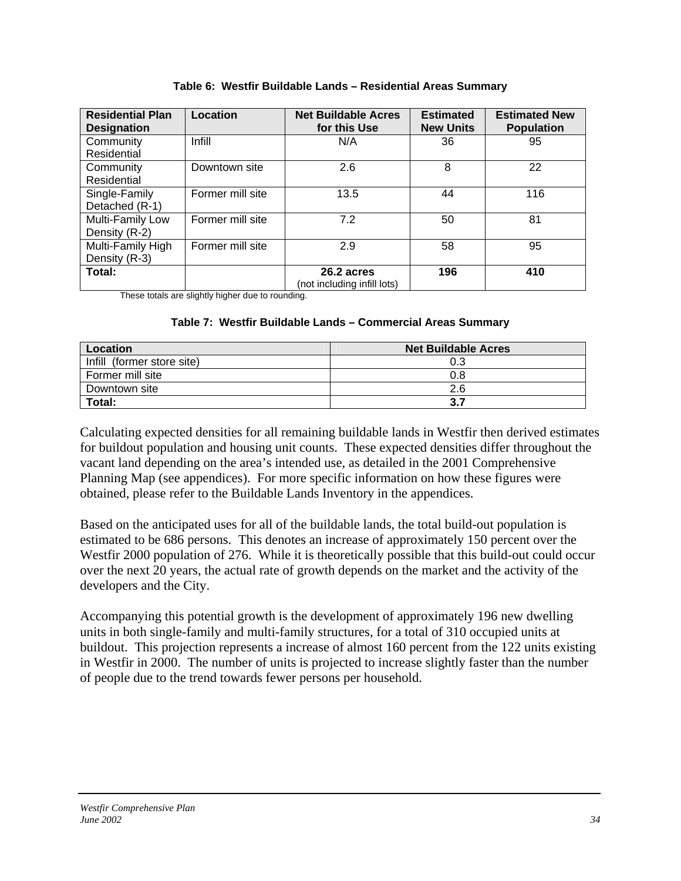| <b>Residential Plan</b><br><b>Designation</b> | Location         | <b>Net Buildable Acres</b><br>for this Use | <b>Estimated</b><br><b>New Units</b> | <b>Estimated New</b><br><b>Population</b> |
|-----------------------------------------------|------------------|--------------------------------------------|--------------------------------------|-------------------------------------------|
| Community<br>Residential                      | Infill           | N/A                                        | 36                                   | 95                                        |
| Community<br>Residential                      | Downtown site    | 2.6                                        | 8                                    | 22                                        |
| Single-Family<br>Detached (R-1)               | Former mill site | 13.5                                       | 44                                   | 116                                       |
| Multi-Family Low<br>Density (R-2)             | Former mill site | 7.2                                        | 50                                   | 81                                        |
| Multi-Family High<br>Density (R-3)            | Former mill site | 2.9                                        | 58                                   | 95                                        |
| Total:                                        |                  | 26.2 acres<br>(not including infill lots)  | 196                                  | 410                                       |

**Table 6: Westfir Buildable Lands – Residential Areas Summary** 

These totals are slightly higher due to rounding.

#### **Table 7: Westfir Buildable Lands – Commercial Areas Summary**

| Location                   | <b>Net Buildable Acres</b> |
|----------------------------|----------------------------|
| Infill (former store site) | 0.3                        |
| Former mill site           | 0.8                        |
| Downtown site              | 2.6                        |
| Total:                     | 3.7                        |

Calculating expected densities for all remaining buildable lands in Westfir then derived estimates for buildout population and housing unit counts. These expected densities differ throughout the vacant land depending on the area's intended use, as detailed in the 2001 Comprehensive Planning Map (see appendices). For more specific information on how these figures were obtained, please refer to the Buildable Lands Inventory in the appendices.

Based on the anticipated uses for all of the buildable lands, the total build-out population is estimated to be 686 persons. This denotes an increase of approximately 150 percent over the Westfir 2000 population of 276. While it is theoretically possible that this build-out could occur over the next 20 years, the actual rate of growth depends on the market and the activity of the developers and the City.

Accompanying this potential growth is the development of approximately 196 new dwelling units in both single-family and multi-family structures, for a total of 310 occupied units at buildout. This projection represents a increase of almost 160 percent from the 122 units existing in Westfir in 2000. The number of units is projected to increase slightly faster than the number of people due to the trend towards fewer persons per household.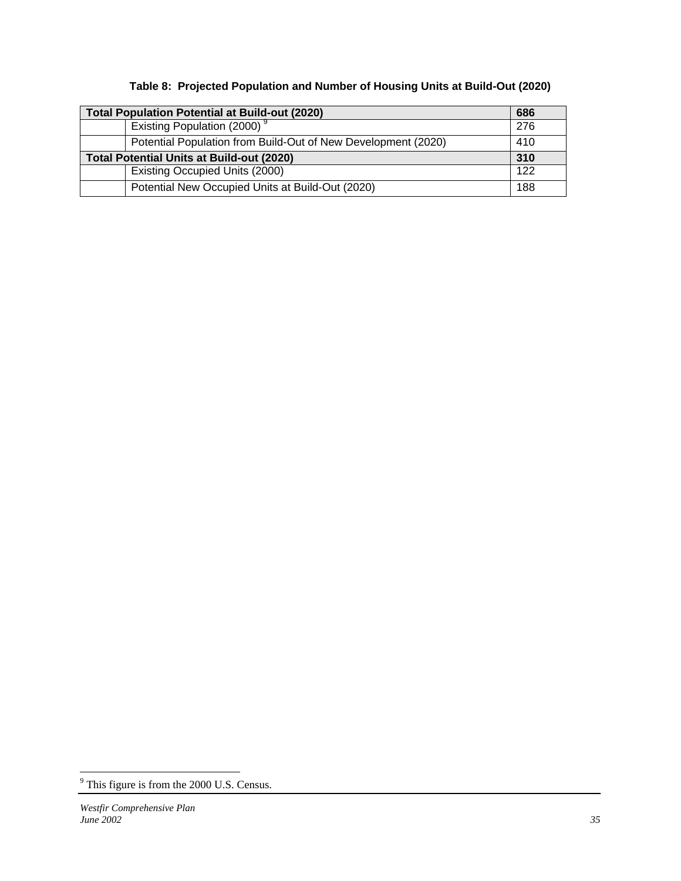| Table 8: Projected Population and Number of Housing Units at Build-Out (2020) |  |  |  |
|-------------------------------------------------------------------------------|--|--|--|
|                                                                               |  |  |  |

| <b>Total Population Potential at Build-out (2020)</b>         | 686 |
|---------------------------------------------------------------|-----|
| Existing Population (2000) <sup>9</sup>                       | 276 |
| Potential Population from Build-Out of New Development (2020) | 410 |
| <b>Total Potential Units at Build-out (2020)</b>              | 310 |
| Existing Occupied Units (2000)                                | 122 |
| Potential New Occupied Units at Build-Out (2020)              | 188 |

<span id="page-34-0"></span><sup>&</sup>lt;sup>9</sup> This figure is from the 2000 U.S. Census.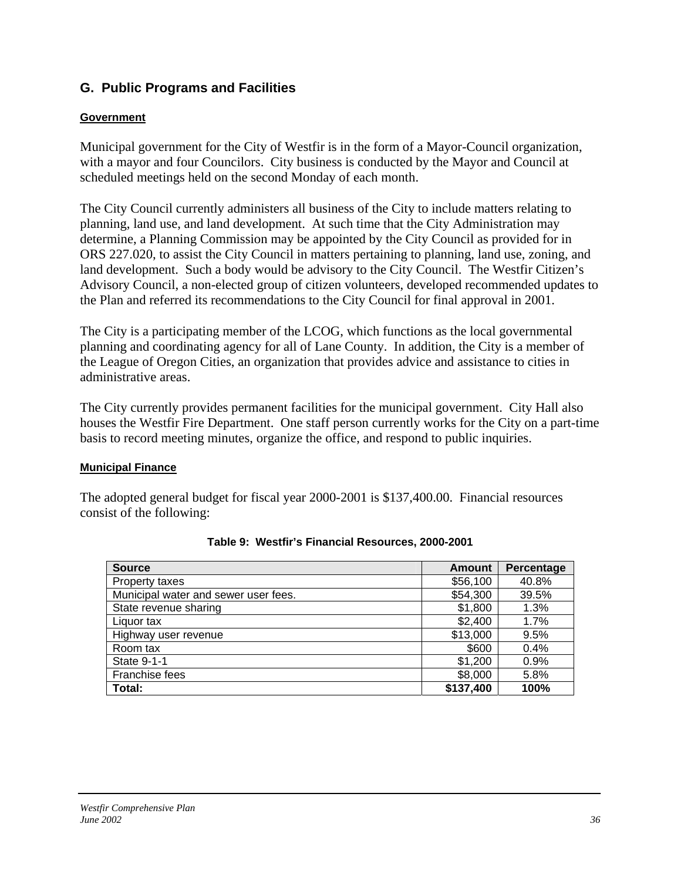# **G. Public Programs and Facilities**

#### **Government**

Municipal government for the City of Westfir is in the form of a Mayor-Council organization, with a mayor and four Councilors. City business is conducted by the Mayor and Council at scheduled meetings held on the second Monday of each month.

The City Council currently administers all business of the City to include matters relating to planning, land use, and land development. At such time that the City Administration may determine, a Planning Commission may be appointed by the City Council as provided for in ORS 227.020, to assist the City Council in matters pertaining to planning, land use, zoning, and land development. Such a body would be advisory to the City Council. The Westfir Citizen's Advisory Council, a non-elected group of citizen volunteers, developed recommended updates to the Plan and referred its recommendations to the City Council for final approval in 2001.

The City is a participating member of the LCOG, which functions as the local governmental planning and coordinating agency for all of Lane County. In addition, the City is a member of the League of Oregon Cities, an organization that provides advice and assistance to cities in administrative areas.

The City currently provides permanent facilities for the municipal government. City Hall also houses the Westfir Fire Department. One staff person currently works for the City on a part-time basis to record meeting minutes, organize the office, and respond to public inquiries.

#### **Municipal Finance**

The adopted general budget for fiscal year 2000-2001 is \$137,400.00. Financial resources consist of the following:

| <b>Source</b>                        | <b>Amount</b> | Percentage |
|--------------------------------------|---------------|------------|
| Property taxes                       | \$56,100      | 40.8%      |
| Municipal water and sewer user fees. | \$54,300      | 39.5%      |
| State revenue sharing                | \$1,800       | 1.3%       |
| Liquor tax                           | \$2,400       | 1.7%       |
| Highway user revenue                 | \$13,000      | 9.5%       |
| Room tax                             | \$600         | 0.4%       |
| State 9-1-1                          | \$1,200       | 0.9%       |
| Franchise fees                       | \$8,000       | 5.8%       |
| Total:                               | \$137,400     | 100%       |

**Table 9: Westfir's Financial Resources, 2000-2001**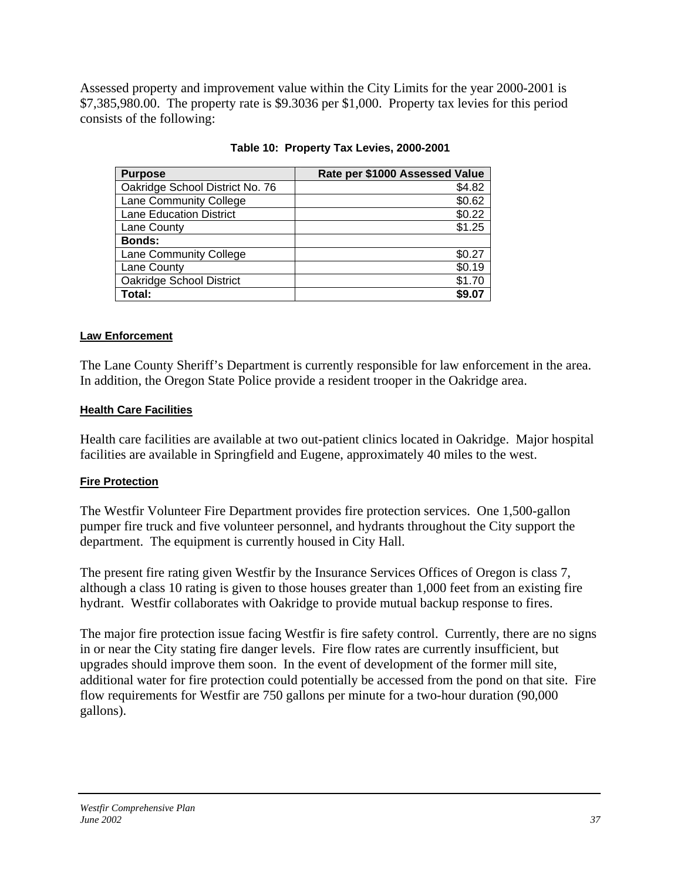Assessed property and improvement value within the City Limits for the year 2000-2001 is \$7,385,980.00. The property rate is \$9.3036 per \$1,000. Property tax levies for this period consists of the following:

| <b>Purpose</b>                  | Rate per \$1000 Assessed Value |
|---------------------------------|--------------------------------|
| Oakridge School District No. 76 | \$4.82                         |
| Lane Community College          | \$0.62                         |
| <b>Lane Education District</b>  | \$0.22                         |
| Lane County                     | \$1.25                         |
| <b>Bonds:</b>                   |                                |
| Lane Community College          | \$0.27                         |
| Lane County                     | \$0.19                         |
| Oakridge School District        | \$1.70                         |
| Total:                          | \$9.07                         |

**Table 10: Property Tax Levies, 2000-2001** 

### **Law Enforcement**

The Lane County Sheriff's Department is currently responsible for law enforcement in the area. In addition, the Oregon State Police provide a resident trooper in the Oakridge area.

### **Health Care Facilities**

Health care facilities are available at two out-patient clinics located in Oakridge. Major hospital facilities are available in Springfield and Eugene, approximately 40 miles to the west.

### **Fire Protection**

The Westfir Volunteer Fire Department provides fire protection services. One 1,500-gallon pumper fire truck and five volunteer personnel, and hydrants throughout the City support the department. The equipment is currently housed in City Hall.

The present fire rating given Westfir by the Insurance Services Offices of Oregon is class 7, although a class 10 rating is given to those houses greater than 1,000 feet from an existing fire hydrant. Westfir collaborates with Oakridge to provide mutual backup response to fires.

The major fire protection issue facing Westfir is fire safety control. Currently, there are no signs in or near the City stating fire danger levels. Fire flow rates are currently insufficient, but upgrades should improve them soon. In the event of development of the former mill site, additional water for fire protection could potentially be accessed from the pond on that site. Fire flow requirements for Westfir are 750 gallons per minute for a two-hour duration (90,000 gallons).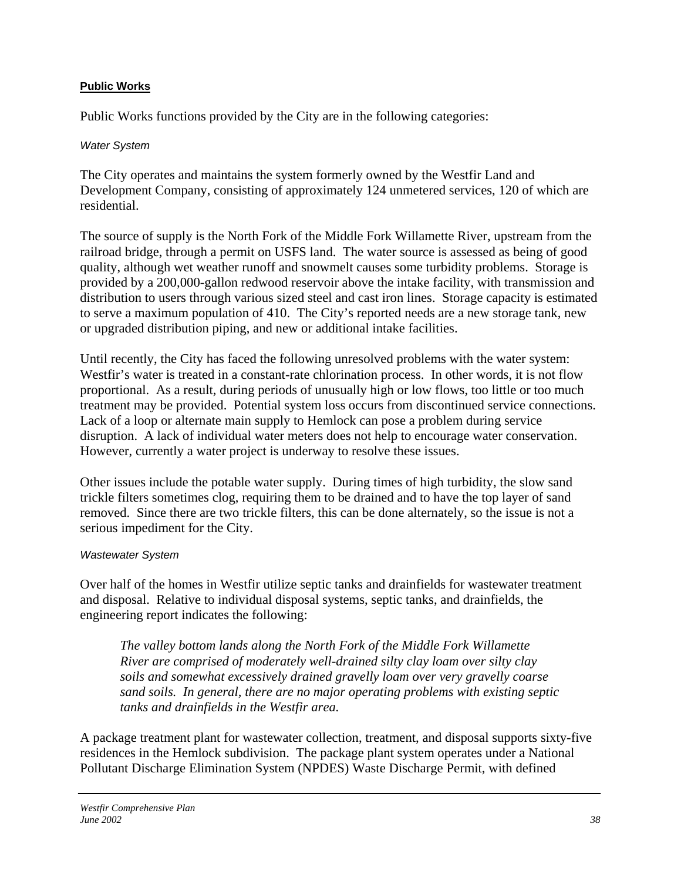### **Public Works**

Public Works functions provided by the City are in the following categories:

#### *Water System*

The City operates and maintains the system formerly owned by the Westfir Land and Development Company, consisting of approximately 124 unmetered services, 120 of which are residential.

The source of supply is the North Fork of the Middle Fork Willamette River, upstream from the railroad bridge, through a permit on USFS land. The water source is assessed as being of good quality, although wet weather runoff and snowmelt causes some turbidity problems. Storage is provided by a 200,000-gallon redwood reservoir above the intake facility, with transmission and distribution to users through various sized steel and cast iron lines. Storage capacity is estimated to serve a maximum population of 410. The City's reported needs are a new storage tank, new or upgraded distribution piping, and new or additional intake facilities.

Until recently, the City has faced the following unresolved problems with the water system: Westfir's water is treated in a constant-rate chlorination process. In other words, it is not flow proportional. As a result, during periods of unusually high or low flows, too little or too much treatment may be provided. Potential system loss occurs from discontinued service connections. Lack of a loop or alternate main supply to Hemlock can pose a problem during service disruption. A lack of individual water meters does not help to encourage water conservation. However, currently a water project is underway to resolve these issues.

Other issues include the potable water supply. During times of high turbidity, the slow sand trickle filters sometimes clog, requiring them to be drained and to have the top layer of sand removed. Since there are two trickle filters, this can be done alternately, so the issue is not a serious impediment for the City.

### *Wastewater System*

Over half of the homes in Westfir utilize septic tanks and drainfields for wastewater treatment and disposal. Relative to individual disposal systems, septic tanks, and drainfields, the engineering report indicates the following:

*The valley bottom lands along the North Fork of the Middle Fork Willamette River are comprised of moderately well-drained silty clay loam over silty clay soils and somewhat excessively drained gravelly loam over very gravelly coarse sand soils. In general, there are no major operating problems with existing septic tanks and drainfields in the Westfir area.* 

A package treatment plant for wastewater collection, treatment, and disposal supports sixty-five residences in the Hemlock subdivision. The package plant system operates under a National Pollutant Discharge Elimination System (NPDES) Waste Discharge Permit, with defined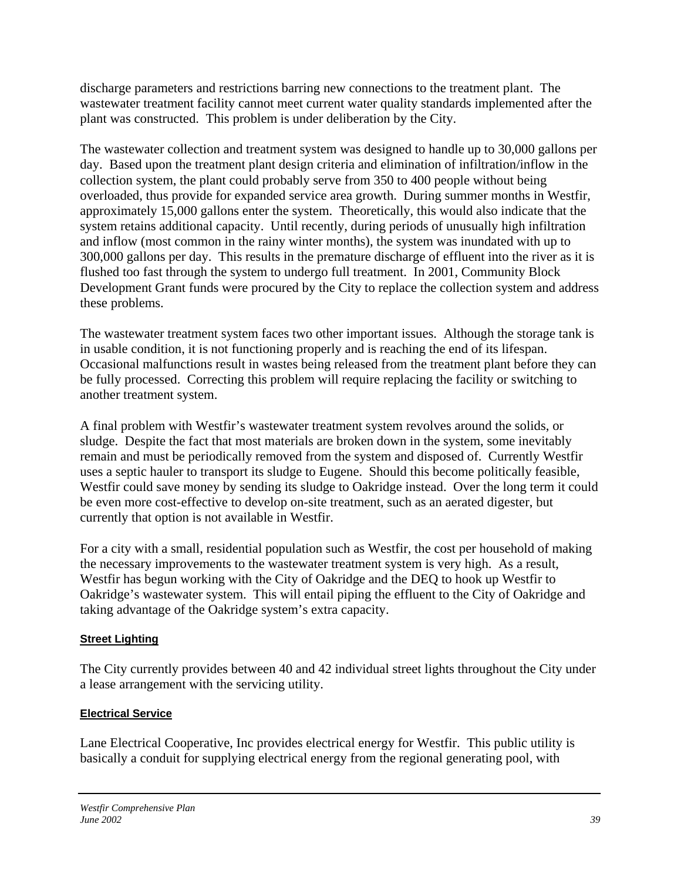discharge parameters and restrictions barring new connections to the treatment plant. The wastewater treatment facility cannot meet current water quality standards implemented after the plant was constructed. This problem is under deliberation by the City.

The wastewater collection and treatment system was designed to handle up to 30,000 gallons per day. Based upon the treatment plant design criteria and elimination of infiltration/inflow in the collection system, the plant could probably serve from 350 to 400 people without being overloaded, thus provide for expanded service area growth. During summer months in Westfir, approximately 15,000 gallons enter the system. Theoretically, this would also indicate that the system retains additional capacity. Until recently, during periods of unusually high infiltration and inflow (most common in the rainy winter months), the system was inundated with up to 300,000 gallons per day. This results in the premature discharge of effluent into the river as it is flushed too fast through the system to undergo full treatment. In 2001, Community Block Development Grant funds were procured by the City to replace the collection system and address these problems.

The wastewater treatment system faces two other important issues. Although the storage tank is in usable condition, it is not functioning properly and is reaching the end of its lifespan. Occasional malfunctions result in wastes being released from the treatment plant before they can be fully processed. Correcting this problem will require replacing the facility or switching to another treatment system.

A final problem with Westfir's wastewater treatment system revolves around the solids, or sludge. Despite the fact that most materials are broken down in the system, some inevitably remain and must be periodically removed from the system and disposed of. Currently Westfir uses a septic hauler to transport its sludge to Eugene. Should this become politically feasible, Westfir could save money by sending its sludge to Oakridge instead. Over the long term it could be even more cost-effective to develop on-site treatment, such as an aerated digester, but currently that option is not available in Westfir.

For a city with a small, residential population such as Westfir, the cost per household of making the necessary improvements to the wastewater treatment system is very high. As a result, Westfir has begun working with the City of Oakridge and the DEQ to hook up Westfir to Oakridge's wastewater system. This will entail piping the effluent to the City of Oakridge and taking advantage of the Oakridge system's extra capacity.

### **Street Lighting**

The City currently provides between 40 and 42 individual street lights throughout the City under a lease arrangement with the servicing utility.

## **Electrical Service**

Lane Electrical Cooperative, Inc provides electrical energy for Westfir. This public utility is basically a conduit for supplying electrical energy from the regional generating pool, with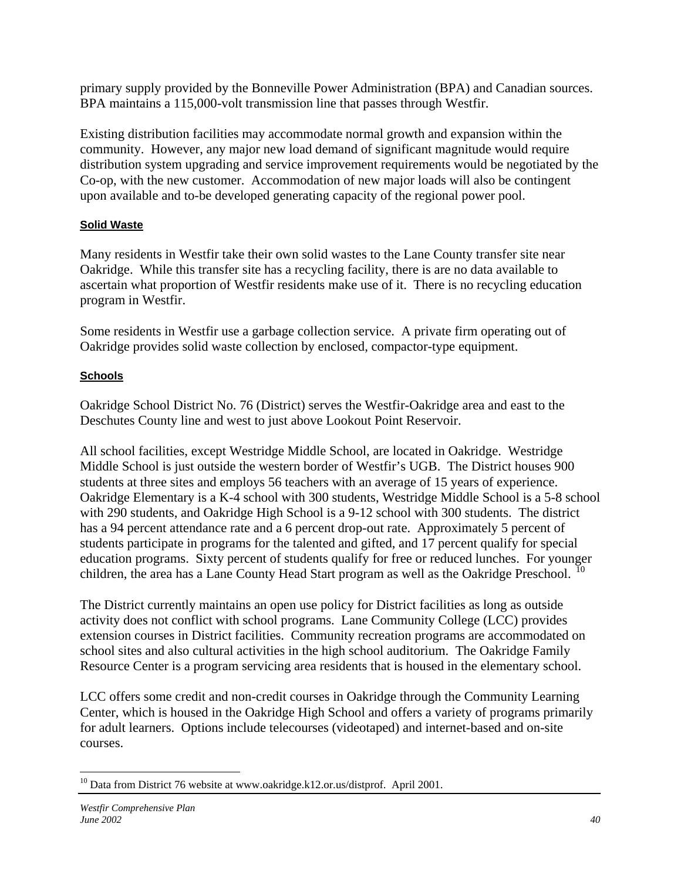primary supply provided by the Bonneville Power Administration (BPA) and Canadian sources. BPA maintains a 115,000-volt transmission line that passes through Westfir.

Existing distribution facilities may accommodate normal growth and expansion within the community. However, any major new load demand of significant magnitude would require distribution system upgrading and service improvement requirements would be negotiated by the Co-op, with the new customer. Accommodation of new major loads will also be contingent upon available and to-be developed generating capacity of the regional power pool.

## **Solid Waste**

Many residents in Westfir take their own solid wastes to the Lane County transfer site near Oakridge. While this transfer site has a recycling facility, there is are no data available to ascertain what proportion of Westfir residents make use of it. There is no recycling education program in Westfir.

Some residents in Westfir use a garbage collection service. A private firm operating out of Oakridge provides solid waste collection by enclosed, compactor-type equipment.

## **Schools**

Oakridge School District No. 76 (District) serves the Westfir-Oakridge area and east to the Deschutes County line and west to just above Lookout Point Reservoir.

All school facilities, except Westridge Middle School, are located in Oakridge. Westridge Middle School is just outside the western border of Westfir's UGB. The District houses 900 students at three sites and employs 56 teachers with an average of 15 years of experience. Oakridge Elementary is a K-4 school with 300 students, Westridge Middle School is a 5-8 school with 290 students, and Oakridge High School is a 9-12 school with 300 students. The district has a 94 percent attendance rate and a 6 percent drop-out rate. Approximately 5 percent of students participate in programs for the talented and gifted, and 17 percent qualify for special education programs. Sixty percent of students qualify for free or reduced lunches. For younger children, the area has a Lane County Head Start program as well as the Oakridge Preschool. <sup>[10](#page-39-0)</sup>

The District currently maintains an open use policy for District facilities as long as outside activity does not conflict with school programs. Lane Community College (LCC) provides extension courses in District facilities. Community recreation programs are accommodated on school sites and also cultural activities in the high school auditorium. The Oakridge Family Resource Center is a program servicing area residents that is housed in the elementary school.

LCC offers some credit and non-credit courses in Oakridge through the Community Learning Center, which is housed in the Oakridge High School and offers a variety of programs primarily for adult learners. Options include telecourses (videotaped) and internet-based and on-site courses.

<span id="page-39-0"></span> $\overline{a}$ <sup>10</sup> Data from District 76 website at [www.oakridge.k12.or.us/distprof.](http://www.oakridge.k12.or.us/distprof.html) April 2001.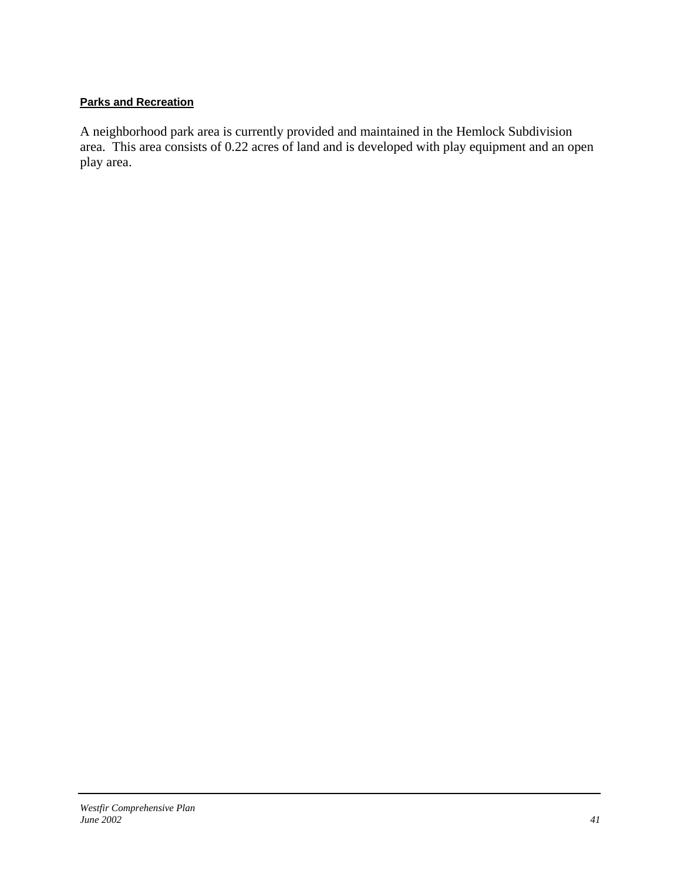### **Parks and Recreation**

A neighborhood park area is currently provided and maintained in the Hemlock Subdivision area. This area consists of 0.22 acres of land and is developed with play equipment and an open play area.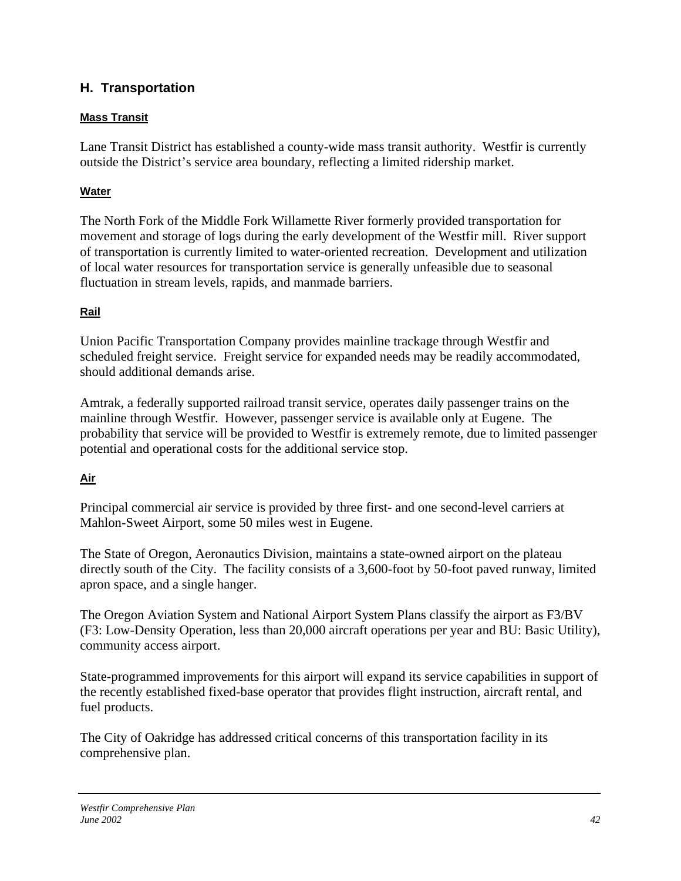## **H. Transportation**

### **Mass Transit**

Lane Transit District has established a county-wide mass transit authority. Westfir is currently outside the District's service area boundary, reflecting a limited ridership market.

## **Water**

The North Fork of the Middle Fork Willamette River formerly provided transportation for movement and storage of logs during the early development of the Westfir mill. River support of transportation is currently limited to water-oriented recreation. Development and utilization of local water resources for transportation service is generally unfeasible due to seasonal fluctuation in stream levels, rapids, and manmade barriers.

## **Rail**

Union Pacific Transportation Company provides mainline trackage through Westfir and scheduled freight service. Freight service for expanded needs may be readily accommodated, should additional demands arise.

Amtrak, a federally supported railroad transit service, operates daily passenger trains on the mainline through Westfir. However, passenger service is available only at Eugene. The probability that service will be provided to Westfir is extremely remote, due to limited passenger potential and operational costs for the additional service stop.

## **Air**

Principal commercial air service is provided by three first- and one second-level carriers at Mahlon-Sweet Airport, some 50 miles west in Eugene.

The State of Oregon, Aeronautics Division, maintains a state-owned airport on the plateau directly south of the City. The facility consists of a 3,600-foot by 50-foot paved runway, limited apron space, and a single hanger.

The Oregon Aviation System and National Airport System Plans classify the airport as F3/BV (F3: Low-Density Operation, less than 20,000 aircraft operations per year and BU: Basic Utility), community access airport.

State-programmed improvements for this airport will expand its service capabilities in support of the recently established fixed-base operator that provides flight instruction, aircraft rental, and fuel products.

The City of Oakridge has addressed critical concerns of this transportation facility in its comprehensive plan.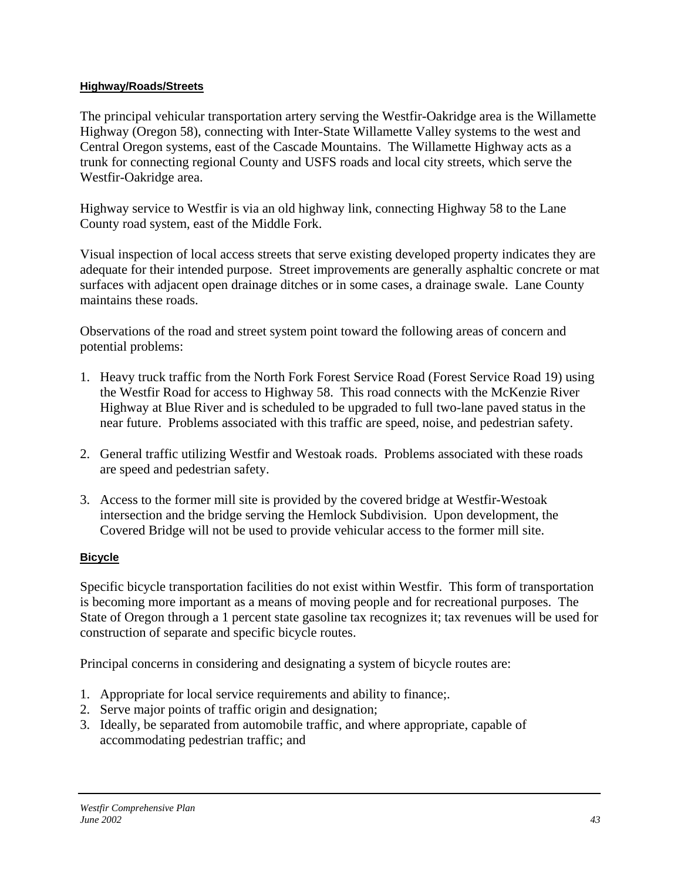### **Highway/Roads/Streets**

The principal vehicular transportation artery serving the Westfir-Oakridge area is the Willamette Highway (Oregon 58), connecting with Inter-State Willamette Valley systems to the west and Central Oregon systems, east of the Cascade Mountains. The Willamette Highway acts as a trunk for connecting regional County and USFS roads and local city streets, which serve the Westfir-Oakridge area.

Highway service to Westfir is via an old highway link, connecting Highway 58 to the Lane County road system, east of the Middle Fork.

Visual inspection of local access streets that serve existing developed property indicates they are adequate for their intended purpose. Street improvements are generally asphaltic concrete or mat surfaces with adjacent open drainage ditches or in some cases, a drainage swale. Lane County maintains these roads.

Observations of the road and street system point toward the following areas of concern and potential problems:

- 1. Heavy truck traffic from the North Fork Forest Service Road (Forest Service Road 19) using the Westfir Road for access to Highway 58. This road connects with the McKenzie River Highway at Blue River and is scheduled to be upgraded to full two-lane paved status in the near future. Problems associated with this traffic are speed, noise, and pedestrian safety.
- 2. General traffic utilizing Westfir and Westoak roads. Problems associated with these roads are speed and pedestrian safety.
- 3. Access to the former mill site is provided by the covered bridge at Westfir-Westoak intersection and the bridge serving the Hemlock Subdivision. Upon development, the Covered Bridge will not be used to provide vehicular access to the former mill site.

### **Bicycle**

Specific bicycle transportation facilities do not exist within Westfir. This form of transportation is becoming more important as a means of moving people and for recreational purposes. The State of Oregon through a 1 percent state gasoline tax recognizes it; tax revenues will be used for construction of separate and specific bicycle routes.

Principal concerns in considering and designating a system of bicycle routes are:

- 1. Appropriate for local service requirements and ability to finance;.
- 2. Serve major points of traffic origin and designation;
- 3. Ideally, be separated from automobile traffic, and where appropriate, capable of accommodating pedestrian traffic; and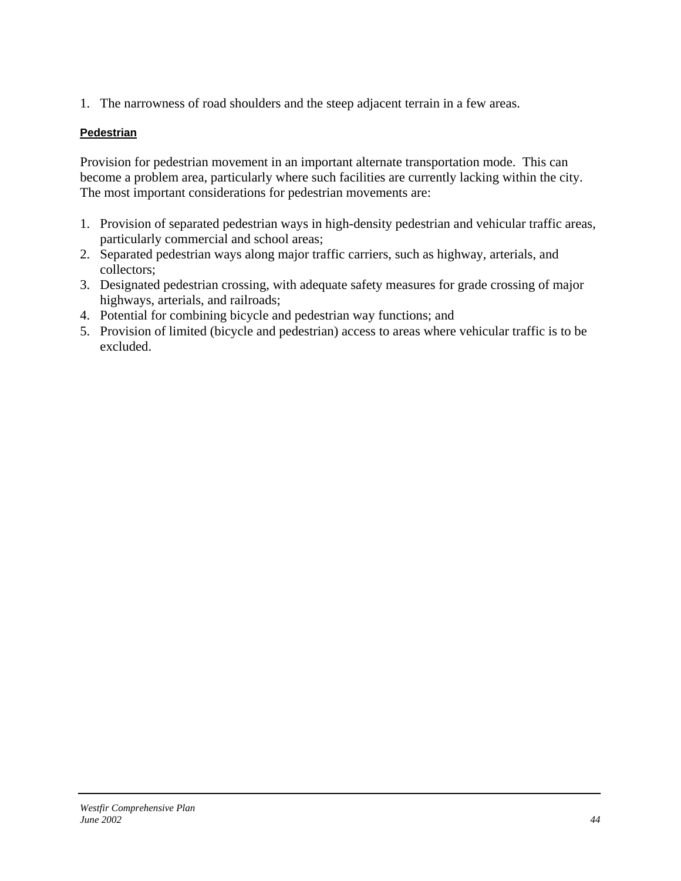1. The narrowness of road shoulders and the steep adjacent terrain in a few areas.

### **Pedestrian**

Provision for pedestrian movement in an important alternate transportation mode. This can become a problem area, particularly where such facilities are currently lacking within the city. The most important considerations for pedestrian movements are:

- 1. Provision of separated pedestrian ways in high-density pedestrian and vehicular traffic areas, particularly commercial and school areas;
- 2. Separated pedestrian ways along major traffic carriers, such as highway, arterials, and collectors;
- 3. Designated pedestrian crossing, with adequate safety measures for grade crossing of major highways, arterials, and railroads;
- 4. Potential for combining bicycle and pedestrian way functions; and
- 5. Provision of limited (bicycle and pedestrian) access to areas where vehicular traffic is to be excluded.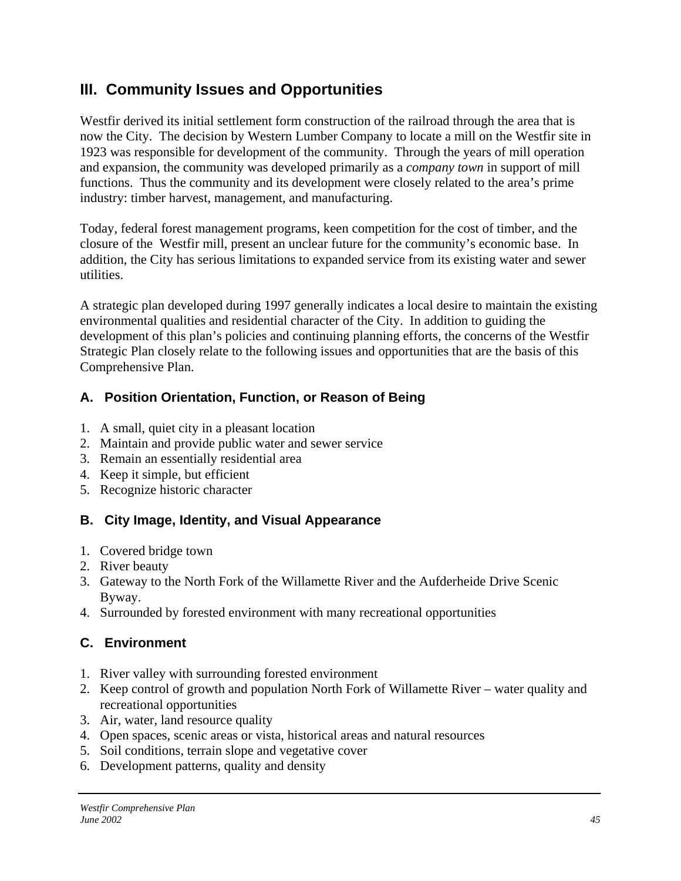# **III. Community Issues and Opportunities**

Westfir derived its initial settlement form construction of the railroad through the area that is now the City. The decision by Western Lumber Company to locate a mill on the Westfir site in 1923 was responsible for development of the community. Through the years of mill operation and expansion, the community was developed primarily as a *company town* in support of mill functions. Thus the community and its development were closely related to the area's prime industry: timber harvest, management, and manufacturing.

Today, federal forest management programs, keen competition for the cost of timber, and the closure of the Westfir mill, present an unclear future for the community's economic base. In addition, the City has serious limitations to expanded service from its existing water and sewer utilities.

A strategic plan developed during 1997 generally indicates a local desire to maintain the existing environmental qualities and residential character of the City. In addition to guiding the development of this plan's policies and continuing planning efforts, the concerns of the Westfir Strategic Plan closely relate to the following issues and opportunities that are the basis of this Comprehensive Plan.

## **A. Position Orientation, Function, or Reason of Being**

- 1. A small, quiet city in a pleasant location
- 2. Maintain and provide public water and sewer service
- 3. Remain an essentially residential area
- 4. Keep it simple, but efficient
- 5. Recognize historic character

## **B. City Image, Identity, and Visual Appearance**

- 1. Covered bridge town
- 2. River beauty
- 3. Gateway to the North Fork of the Willamette River and the Aufderheide Drive Scenic Byway.
- 4. Surrounded by forested environment with many recreational opportunities

## **C. Environment**

- 1. River valley with surrounding forested environment
- 2. Keep control of growth and population North Fork of Willamette River water quality and recreational opportunities
- 3. Air, water, land resource quality
- 4. Open spaces, scenic areas or vista, historical areas and natural resources
- 5. Soil conditions, terrain slope and vegetative cover
- 6. Development patterns, quality and density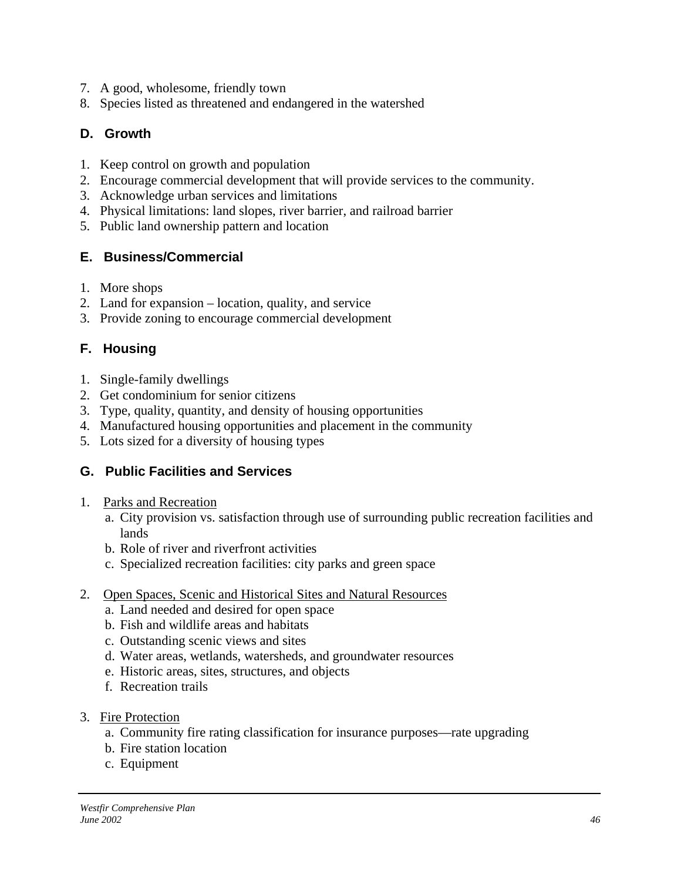- 7. A good, wholesome, friendly town
- 8. Species listed as threatened and endangered in the watershed

## **D. Growth**

- 1. Keep control on growth and population
- 2. Encourage commercial development that will provide services to the community.
- 3. Acknowledge urban services and limitations
- 4. Physical limitations: land slopes, river barrier, and railroad barrier
- 5. Public land ownership pattern and location

## **E. Business/Commercial**

- 1. More shops
- 2. Land for expansion location, quality, and service
- 3. Provide zoning to encourage commercial development

## **F. Housing**

- 1. Single-family dwellings
- 2. Get condominium for senior citizens
- 3. Type, quality, quantity, and density of housing opportunities
- 4. Manufactured housing opportunities and placement in the community
- 5. Lots sized for a diversity of housing types

## **G. Public Facilities and Services**

- 1. Parks and Recreation
	- a. City provision vs. satisfaction through use of surrounding public recreation facilities and lands
	- b. Role of river and riverfront activities
	- c. Specialized recreation facilities: city parks and green space
- 2. Open Spaces, Scenic and Historical Sites and Natural Resources
	- a. Land needed and desired for open space
	- b. Fish and wildlife areas and habitats
	- c. Outstanding scenic views and sites
	- d. Water areas, wetlands, watersheds, and groundwater resources
	- e. Historic areas, sites, structures, and objects
	- f. Recreation trails
- 3. Fire Protection
	- a. Community fire rating classification for insurance purposes—rate upgrading
	- b. Fire station location
	- c. Equipment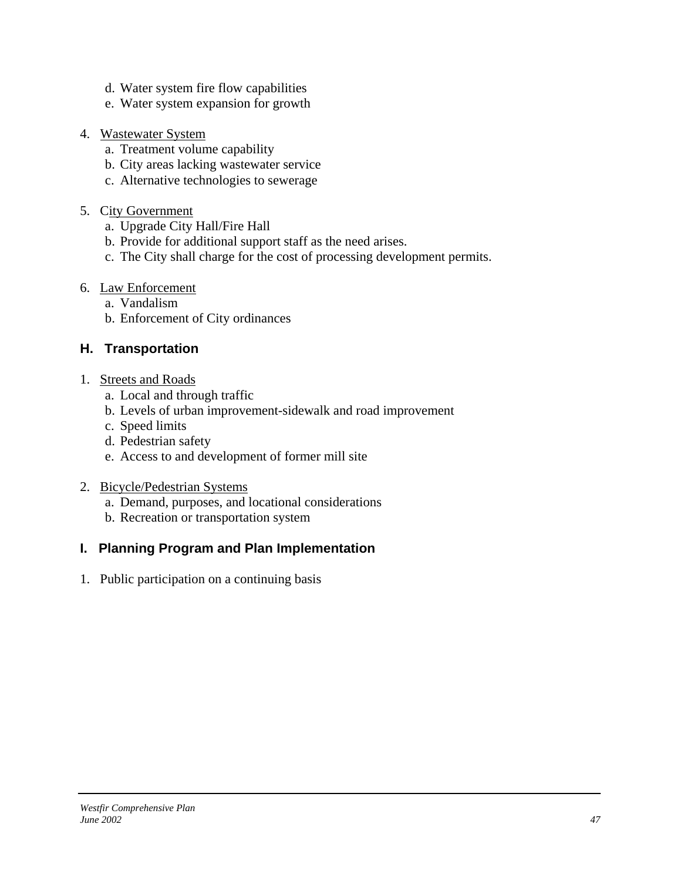- d. Water system fire flow capabilities
- e. Water system expansion for growth
- 4. Wastewater System
	- a. Treatment volume capability
	- b. City areas lacking wastewater service
	- c. Alternative technologies to sewerage
- 5. City Government
	- a. Upgrade City Hall/Fire Hall
	- b. Provide for additional support staff as the need arises.
	- c. The City shall charge for the cost of processing development permits.
- 6. Law Enforcement
	- a. Vandalism
	- b. Enforcement of City ordinances

## **H. Transportation**

- 1. Streets and Roads
	- a. Local and through traffic
	- b. Levels of urban improvement-sidewalk and road improvement
	- c. Speed limits
	- d. Pedestrian safety
	- e. Access to and development of former mill site
- 2. Bicycle/Pedestrian Systems
	- a. Demand, purposes, and locational considerations
	- b. Recreation or transportation system

## **I. Planning Program and Plan Implementation**

1. Public participation on a continuing basis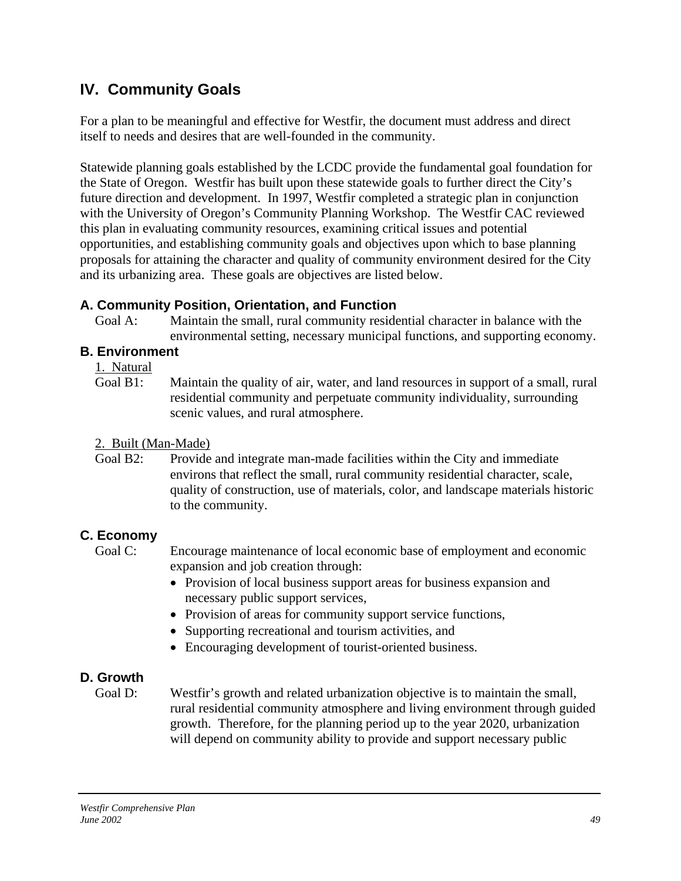# **IV. Community Goals**

For a plan to be meaningful and effective for Westfir, the document must address and direct itself to needs and desires that are well-founded in the community.

Statewide planning goals established by the LCDC provide the fundamental goal foundation for the State of Oregon. Westfir has built upon these statewide goals to further direct the City's future direction and development. In 1997, Westfir completed a strategic plan in conjunction with the University of Oregon's Community Planning Workshop. The Westfir CAC reviewed this plan in evaluating community resources, examining critical issues and potential opportunities, and establishing community goals and objectives upon which to base planning proposals for attaining the character and quality of community environment desired for the City and its urbanizing area. These goals are objectives are listed below.

## **A. Community Position, Orientation, and Function**

Goal A: Maintain the small, rural community residential character in balance with the environmental setting, necessary municipal functions, and supporting economy.

## **B. Environment**

 $\frac{1. \text{ Natural}}{\text{Goal B1}}$ 

Maintain the quality of air, water, and land resources in support of a small, rural residential community and perpetuate community individuality, surrounding scenic values, and rural atmosphere.

## 2. Built (Man-Made)

Goal B2: Provide and integrate man-made facilities within the City and immediate environs that reflect the small, rural community residential character, scale, quality of construction, use of materials, color, and landscape materials historic to the community.

## **C. Economy**

Goal C: Encourage maintenance of local economic base of employment and economic expansion and job creation through:

- Provision of local business support areas for business expansion and necessary public support services,
- Provision of areas for community support service functions,
- Supporting recreational and tourism activities, and
- Encouraging development of tourist-oriented business.

## **D. Growth**

Goal D: Westfir's growth and related urbanization objective is to maintain the small, rural residential community atmosphere and living environment through guided growth. Therefore, for the planning period up to the year 2020, urbanization will depend on community ability to provide and support necessary public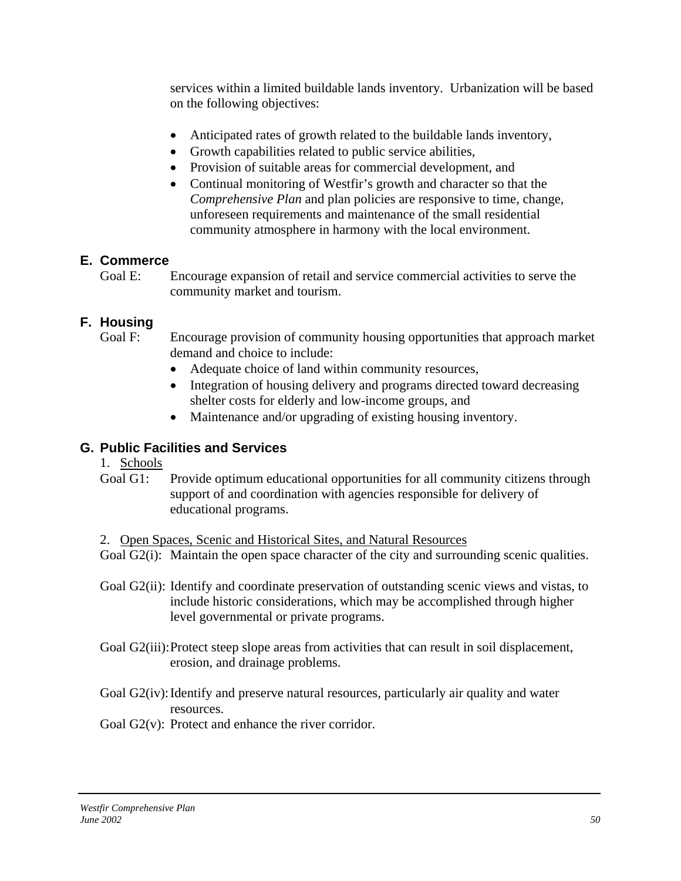services within a limited buildable lands inventory. Urbanization will be based on the following objectives:

- Anticipated rates of growth related to the buildable lands inventory,
- Growth capabilities related to public service abilities,
- Provision of suitable areas for commercial development, and
- Continual monitoring of Westfir's growth and character so that the *Comprehensive Plan* and plan policies are responsive to time, change, unforeseen requirements and maintenance of the small residential community atmosphere in harmony with the local environment.

## **E. Commerce**

Goal E: Encourage expansion of retail and service commercial activities to serve the community market and tourism.

## **F. Housing**

Goal F: Encourage provision of community housing opportunities that approach market demand and choice to include:

- Adequate choice of land within community resources,
- Integration of housing delivery and programs directed toward decreasing shelter costs for elderly and low-income groups, and
- Maintenance and/or upgrading of existing housing inventory.

## **G. Public Facilities and Services**

- 1. Schools
- Goal G1: Provide optimum educational opportunities for all community citizens through support of and coordination with agencies responsible for delivery of educational programs.

### 2. Open Spaces, Scenic and Historical Sites, and Natural Resources

Goal G2(i): Maintain the open space character of the city and surrounding scenic qualities.

- Goal G2(ii): Identify and coordinate preservation of outstanding scenic views and vistas, to include historic considerations, which may be accomplished through higher level governmental or private programs.
- Goal G2(iii): Protect steep slope areas from activities that can result in soil displacement, erosion, and drainage problems.
- Goal G2(iv): Identify and preserve natural resources, particularly air quality and water resources.

Goal G2(v): Protect and enhance the river corridor.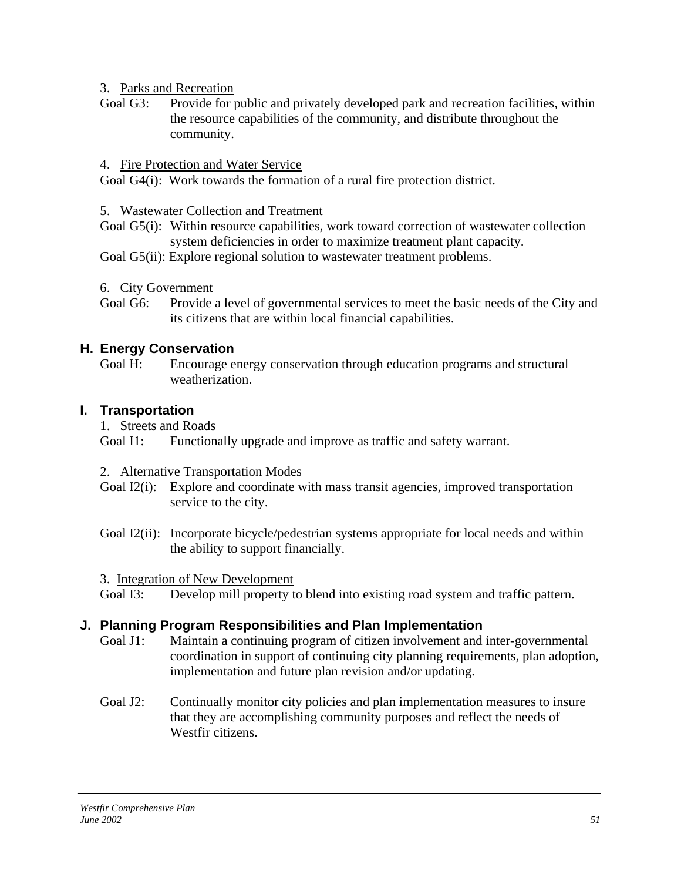### 3. Parks and Recreation

Goal G3: Provide for public and privately developed park and recreation facilities, within the resource capabilities of the community, and distribute throughout the community.

### 4. Fire Protection and Water Service

Goal G4(i): Work towards the formation of a rural fire protection district.

### 5. Wastewater Collection and Treatment

Goal G5(i): Within resource capabilities, work toward correction of wastewater collection system deficiencies in order to maximize treatment plant capacity.

Goal G5(ii): Explore regional solution to wastewater treatment problems.

- 6. City Government
- Goal G6: Provide a level of governmental services to meet the basic needs of the City and its citizens that are within local financial capabilities.

## **H. Energy Conservation**

Goal H: Encourage energy conservation through education programs and structural weatherization.

## **I. Transportation**

1. Streets and Roads

Goal I1: Functionally upgrade and improve as traffic and safety warrant.

### 2. Alternative Transportation Modes

- Goal I2(i): Explore and coordinate with mass transit agencies, improved transportation service to the city.
- Goal I2(ii): Incorporate bicycle/pedestrian systems appropriate for local needs and within the ability to support financially.

3. Integration of New Development

Goal I3: Develop mill property to blend into existing road system and traffic pattern.

## **J. Planning Program Responsibilities and Plan Implementation**

- Goal J1: Maintain a continuing program of citizen involvement and inter-governmental coordination in support of continuing city planning requirements, plan adoption, implementation and future plan revision and/or updating.
- Goal J2: Continually monitor city policies and plan implementation measures to insure that they are accomplishing community purposes and reflect the needs of Westfir citizens.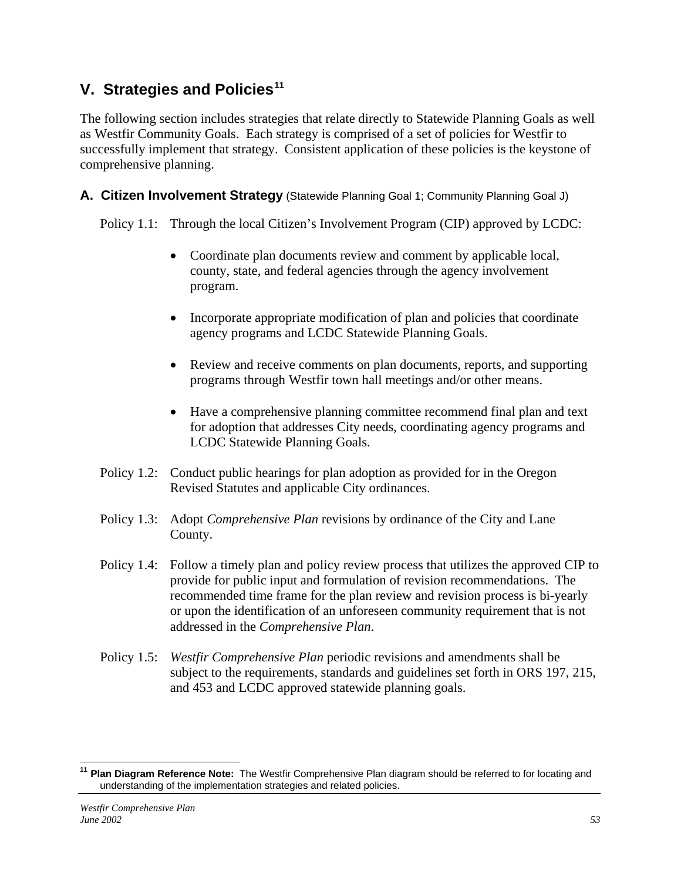# **V. Strategies and Policies[11](#page-52-0)**

The following section includes strategies that relate directly to Statewide Planning Goals as well as Westfir Community Goals. Each strategy is comprised of a set of policies for Westfir to successfully implement that strategy. Consistent application of these policies is the keystone of comprehensive planning.

**A. Citizen Involvement Strategy** (Statewide Planning Goal 1; Community Planning Goal J)

Policy 1.1: Through the local Citizen's Involvement Program (CIP) approved by LCDC:

- Coordinate plan documents review and comment by applicable local, county, state, and federal agencies through the agency involvement program.
- Incorporate appropriate modification of plan and policies that coordinate agency programs and LCDC Statewide Planning Goals.
- Review and receive comments on plan documents, reports, and supporting programs through Westfir town hall meetings and/or other means.
- Have a comprehensive planning committee recommend final plan and text for adoption that addresses City needs, coordinating agency programs and LCDC Statewide Planning Goals.
- Policy 1.2: Conduct public hearings for plan adoption as provided for in the Oregon Revised Statutes and applicable City ordinances.
- Policy 1.3: Adopt *Comprehensive Plan* revisions by ordinance of the City and Lane County.
- Policy 1.4: Follow a timely plan and policy review process that utilizes the approved CIP to provide for public input and formulation of revision recommendations. The recommended time frame for the plan review and revision process is bi-yearly or upon the identification of an unforeseen community requirement that is not addressed in the *Comprehensive Plan*.
- Policy 1.5: *Westfir Comprehensive Plan* periodic revisions and amendments shall be subject to the requirements, standards and guidelines set forth in ORS 197, 215, and 453 and LCDC approved statewide planning goals.

 $\overline{1}$ 

<span id="page-52-0"></span>**<sup>11</sup> Plan Diagram Reference Note:** The Westfir Comprehensive Plan diagram should be referred to for locating and understanding of the implementation strategies and related policies.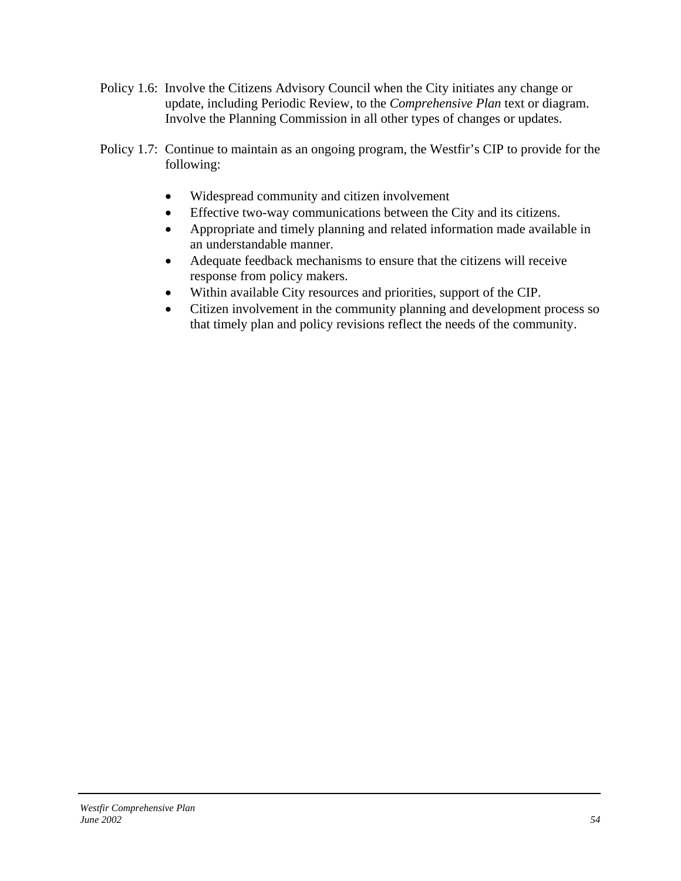- Policy 1.6: Involve the Citizens Advisory Council when the City initiates any change or update, including Periodic Review, to the *Comprehensive Plan* text or diagram. Involve the Planning Commission in all other types of changes or updates.
- Policy 1.7: Continue to maintain as an ongoing program, the Westfir's CIP to provide for the following:
	- Widespread community and citizen involvement
	- Effective two-way communications between the City and its citizens.
	- Appropriate and timely planning and related information made available in an understandable manner.
	- Adequate feedback mechanisms to ensure that the citizens will receive response from policy makers.
	- Within available City resources and priorities, support of the CIP.
	- Citizen involvement in the community planning and development process so that timely plan and policy revisions reflect the needs of the community.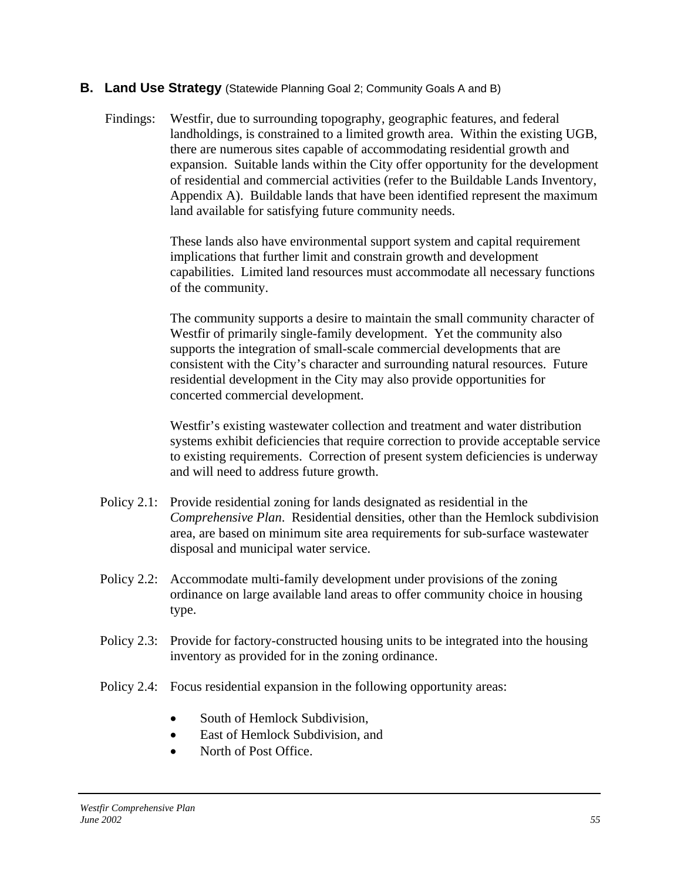### **B.** Land Use Strategy (Statewide Planning Goal 2; Community Goals A and B)

Findings: Westfir, due to surrounding topography, geographic features, and federal landholdings, is constrained to a limited growth area. Within the existing UGB, there are numerous sites capable of accommodating residential growth and expansion. Suitable lands within the City offer opportunity for the development of residential and commercial activities (refer to the Buildable Lands Inventory, Appendix A). Buildable lands that have been identified represent the maximum land available for satisfying future community needs.

> These lands also have environmental support system and capital requirement implications that further limit and constrain growth and development capabilities. Limited land resources must accommodate all necessary functions of the community.

> The community supports a desire to maintain the small community character of Westfir of primarily single-family development. Yet the community also supports the integration of small-scale commercial developments that are consistent with the City's character and surrounding natural resources. Future residential development in the City may also provide opportunities for concerted commercial development.

Westfir's existing wastewater collection and treatment and water distribution systems exhibit deficiencies that require correction to provide acceptable service to existing requirements. Correction of present system deficiencies is underway and will need to address future growth.

- Policy 2.1: Provide residential zoning for lands designated as residential in the *Comprehensive Plan*. Residential densities, other than the Hemlock subdivision area, are based on minimum site area requirements for sub-surface wastewater disposal and municipal water service.
- Policy 2.2: Accommodate multi-family development under provisions of the zoning ordinance on large available land areas to offer community choice in housing type.
- Policy 2.3: Provide for factory-constructed housing units to be integrated into the housing inventory as provided for in the zoning ordinance.
- Policy 2.4: Focus residential expansion in the following opportunity areas:
	- South of Hemlock Subdivision.
	- East of Hemlock Subdivision, and
	- North of Post Office.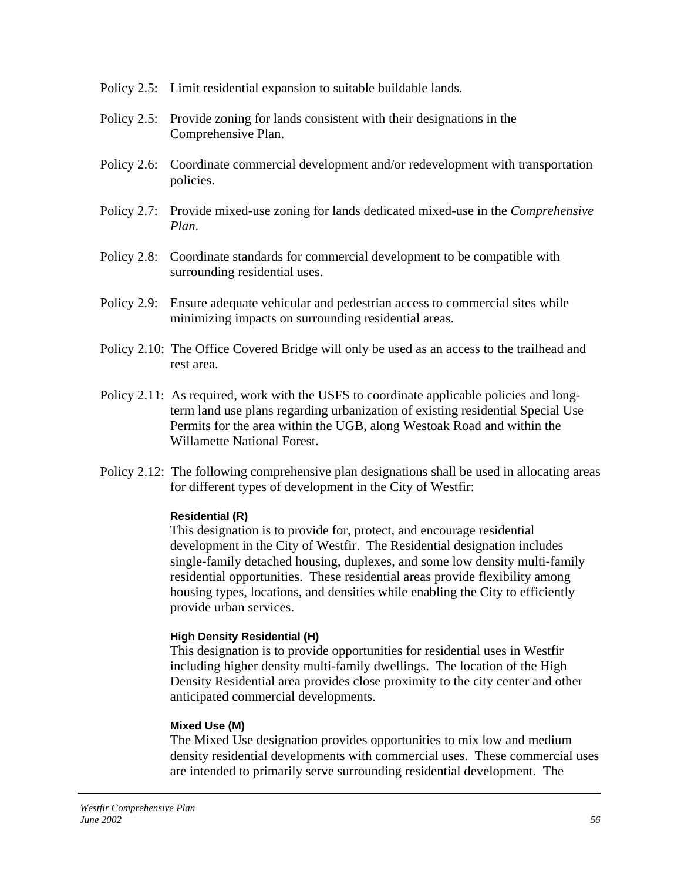- Policy 2.5: Limit residential expansion to suitable buildable lands.
- Policy 2.5: Provide zoning for lands consistent with their designations in the Comprehensive Plan.
- Policy 2.6: Coordinate commercial development and/or redevelopment with transportation policies.
- Policy 2.7: Provide mixed-use zoning for lands dedicated mixed-use in the *Comprehensive Plan*.
- Policy 2.8: Coordinate standards for commercial development to be compatible with surrounding residential uses.
- Policy 2.9: Ensure adequate vehicular and pedestrian access to commercial sites while minimizing impacts on surrounding residential areas.
- Policy 2.10: The Office Covered Bridge will only be used as an access to the trailhead and rest area.
- Policy 2.11: As required, work with the USFS to coordinate applicable policies and longterm land use plans regarding urbanization of existing residential Special Use Permits for the area within the UGB, along Westoak Road and within the Willamette National Forest.
- Policy 2.12: The following comprehensive plan designations shall be used in allocating areas for different types of development in the City of Westfir:

### **Residential (R)**

This designation is to provide for, protect, and encourage residential development in the City of Westfir. The Residential designation includes single-family detached housing, duplexes, and some low density multi-family residential opportunities. These residential areas provide flexibility among housing types, locations, and densities while enabling the City to efficiently provide urban services.

### **High Density Residential (H)**

This designation is to provide opportunities for residential uses in Westfir including higher density multi-family dwellings. The location of the High Density Residential area provides close proximity to the city center and other anticipated commercial developments.

#### **Mixed Use (M)**

The Mixed Use designation provides opportunities to mix low and medium density residential developments with commercial uses. These commercial uses are intended to primarily serve surrounding residential development. The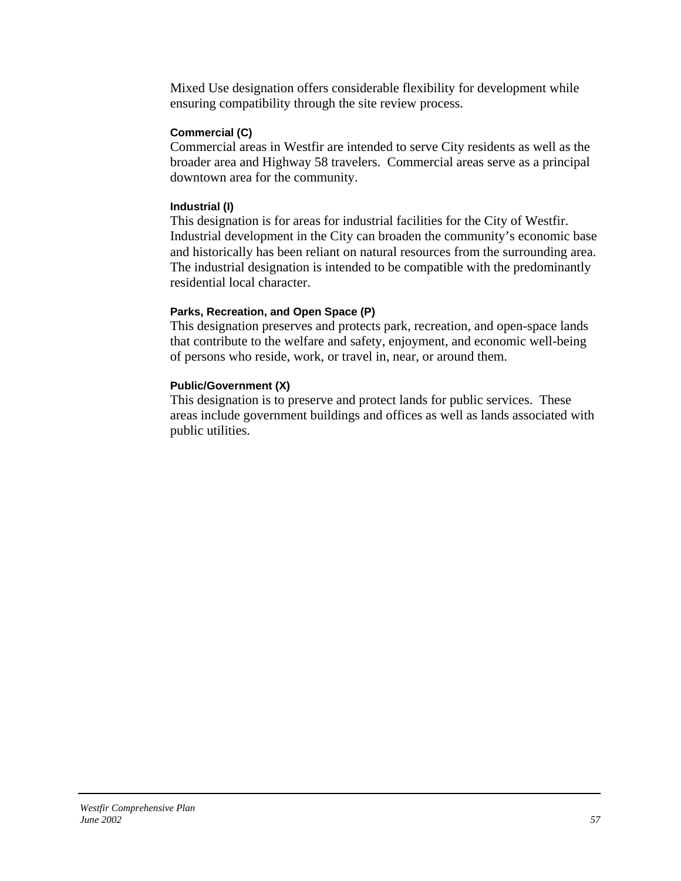Mixed Use designation offers considerable flexibility for development while ensuring compatibility through the site review process.

### **Commercial (C)**

Commercial areas in Westfir are intended to serve City residents as well as the broader area and Highway 58 travelers. Commercial areas serve as a principal downtown area for the community.

#### **Industrial (I)**

This designation is for areas for industrial facilities for the City of Westfir. Industrial development in the City can broaden the community's economic base and historically has been reliant on natural resources from the surrounding area. The industrial designation is intended to be compatible with the predominantly residential local character.

### **Parks, Recreation, and Open Space (P)**

This designation preserves and protects park, recreation, and open-space lands that contribute to the welfare and safety, enjoyment, and economic well-being of persons who reside, work, or travel in, near, or around them.

### **Public/Government (X)**

This designation is to preserve and protect lands for public services. These areas include government buildings and offices as well as lands associated with public utilities.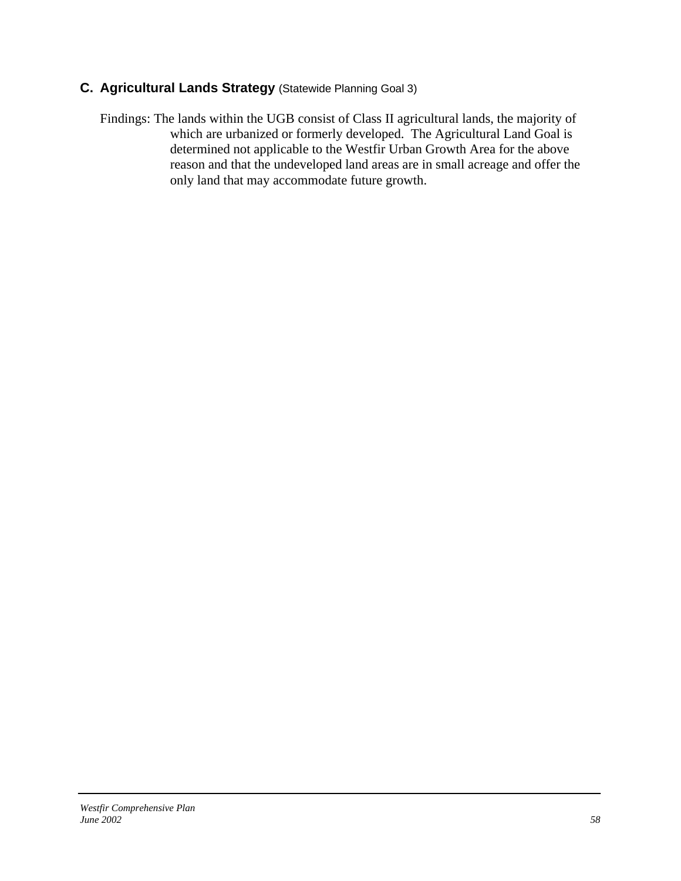# **C. Agricultural Lands Strategy** (Statewide Planning Goal 3)

Findings: The lands within the UGB consist of Class II agricultural lands, the majority of which are urbanized or formerly developed. The Agricultural Land Goal is determined not applicable to the Westfir Urban Growth Area for the above reason and that the undeveloped land areas are in small acreage and offer the only land that may accommodate future growth.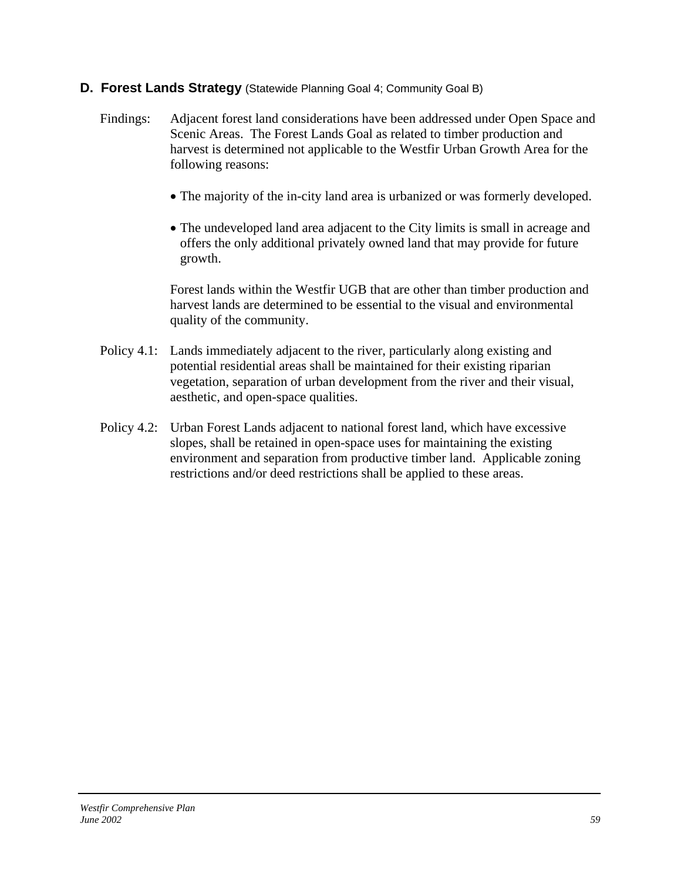### **D. Forest Lands Strategy** (Statewide Planning Goal 4; Community Goal B)

- Findings: Adjacent forest land considerations have been addressed under Open Space and Scenic Areas. The Forest Lands Goal as related to timber production and harvest is determined not applicable to the Westfir Urban Growth Area for the following reasons:
	- The majority of the in-city land area is urbanized or was formerly developed.
	- The undeveloped land area adjacent to the City limits is small in acreage and offers the only additional privately owned land that may provide for future growth.

Forest lands within the Westfir UGB that are other than timber production and harvest lands are determined to be essential to the visual and environmental quality of the community.

- Policy 4.1: Lands immediately adjacent to the river, particularly along existing and potential residential areas shall be maintained for their existing riparian vegetation, separation of urban development from the river and their visual, aesthetic, and open-space qualities.
- Policy 4.2: Urban Forest Lands adjacent to national forest land, which have excessive slopes, shall be retained in open-space uses for maintaining the existing environment and separation from productive timber land. Applicable zoning restrictions and/or deed restrictions shall be applied to these areas.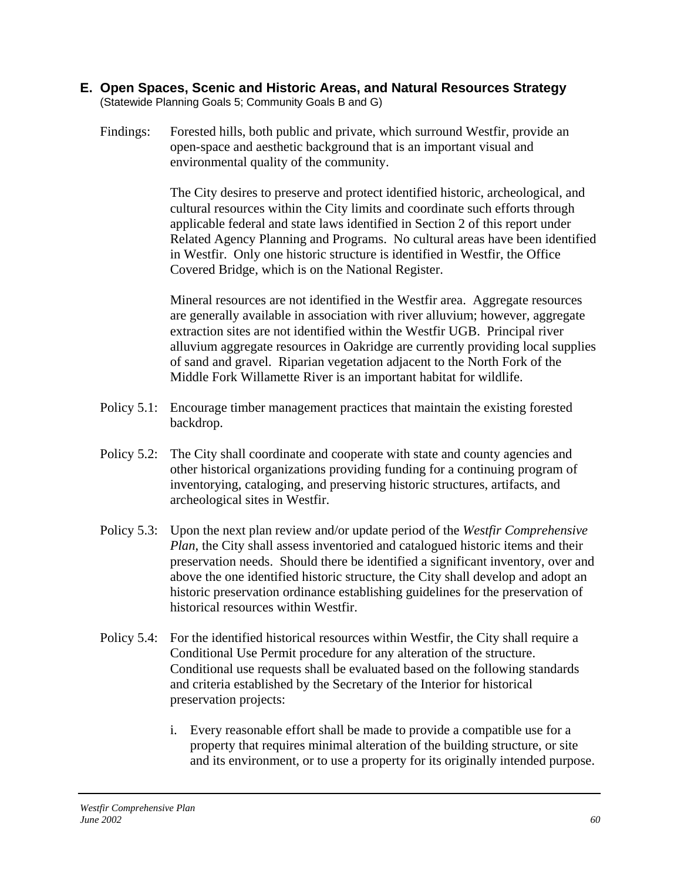- **E. Open Spaces, Scenic and Historic Areas, and Natural Resources Strategy**  (Statewide Planning Goals 5; Community Goals B and G)
	- Findings: Forested hills, both public and private, which surround Westfir, provide an open-space and aesthetic background that is an important visual and environmental quality of the community.

The City desires to preserve and protect identified historic, archeological, and cultural resources within the City limits and coordinate such efforts through applicable federal and state laws identified in Section 2 of this report under Related Agency Planning and Programs. No cultural areas have been identified in Westfir. Only one historic structure is identified in Westfir, the Office Covered Bridge, which is on the National Register.

 Mineral resources are not identified in the Westfir area. Aggregate resources are generally available in association with river alluvium; however, aggregate extraction sites are not identified within the Westfir UGB. Principal river alluvium aggregate resources in Oakridge are currently providing local supplies of sand and gravel. Riparian vegetation adjacent to the North Fork of the Middle Fork Willamette River is an important habitat for wildlife.

- Policy 5.1: Encourage timber management practices that maintain the existing forested backdrop.
- Policy 5.2: The City shall coordinate and cooperate with state and county agencies and other historical organizations providing funding for a continuing program of inventorying, cataloging, and preserving historic structures, artifacts, and archeological sites in Westfir.
- Policy 5.3: Upon the next plan review and/or update period of the *Westfir Comprehensive Plan*, the City shall assess inventoried and catalogued historic items and their preservation needs. Should there be identified a significant inventory, over and above the one identified historic structure, the City shall develop and adopt an historic preservation ordinance establishing guidelines for the preservation of historical resources within Westfir.
- Policy 5.4: For the identified historical resources within Westfir, the City shall require a Conditional Use Permit procedure for any alteration of the structure. Conditional use requests shall be evaluated based on the following standards and criteria established by the Secretary of the Interior for historical preservation projects:
	- i. Every reasonable effort shall be made to provide a compatible use for a property that requires minimal alteration of the building structure, or site and its environment, or to use a property for its originally intended purpose.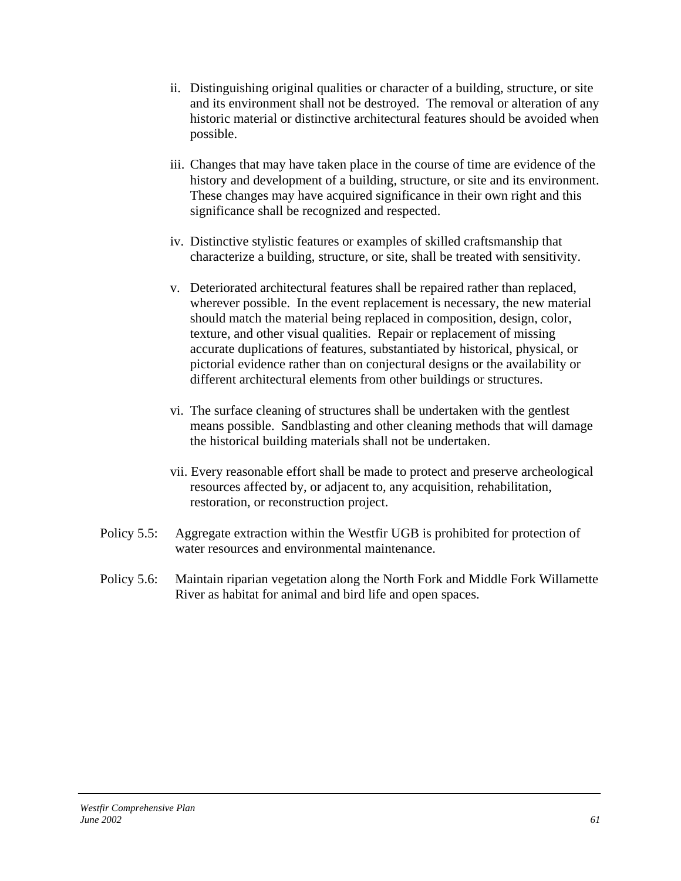- ii. Distinguishing original qualities or character of a building, structure, or site and its environment shall not be destroyed. The removal or alteration of any historic material or distinctive architectural features should be avoided when possible.
- iii. Changes that may have taken place in the course of time are evidence of the history and development of a building, structure, or site and its environment. These changes may have acquired significance in their own right and this significance shall be recognized and respected.
- iv. Distinctive stylistic features or examples of skilled craftsmanship that characterize a building, structure, or site, shall be treated with sensitivity.
- v. Deteriorated architectural features shall be repaired rather than replaced, wherever possible. In the event replacement is necessary, the new material should match the material being replaced in composition, design, color, texture, and other visual qualities. Repair or replacement of missing accurate duplications of features, substantiated by historical, physical, or pictorial evidence rather than on conjectural designs or the availability or different architectural elements from other buildings or structures.
- vi. The surface cleaning of structures shall be undertaken with the gentlest means possible. Sandblasting and other cleaning methods that will damage the historical building materials shall not be undertaken.
- vii. Every reasonable effort shall be made to protect and preserve archeological resources affected by, or adjacent to, any acquisition, rehabilitation, restoration, or reconstruction project.
- Policy 5.5: Aggregate extraction within the Westfir UGB is prohibited for protection of water resources and environmental maintenance.
- Policy 5.6: Maintain riparian vegetation along the North Fork and Middle Fork Willamette River as habitat for animal and bird life and open spaces.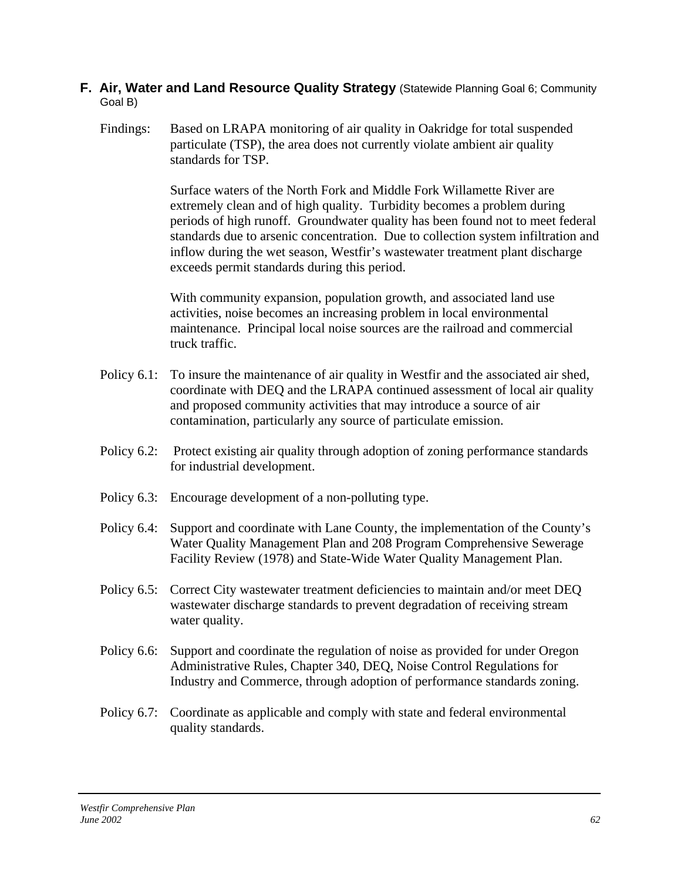### **F. Air, Water and Land Resource Quality Strategy** (Statewide Planning Goal 6; Community Goal B)

Findings: Based on LRAPA monitoring of air quality in Oakridge for total suspended particulate (TSP), the area does not currently violate ambient air quality standards for TSP.

> Surface waters of the North Fork and Middle Fork Willamette River are extremely clean and of high quality. Turbidity becomes a problem during periods of high runoff. Groundwater quality has been found not to meet federal standards due to arsenic concentration. Due to collection system infiltration and inflow during the wet season, Westfir's wastewater treatment plant discharge exceeds permit standards during this period.

 With community expansion, population growth, and associated land use activities, noise becomes an increasing problem in local environmental maintenance. Principal local noise sources are the railroad and commercial truck traffic.

- Policy 6.1: To insure the maintenance of air quality in Westfir and the associated air shed, coordinate with DEQ and the LRAPA continued assessment of local air quality and proposed community activities that may introduce a source of air contamination, particularly any source of particulate emission.
- Policy 6.2: Protect existing air quality through adoption of zoning performance standards for industrial development.
- Policy 6.3: Encourage development of a non-polluting type.
- Policy 6.4: Support and coordinate with Lane County, the implementation of the County's Water Quality Management Plan and 208 Program Comprehensive Sewerage Facility Review (1978) and State-Wide Water Quality Management Plan.
- Policy 6.5: Correct City wastewater treatment deficiencies to maintain and/or meet DEQ wastewater discharge standards to prevent degradation of receiving stream water quality.
- Policy 6.6: Support and coordinate the regulation of noise as provided for under Oregon Administrative Rules, Chapter 340, DEQ, Noise Control Regulations for Industry and Commerce, through adoption of performance standards zoning.
- Policy 6.7: Coordinate as applicable and comply with state and federal environmental quality standards.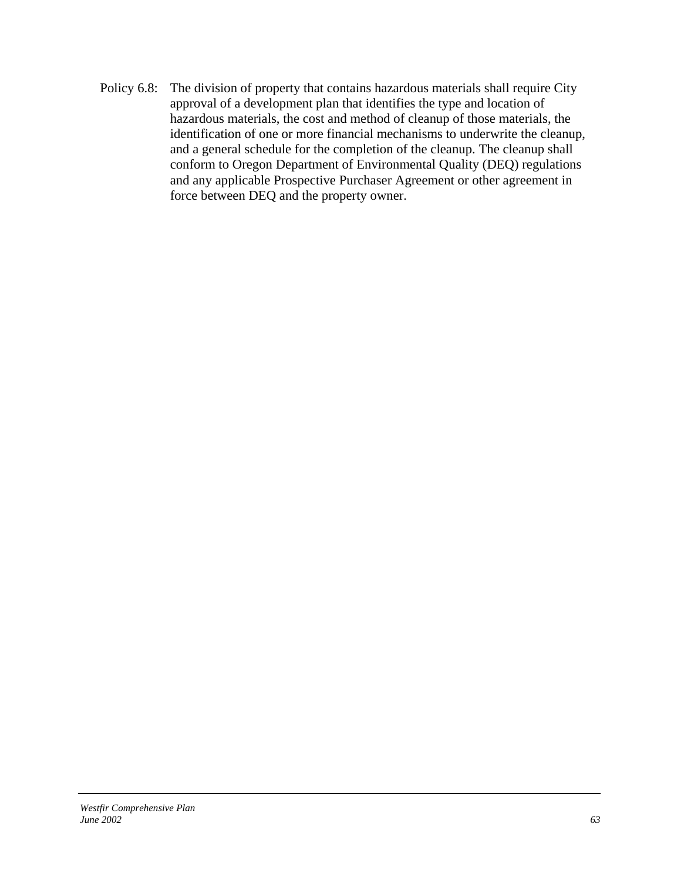Policy 6.8: The division of property that contains hazardous materials shall require City approval of a development plan that identifies the type and location of hazardous materials, the cost and method of cleanup of those materials, the identification of one or more financial mechanisms to underwrite the cleanup, and a general schedule for the completion of the cleanup. The cleanup shall conform to Oregon Department of Environmental Quality (DEQ) regulations and any applicable Prospective Purchaser Agreement or other agreement in force between DEQ and the property owner.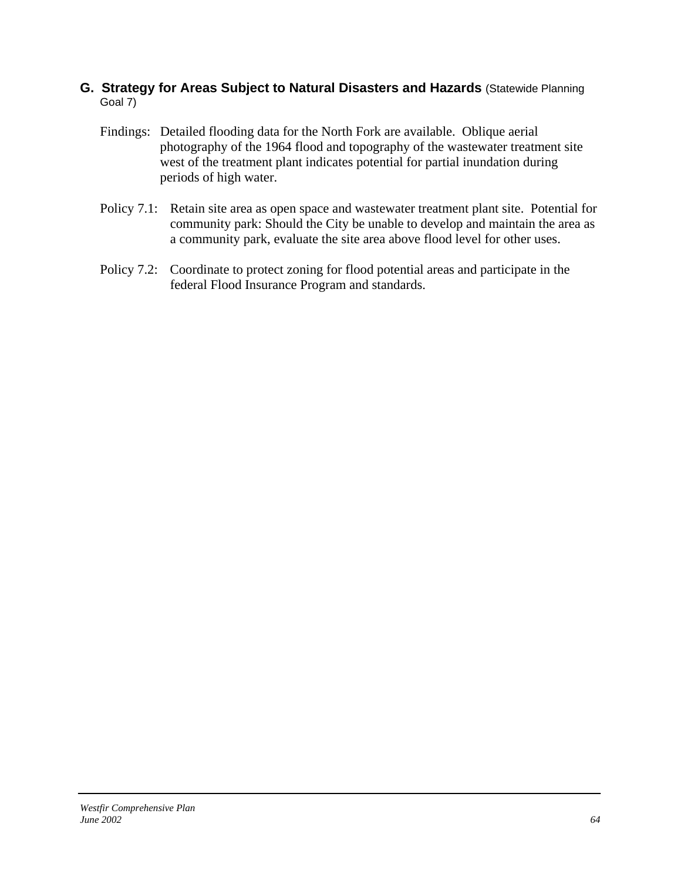### **G. Strategy for Areas Subject to Natural Disasters and Hazards** (Statewide Planning Goal 7)

- Findings: Detailed flooding data for the North Fork are available. Oblique aerial photography of the 1964 flood and topography of the wastewater treatment site west of the treatment plant indicates potential for partial inundation during periods of high water.
- Policy 7.1: Retain site area as open space and wastewater treatment plant site. Potential for community park: Should the City be unable to develop and maintain the area as a community park, evaluate the site area above flood level for other uses.
- Policy 7.2: Coordinate to protect zoning for flood potential areas and participate in the federal Flood Insurance Program and standards.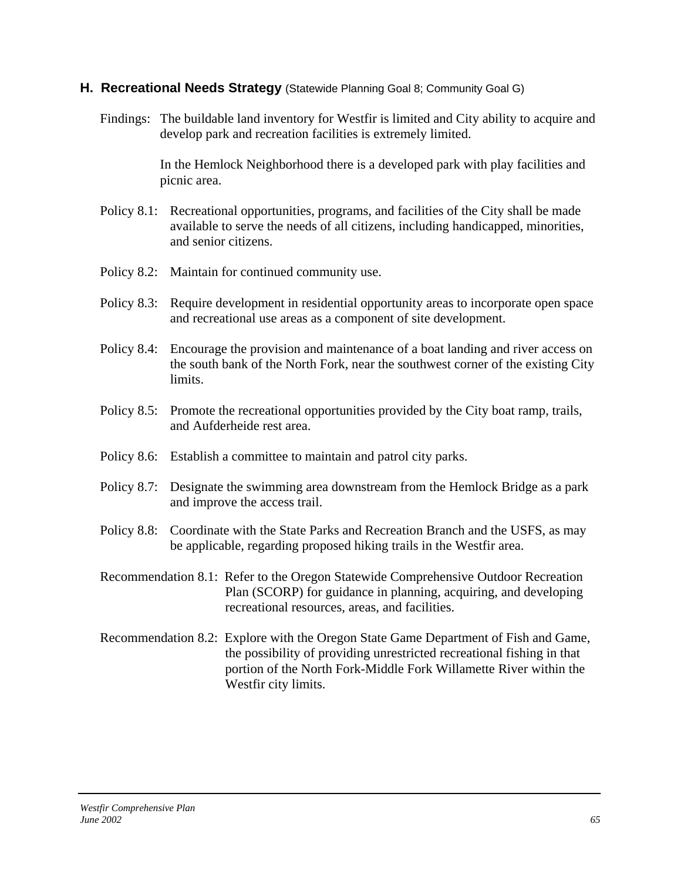### **H. Recreational Needs Strategy** (Statewide Planning Goal 8; Community Goal G)

Findings: The buildable land inventory for Westfir is limited and City ability to acquire and develop park and recreation facilities is extremely limited.

> In the Hemlock Neighborhood there is a developed park with play facilities and picnic area.

- Policy 8.1: Recreational opportunities, programs, and facilities of the City shall be made available to serve the needs of all citizens, including handicapped, minorities, and senior citizens.
- Policy 8.2: Maintain for continued community use.
- Policy 8.3: Require development in residential opportunity areas to incorporate open space and recreational use areas as a component of site development.
- Policy 8.4: Encourage the provision and maintenance of a boat landing and river access on the south bank of the North Fork, near the southwest corner of the existing City limits.
- Policy 8.5: Promote the recreational opportunities provided by the City boat ramp, trails, and Aufderheide rest area.
- Policy 8.6: Establish a committee to maintain and patrol city parks.
- Policy 8.7: Designate the swimming area downstream from the Hemlock Bridge as a park and improve the access trail.
- Policy 8.8: Coordinate with the State Parks and Recreation Branch and the USFS, as may be applicable, regarding proposed hiking trails in the Westfir area.
- Recommendation 8.1: Refer to the Oregon Statewide Comprehensive Outdoor Recreation Plan (SCORP) for guidance in planning, acquiring, and developing recreational resources, areas, and facilities.
- Recommendation 8.2: Explore with the Oregon State Game Department of Fish and Game, the possibility of providing unrestricted recreational fishing in that portion of the North Fork-Middle Fork Willamette River within the Westfir city limits.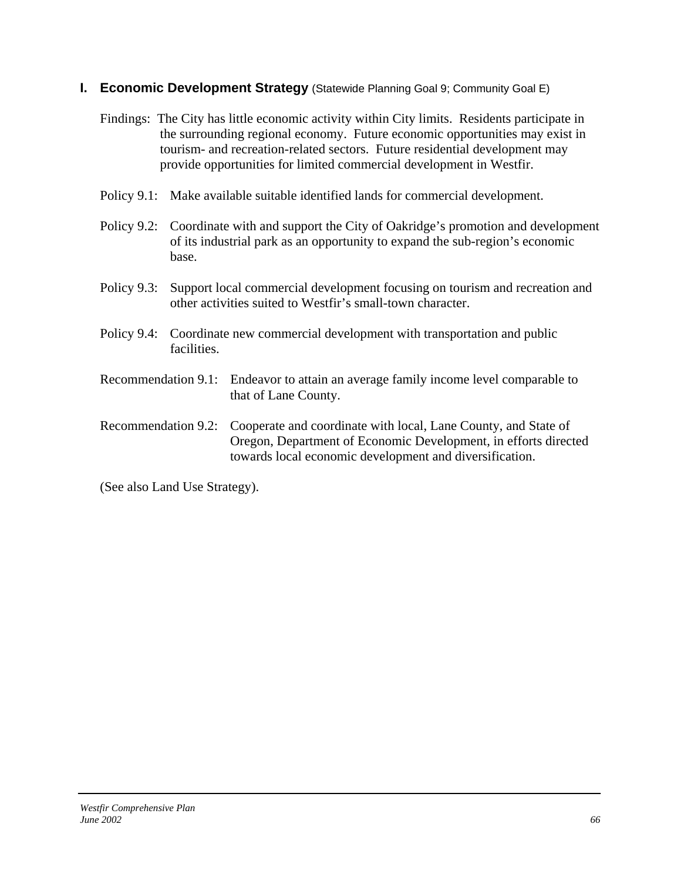### **I. Economic Development Strategy** (Statewide Planning Goal 9; Community Goal E)

- Findings: The City has little economic activity within City limits. Residents participate in the surrounding regional economy. Future economic opportunities may exist in tourism- and recreation-related sectors. Future residential development may provide opportunities for limited commercial development in Westfir.
- Policy 9.1: Make available suitable identified lands for commercial development.
- Policy 9.2: Coordinate with and support the City of Oakridge's promotion and development of its industrial park as an opportunity to expand the sub-region's economic base.
- Policy 9.3: Support local commercial development focusing on tourism and recreation and other activities suited to Westfir's small-town character.
- Policy 9.4: Coordinate new commercial development with transportation and public facilities.
- Recommendation 9.1: Endeavor to attain an average family income level comparable to that of Lane County.
- Recommendation 9.2: Cooperate and coordinate with local, Lane County, and State of Oregon, Department of Economic Development, in efforts directed towards local economic development and diversification.

(See also Land Use Strategy).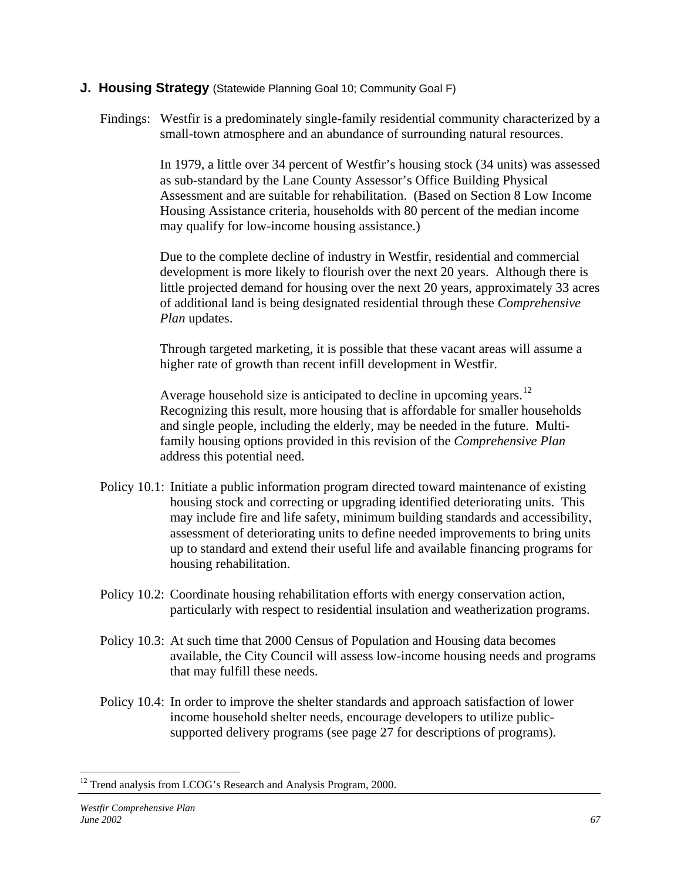### **J. Housing Strategy** (Statewide Planning Goal 10; Community Goal F)

Findings: Westfir is a predominately single-family residential community characterized by a small-town atmosphere and an abundance of surrounding natural resources.

> In 1979, a little over 34 percent of Westfir's housing stock (34 units) was assessed as sub-standard by the Lane County Assessor's Office Building Physical Assessment and are suitable for rehabilitation. (Based on Section 8 Low Income Housing Assistance criteria, households with 80 percent of the median income may qualify for low-income housing assistance.)

> Due to the complete decline of industry in Westfir, residential and commercial development is more likely to flourish over the next 20 years. Although there is little projected demand for housing over the next 20 years, approximately 33 acres of additional land is being designated residential through these *Comprehensive Plan* updates.

Through targeted marketing, it is possible that these vacant areas will assume a higher rate of growth than recent infill development in Westfir.

Average household size is anticipated to decline in upcoming years.<sup>[12](#page-66-0)</sup> Recognizing this result, more housing that is affordable for smaller households and single people, including the elderly, may be needed in the future. Multifamily housing options provided in this revision of the *Comprehensive Plan* address this potential need.

- Policy 10.1: Initiate a public information program directed toward maintenance of existing housing stock and correcting or upgrading identified deteriorating units. This may include fire and life safety, minimum building standards and accessibility, assessment of deteriorating units to define needed improvements to bring units up to standard and extend their useful life and available financing programs for housing rehabilitation.
- Policy 10.2: Coordinate housing rehabilitation efforts with energy conservation action, particularly with respect to residential insulation and weatherization programs.
- Policy 10.3: At such time that 2000 Census of Population and Housing data becomes available, the City Council will assess low-income housing needs and programs that may fulfill these needs.
- Policy 10.4: In order to improve the shelter standards and approach satisfaction of lower income household shelter needs, encourage developers to utilize publicsupported delivery programs (see page 27 for descriptions of programs).

 $\overline{a}$ 

<span id="page-66-0"></span><sup>&</sup>lt;sup>12</sup> Trend analysis from LCOG's Research and Analysis Program, 2000.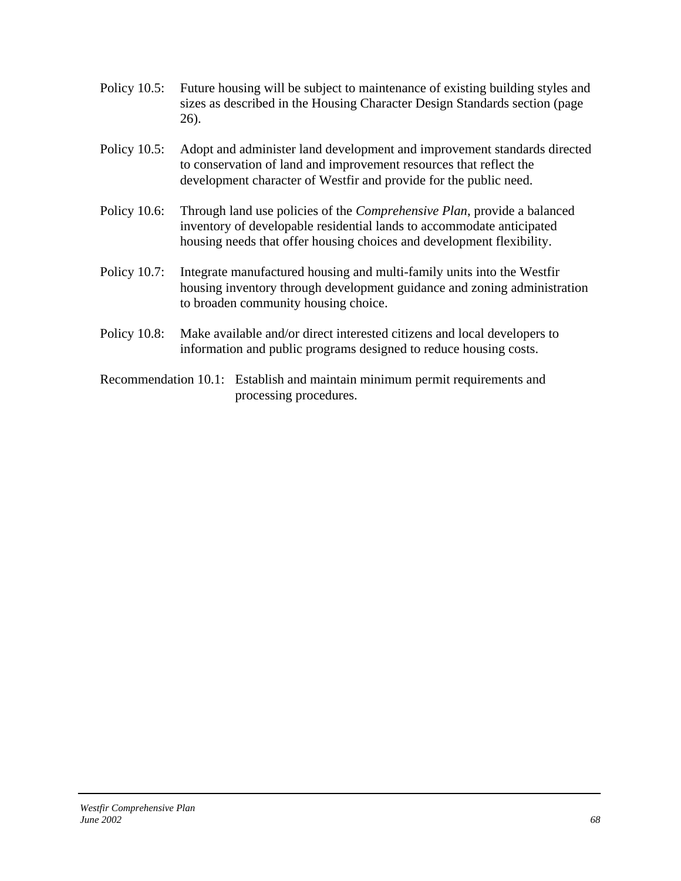- Policy 10.5: Future housing will be subject to maintenance of existing building styles and sizes as described in the Housing Character Design Standards section (page 26).
- Policy 10.5: Adopt and administer land development and improvement standards directed to conservation of land and improvement resources that reflect the development character of Westfir and provide for the public need.
- Policy 10.6: Through land use policies of the *Comprehensive Plan*, provide a balanced inventory of developable residential lands to accommodate anticipated housing needs that offer housing choices and development flexibility.
- Policy 10.7: Integrate manufactured housing and multi-family units into the Westfir housing inventory through development guidance and zoning administration to broaden community housing choice.
- Policy 10.8: Make available and/or direct interested citizens and local developers to information and public programs designed to reduce housing costs.
- Recommendation 10.1: Establish and maintain minimum permit requirements and processing procedures.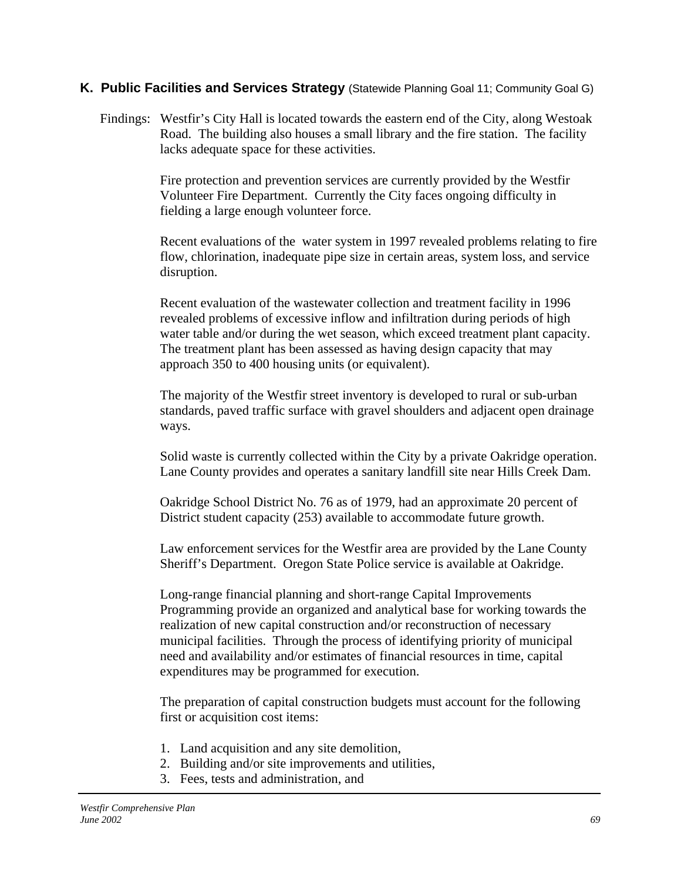### **K. Public Facilities and Services Strategy** (Statewide Planning Goal 11; Community Goal G)

Findings: Westfir's City Hall is located towards the eastern end of the City, along Westoak Road. The building also houses a small library and the fire station. The facility lacks adequate space for these activities.

> Fire protection and prevention services are currently provided by the Westfir Volunteer Fire Department. Currently the City faces ongoing difficulty in fielding a large enough volunteer force.

Recent evaluations of the water system in 1997 revealed problems relating to fire flow, chlorination, inadequate pipe size in certain areas, system loss, and service disruption.

Recent evaluation of the wastewater collection and treatment facility in 1996 revealed problems of excessive inflow and infiltration during periods of high water table and/or during the wet season, which exceed treatment plant capacity. The treatment plant has been assessed as having design capacity that may approach 350 to 400 housing units (or equivalent).

The majority of the Westfir street inventory is developed to rural or sub-urban standards, paved traffic surface with gravel shoulders and adjacent open drainage ways.

Solid waste is currently collected within the City by a private Oakridge operation. Lane County provides and operates a sanitary landfill site near Hills Creek Dam.

Oakridge School District No. 76 as of 1979, had an approximate 20 percent of District student capacity (253) available to accommodate future growth.

Law enforcement services for the Westfir area are provided by the Lane County Sheriff's Department. Oregon State Police service is available at Oakridge.

Long-range financial planning and short-range Capital Improvements Programming provide an organized and analytical base for working towards the realization of new capital construction and/or reconstruction of necessary municipal facilities. Through the process of identifying priority of municipal need and availability and/or estimates of financial resources in time, capital expenditures may be programmed for execution.

The preparation of capital construction budgets must account for the following first or acquisition cost items:

- 1. Land acquisition and any site demolition,
- 2. Building and/or site improvements and utilities,
- 3. Fees, tests and administration, and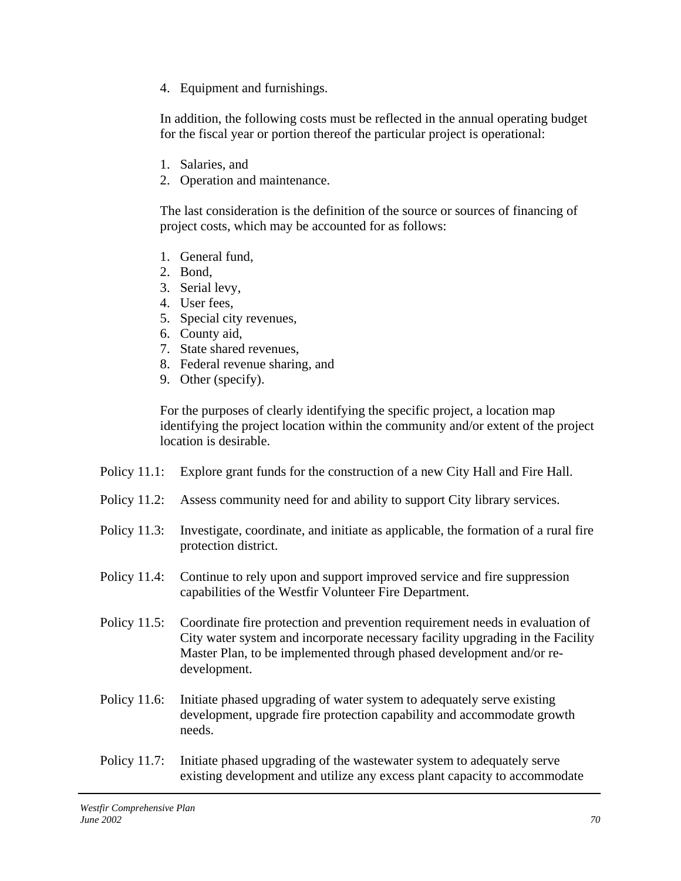4. Equipment and furnishings.

In addition, the following costs must be reflected in the annual operating budget for the fiscal year or portion thereof the particular project is operational:

- 1. Salaries, and
- 2. Operation and maintenance.

The last consideration is the definition of the source or sources of financing of project costs, which may be accounted for as follows:

- 1. General fund,
- 2. Bond,
- 3. Serial levy,
- 4. User fees,
- 5. Special city revenues,
- 6. County aid,
- 7. State shared revenues,
- 8. Federal revenue sharing, and
- 9. Other (specify).

For the purposes of clearly identifying the specific project, a location map identifying the project location within the community and/or extent of the project location is desirable.

- Policy 11.1: Explore grant funds for the construction of a new City Hall and Fire Hall.
- Policy 11.2: Assess community need for and ability to support City library services.
- Policy 11.3: Investigate, coordinate, and initiate as applicable, the formation of a rural fire protection district.
- Policy 11.4: Continue to rely upon and support improved service and fire suppression capabilities of the Westfir Volunteer Fire Department.
- Policy 11.5: Coordinate fire protection and prevention requirement needs in evaluation of City water system and incorporate necessary facility upgrading in the Facility Master Plan, to be implemented through phased development and/or redevelopment.
- Policy 11.6: Initiate phased upgrading of water system to adequately serve existing development, upgrade fire protection capability and accommodate growth needs.
- Policy 11.7: Initiate phased upgrading of the wastewater system to adequately serve existing development and utilize any excess plant capacity to accommodate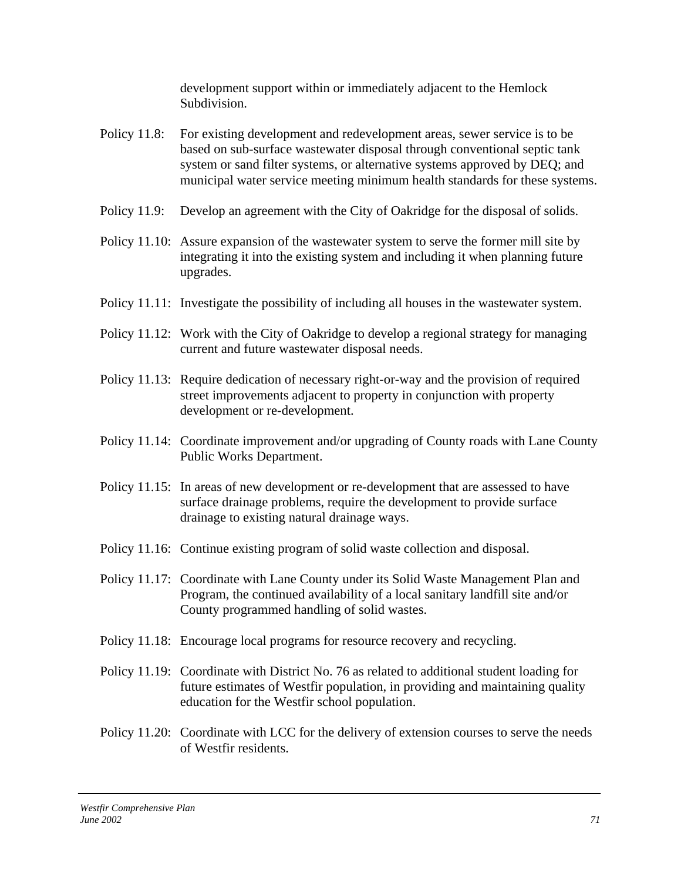development support within or immediately adjacent to the Hemlock Subdivision.

- Policy 11.8: For existing development and redevelopment areas, sewer service is to be based on sub-surface wastewater disposal through conventional septic tank system or sand filter systems, or alternative systems approved by DEQ; and municipal water service meeting minimum health standards for these systems.
- Policy 11.9: Develop an agreement with the City of Oakridge for the disposal of solids.
- Policy 11.10: Assure expansion of the wastewater system to serve the former mill site by integrating it into the existing system and including it when planning future upgrades.
- Policy 11.11: Investigate the possibility of including all houses in the wastewater system.
- Policy 11.12: Work with the City of Oakridge to develop a regional strategy for managing current and future wastewater disposal needs.
- Policy 11.13: Require dedication of necessary right-or-way and the provision of required street improvements adjacent to property in conjunction with property development or re-development.
- Policy 11.14: Coordinate improvement and/or upgrading of County roads with Lane County Public Works Department.
- Policy 11.15: In areas of new development or re-development that are assessed to have surface drainage problems, require the development to provide surface drainage to existing natural drainage ways.
- Policy 11.16: Continue existing program of solid waste collection and disposal.
- Policy 11.17: Coordinate with Lane County under its Solid Waste Management Plan and Program, the continued availability of a local sanitary landfill site and/or County programmed handling of solid wastes.
- Policy 11.18: Encourage local programs for resource recovery and recycling.
- Policy 11.19: Coordinate with District No. 76 as related to additional student loading for future estimates of Westfir population, in providing and maintaining quality education for the Westfir school population.
- Policy 11.20: Coordinate with LCC for the delivery of extension courses to serve the needs of Westfir residents.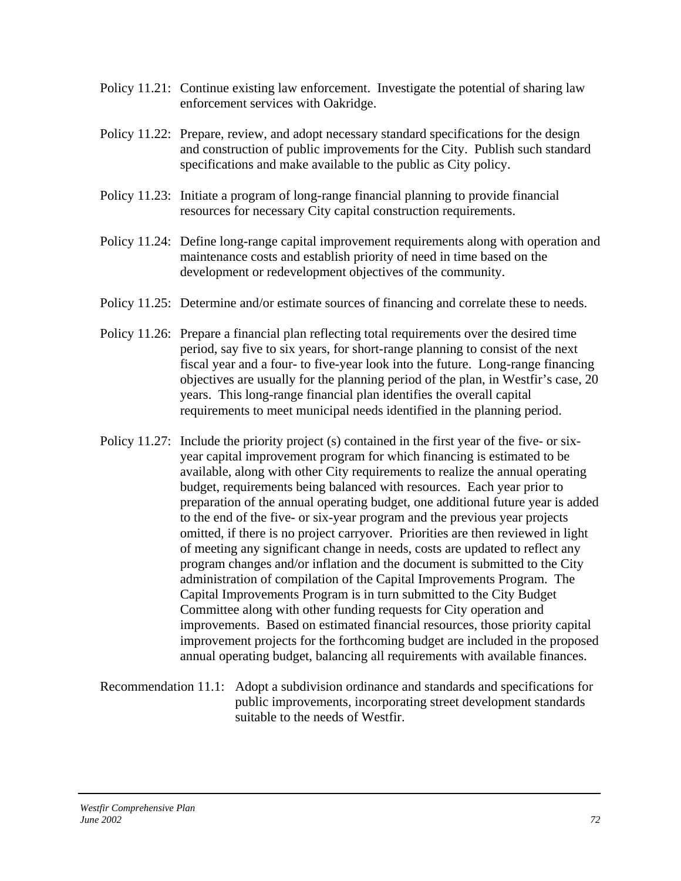- Policy 11.21: Continue existing law enforcement. Investigate the potential of sharing law enforcement services with Oakridge.
- Policy 11.22: Prepare, review, and adopt necessary standard specifications for the design and construction of public improvements for the City. Publish such standard specifications and make available to the public as City policy.
- Policy 11.23: Initiate a program of long-range financial planning to provide financial resources for necessary City capital construction requirements.
- Policy 11.24: Define long-range capital improvement requirements along with operation and maintenance costs and establish priority of need in time based on the development or redevelopment objectives of the community.
- Policy 11.25: Determine and/or estimate sources of financing and correlate these to needs.
- Policy 11.26: Prepare a financial plan reflecting total requirements over the desired time period, say five to six years, for short-range planning to consist of the next fiscal year and a four- to five-year look into the future. Long-range financing objectives are usually for the planning period of the plan, in Westfir's case, 20 years. This long-range financial plan identifies the overall capital requirements to meet municipal needs identified in the planning period.
- Policy 11.27: Include the priority project (s) contained in the first year of the five- or sixyear capital improvement program for which financing is estimated to be available, along with other City requirements to realize the annual operating budget, requirements being balanced with resources. Each year prior to preparation of the annual operating budget, one additional future year is added to the end of the five- or six-year program and the previous year projects omitted, if there is no project carryover. Priorities are then reviewed in light of meeting any significant change in needs, costs are updated to reflect any program changes and/or inflation and the document is submitted to the City administration of compilation of the Capital Improvements Program. The Capital Improvements Program is in turn submitted to the City Budget Committee along with other funding requests for City operation and improvements. Based on estimated financial resources, those priority capital improvement projects for the forthcoming budget are included in the proposed annual operating budget, balancing all requirements with available finances.
- Recommendation 11.1: Adopt a subdivision ordinance and standards and specifications for public improvements, incorporating street development standards suitable to the needs of Westfir.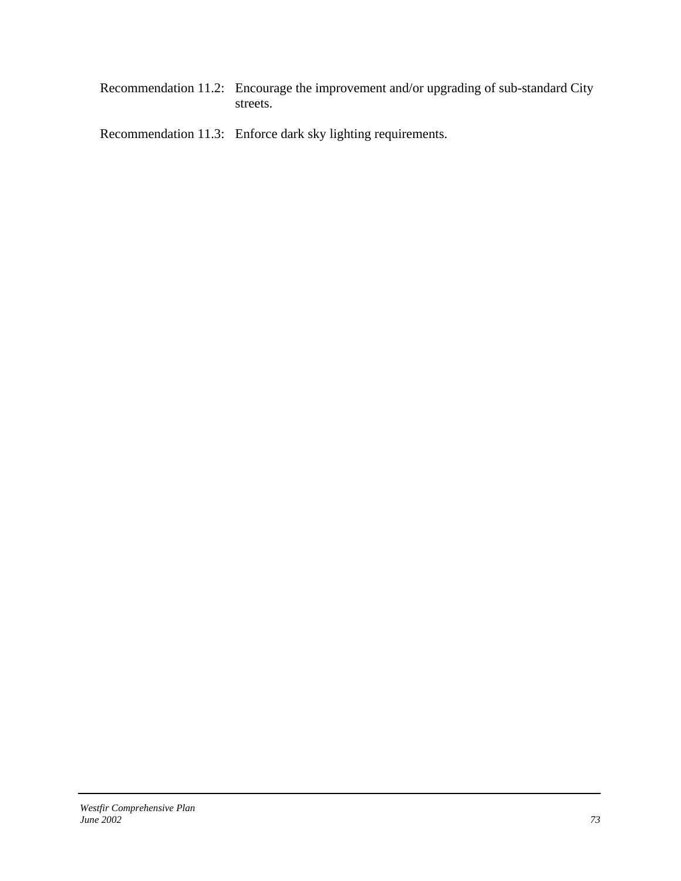Recommendation 11.2: Encourage the improvement and/or upgrading of sub-standard City streets.

Recommendation 11.3: Enforce dark sky lighting requirements.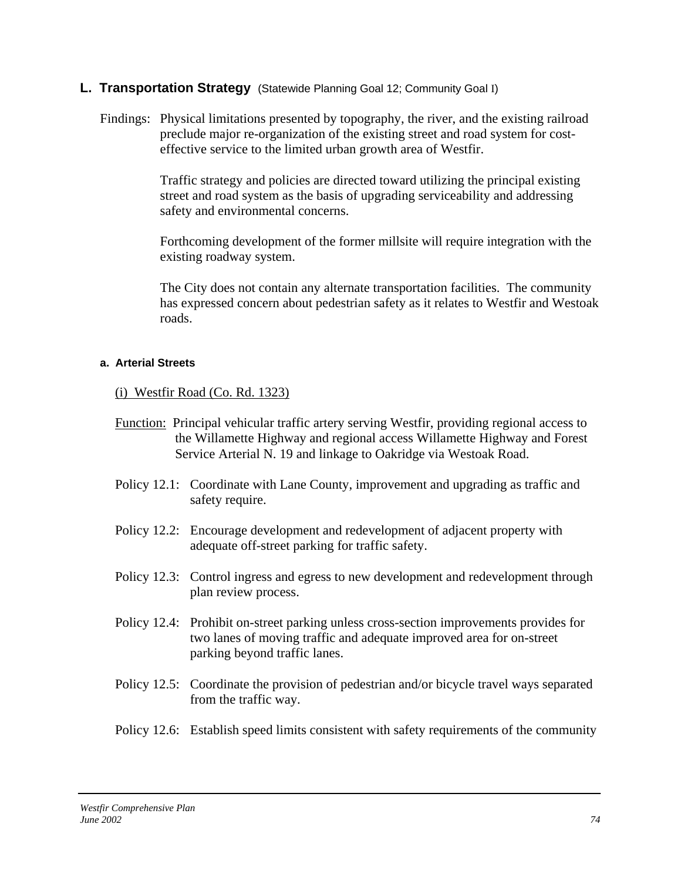# **L. Transportation Strategy** (Statewide Planning Goal 12; Community Goal I)

Findings: Physical limitations presented by topography, the river, and the existing railroad preclude major re-organization of the existing street and road system for costeffective service to the limited urban growth area of Westfir.

> Traffic strategy and policies are directed toward utilizing the principal existing street and road system as the basis of upgrading serviceability and addressing safety and environmental concerns.

Forthcoming development of the former millsite will require integration with the existing roadway system.

The City does not contain any alternate transportation facilities. The community has expressed concern about pedestrian safety as it relates to Westfir and Westoak roads.

## **a. Arterial Streets**

(i) Westfir Road (Co. Rd. 1323)

- Function: Principal vehicular traffic artery serving Westfir, providing regional access to the Willamette Highway and regional access Willamette Highway and Forest Service Arterial N. 19 and linkage to Oakridge via Westoak Road.
- Policy 12.1: Coordinate with Lane County, improvement and upgrading as traffic and safety require.
- Policy 12.2: Encourage development and redevelopment of adjacent property with adequate off-street parking for traffic safety.
- Policy 12.3: Control ingress and egress to new development and redevelopment through plan review process.
- Policy 12.4: Prohibit on-street parking unless cross-section improvements provides for two lanes of moving traffic and adequate improved area for on-street parking beyond traffic lanes.
- Policy 12.5: Coordinate the provision of pedestrian and/or bicycle travel ways separated from the traffic way.
- Policy 12.6: Establish speed limits consistent with safety requirements of the community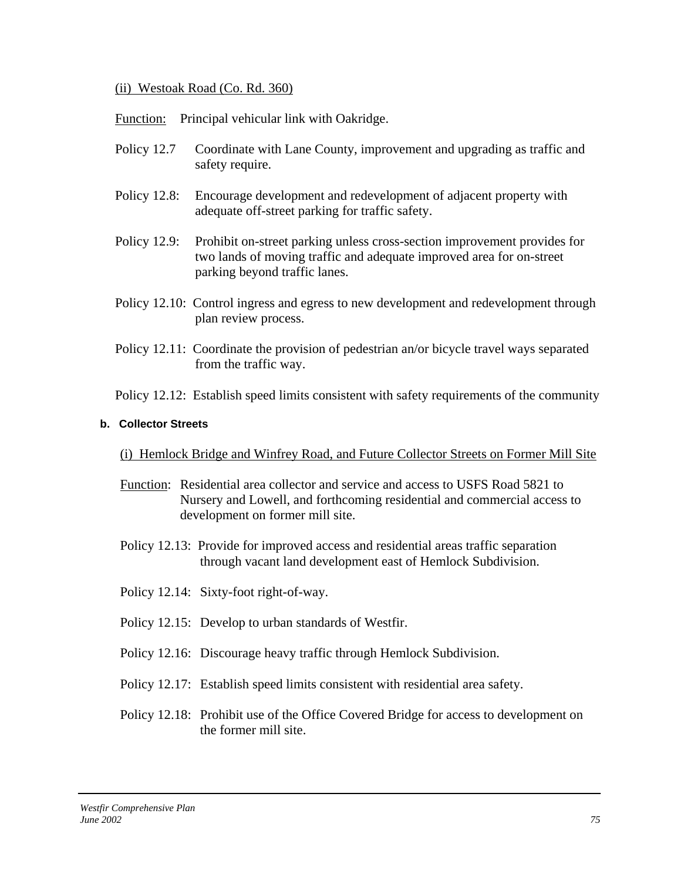## (ii) Westoak Road (Co. Rd. 360)

Function: Principal vehicular link with Oakridge.

- Policy 12.7 Coordinate with Lane County, improvement and upgrading as traffic and safety require.
- Policy 12.8: Encourage development and redevelopment of adjacent property with adequate off-street parking for traffic safety.
- Policy 12.9: Prohibit on-street parking unless cross-section improvement provides for two lands of moving traffic and adequate improved area for on-street parking beyond traffic lanes.
- Policy 12.10: Control ingress and egress to new development and redevelopment through plan review process.
- Policy 12.11: Coordinate the provision of pedestrian an/or bicycle travel ways separated from the traffic way.

Policy 12.12: Establish speed limits consistent with safety requirements of the community

## **b. Collector Streets**

# (i) Hemlock Bridge and Winfrey Road, and Future Collector Streets on Former Mill Site

- Function: Residential area collector and service and access to USFS Road 5821 to Nursery and Lowell, and forthcoming residential and commercial access to development on former mill site.
- Policy 12.13: Provide for improved access and residential areas traffic separation through vacant land development east of Hemlock Subdivision.
- Policy 12.14: Sixty-foot right-of-way.
- Policy 12.15: Develop to urban standards of Westfir.
- Policy 12.16: Discourage heavy traffic through Hemlock Subdivision.
- Policy 12.17: Establish speed limits consistent with residential area safety.
- Policy 12.18: Prohibit use of the Office Covered Bridge for access to development on the former mill site.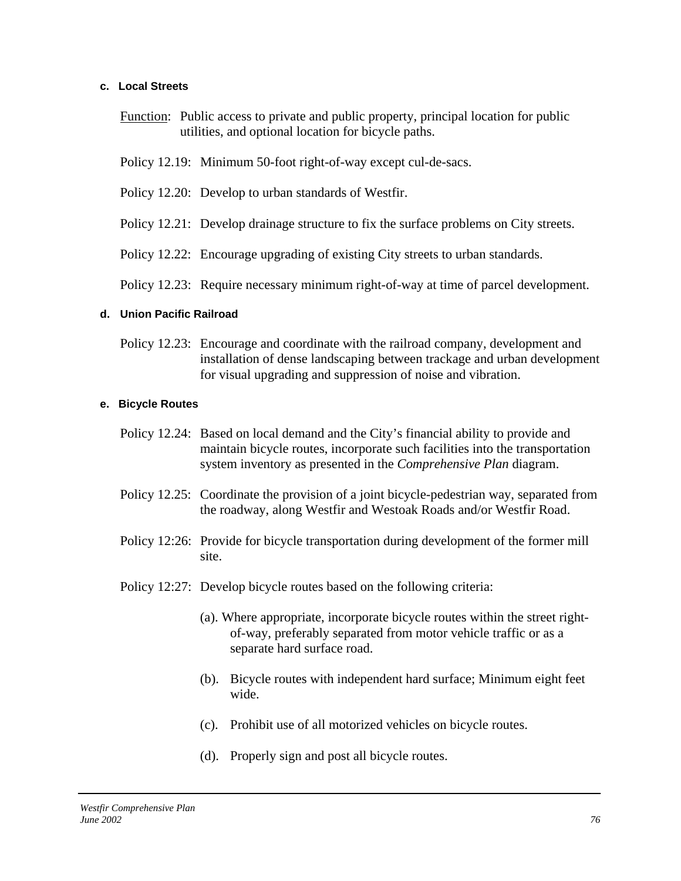### **c. Local Streets**

- Function: Public access to private and public property, principal location for public utilities, and optional location for bicycle paths.
- Policy 12.19: Minimum 50-foot right-of-way except cul-de-sacs.
- Policy 12.20: Develop to urban standards of Westfir.
- Policy 12.21: Develop drainage structure to fix the surface problems on City streets.
- Policy 12.22: Encourage upgrading of existing City streets to urban standards.
- Policy 12.23: Require necessary minimum right-of-way at time of parcel development.

#### **d. Union Pacific Railroad**

Policy 12.23: Encourage and coordinate with the railroad company, development and installation of dense landscaping between trackage and urban development for visual upgrading and suppression of noise and vibration.

#### **e. Bicycle Routes**

- Policy 12.24: Based on local demand and the City's financial ability to provide and maintain bicycle routes, incorporate such facilities into the transportation system inventory as presented in the *Comprehensive Plan* diagram.
- Policy 12.25: Coordinate the provision of a joint bicycle-pedestrian way, separated from the roadway, along Westfir and Westoak Roads and/or Westfir Road.
- Policy 12:26: Provide for bicycle transportation during development of the former mill site.
- Policy 12:27: Develop bicycle routes based on the following criteria:
	- (a). Where appropriate, incorporate bicycle routes within the street rightof-way, preferably separated from motor vehicle traffic or as a separate hard surface road.
	- (b). Bicycle routes with independent hard surface; Minimum eight feet wide.
	- (c). Prohibit use of all motorized vehicles on bicycle routes.
	- (d). Properly sign and post all bicycle routes.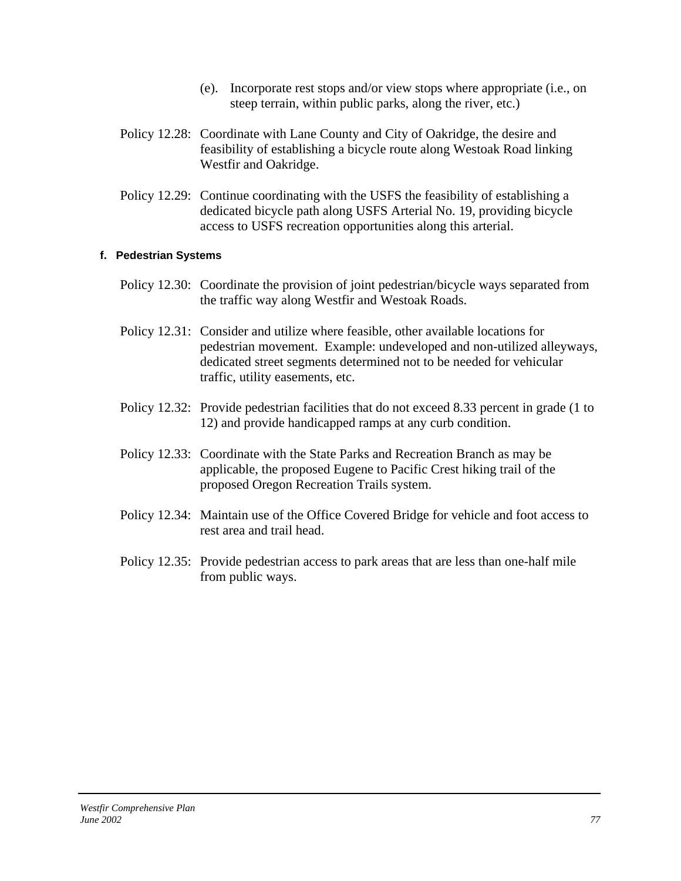- (e). Incorporate rest stops and/or view stops where appropriate (i.e., on steep terrain, within public parks, along the river, etc.)
- Policy 12.28: Coordinate with Lane County and City of Oakridge, the desire and feasibility of establishing a bicycle route along Westoak Road linking Westfir and Oakridge.
- Policy 12.29: Continue coordinating with the USFS the feasibility of establishing a dedicated bicycle path along USFS Arterial No. 19, providing bicycle access to USFS recreation opportunities along this arterial.

### **f. Pedestrian Systems**

- Policy 12.30: Coordinate the provision of joint pedestrian/bicycle ways separated from the traffic way along Westfir and Westoak Roads.
- Policy 12.31: Consider and utilize where feasible, other available locations for pedestrian movement. Example: undeveloped and non-utilized alleyways, dedicated street segments determined not to be needed for vehicular traffic, utility easements, etc.
- Policy 12.32: Provide pedestrian facilities that do not exceed 8.33 percent in grade (1 to 12) and provide handicapped ramps at any curb condition.
- Policy 12.33: Coordinate with the State Parks and Recreation Branch as may be applicable, the proposed Eugene to Pacific Crest hiking trail of the proposed Oregon Recreation Trails system.
- Policy 12.34: Maintain use of the Office Covered Bridge for vehicle and foot access to rest area and trail head.
- Policy 12.35: Provide pedestrian access to park areas that are less than one-half mile from public ways.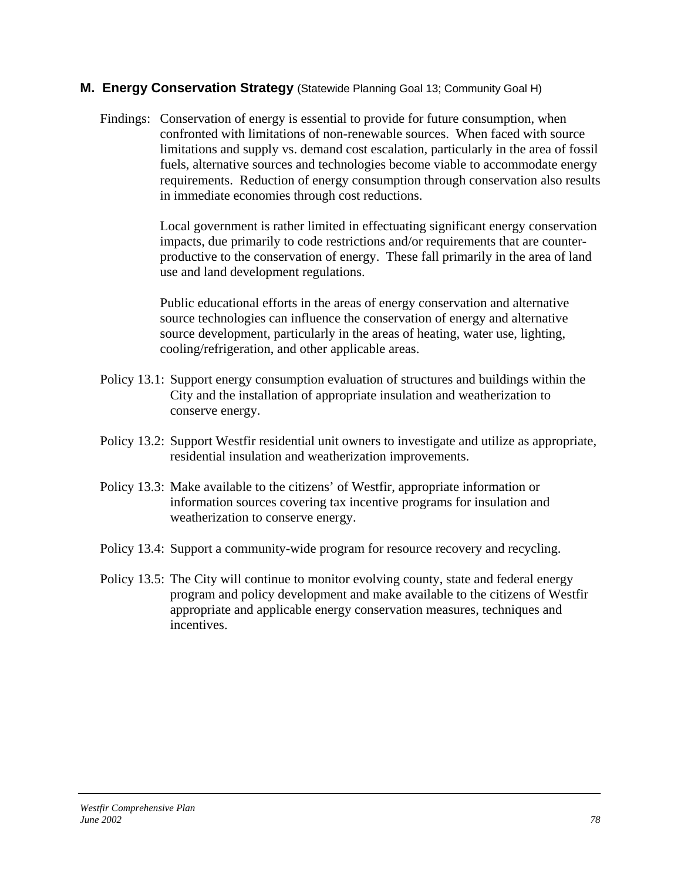# **M. Energy Conservation Strategy** (Statewide Planning Goal 13; Community Goal H)

Findings: Conservation of energy is essential to provide for future consumption, when confronted with limitations of non-renewable sources. When faced with source limitations and supply vs. demand cost escalation, particularly in the area of fossil fuels, alternative sources and technologies become viable to accommodate energy requirements. Reduction of energy consumption through conservation also results in immediate economies through cost reductions.

> Local government is rather limited in effectuating significant energy conservation impacts, due primarily to code restrictions and/or requirements that are counterproductive to the conservation of energy. These fall primarily in the area of land use and land development regulations.

Public educational efforts in the areas of energy conservation and alternative source technologies can influence the conservation of energy and alternative source development, particularly in the areas of heating, water use, lighting, cooling/refrigeration, and other applicable areas.

- Policy 13.1: Support energy consumption evaluation of structures and buildings within the City and the installation of appropriate insulation and weatherization to conserve energy.
- Policy 13.2: Support Westfir residential unit owners to investigate and utilize as appropriate, residential insulation and weatherization improvements.
- Policy 13.3: Make available to the citizens' of Westfir, appropriate information or information sources covering tax incentive programs for insulation and weatherization to conserve energy.
- Policy 13.4: Support a community-wide program for resource recovery and recycling.
- Policy 13.5: The City will continue to monitor evolving county, state and federal energy program and policy development and make available to the citizens of Westfir appropriate and applicable energy conservation measures, techniques and incentives.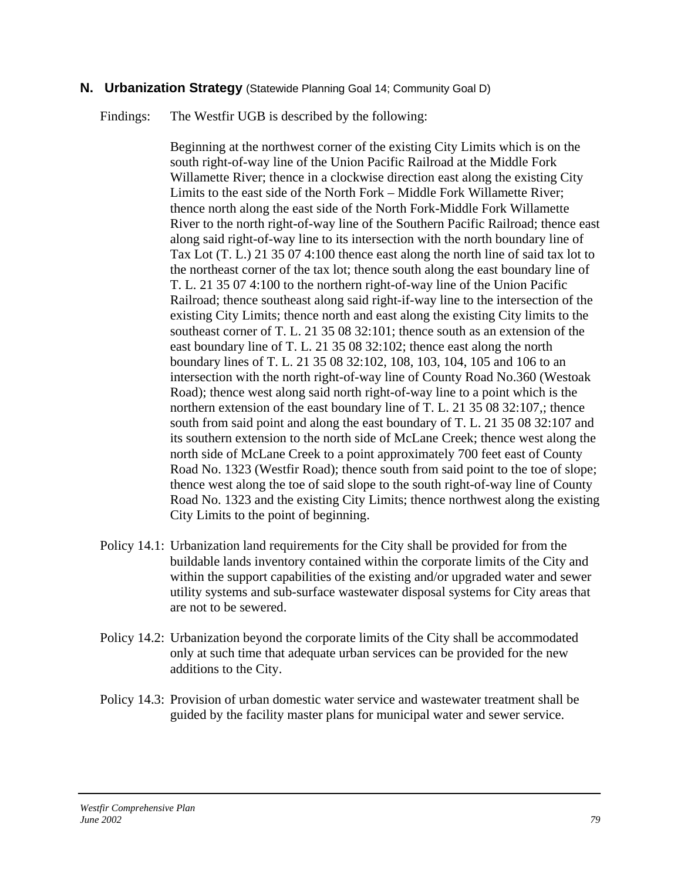# **N. Urbanization Strategy** (Statewide Planning Goal 14; Community Goal D)

Findings: The Westfir UGB is described by the following:

Beginning at the northwest corner of the existing City Limits which is on the south right-of-way line of the Union Pacific Railroad at the Middle Fork Willamette River; thence in a clockwise direction east along the existing City Limits to the east side of the North Fork – Middle Fork Willamette River; thence north along the east side of the North Fork-Middle Fork Willamette River to the north right-of-way line of the Southern Pacific Railroad; thence east along said right-of-way line to its intersection with the north boundary line of Tax Lot (T. L.) 21 35 07 4:100 thence east along the north line of said tax lot to the northeast corner of the tax lot; thence south along the east boundary line of T. L. 21 35 07 4:100 to the northern right-of-way line of the Union Pacific Railroad; thence southeast along said right-if-way line to the intersection of the existing City Limits; thence north and east along the existing City limits to the southeast corner of T. L. 21 35 08 32:101; thence south as an extension of the east boundary line of T. L. 21 35 08 32:102; thence east along the north boundary lines of T. L. 21 35 08 32:102, 108, 103, 104, 105 and 106 to an intersection with the north right-of-way line of County Road No.360 (Westoak Road); thence west along said north right-of-way line to a point which is the northern extension of the east boundary line of T. L. 21 35 08 32:107,; thence south from said point and along the east boundary of T. L. 21 35 08 32:107 and its southern extension to the north side of McLane Creek; thence west along the north side of McLane Creek to a point approximately 700 feet east of County Road No. 1323 (Westfir Road); thence south from said point to the toe of slope; thence west along the toe of said slope to the south right-of-way line of County Road No. 1323 and the existing City Limits; thence northwest along the existing City Limits to the point of beginning.

- Policy 14.1: Urbanization land requirements for the City shall be provided for from the buildable lands inventory contained within the corporate limits of the City and within the support capabilities of the existing and/or upgraded water and sewer utility systems and sub-surface wastewater disposal systems for City areas that are not to be sewered.
- Policy 14.2: Urbanization beyond the corporate limits of the City shall be accommodated only at such time that adequate urban services can be provided for the new additions to the City.
- Policy 14.3: Provision of urban domestic water service and wastewater treatment shall be guided by the facility master plans for municipal water and sewer service.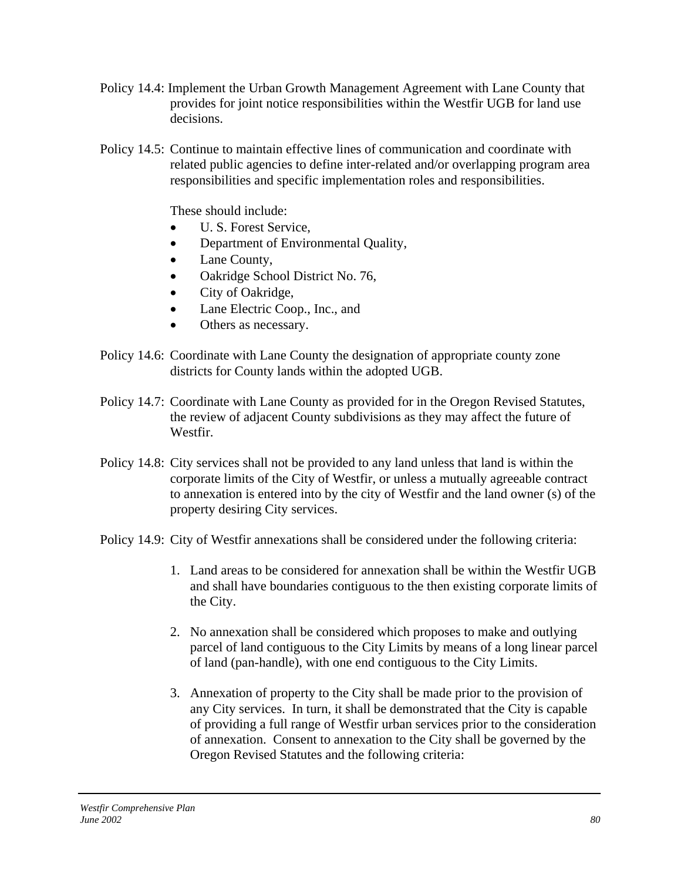- Policy 14.4: Implement the Urban Growth Management Agreement with Lane County that provides for joint notice responsibilities within the Westfir UGB for land use decisions.
- Policy 14.5: Continue to maintain effective lines of communication and coordinate with related public agencies to define inter-related and/or overlapping program area responsibilities and specific implementation roles and responsibilities.

These should include:

- U. S. Forest Service,
- Department of Environmental Quality,
- Lane County,
- Oakridge School District No. 76,
- City of Oakridge,
- Lane Electric Coop., Inc., and
- Others as necessary.
- Policy 14.6: Coordinate with Lane County the designation of appropriate county zone districts for County lands within the adopted UGB.
- Policy 14.7: Coordinate with Lane County as provided for in the Oregon Revised Statutes, the review of adjacent County subdivisions as they may affect the future of Westfir.
- Policy 14.8: City services shall not be provided to any land unless that land is within the corporate limits of the City of Westfir, or unless a mutually agreeable contract to annexation is entered into by the city of Westfir and the land owner (s) of the property desiring City services.
- Policy 14.9: City of Westfir annexations shall be considered under the following criteria:
	- 1. Land areas to be considered for annexation shall be within the Westfir UGB and shall have boundaries contiguous to the then existing corporate limits of the City.
	- 2. No annexation shall be considered which proposes to make and outlying parcel of land contiguous to the City Limits by means of a long linear parcel of land (pan-handle), with one end contiguous to the City Limits.
	- 3. Annexation of property to the City shall be made prior to the provision of any City services. In turn, it shall be demonstrated that the City is capable of providing a full range of Westfir urban services prior to the consideration of annexation. Consent to annexation to the City shall be governed by the Oregon Revised Statutes and the following criteria: